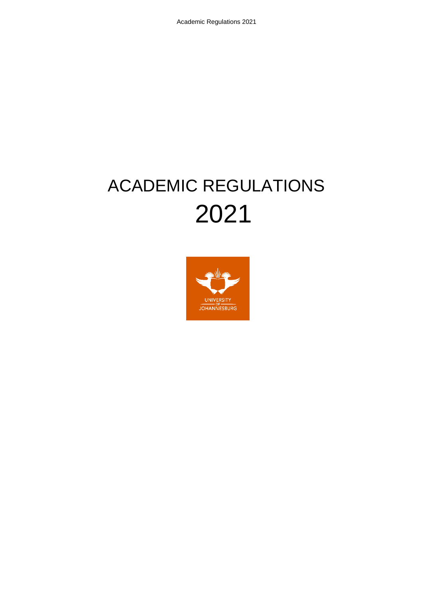# ACADEMIC REGULATIONS 2021

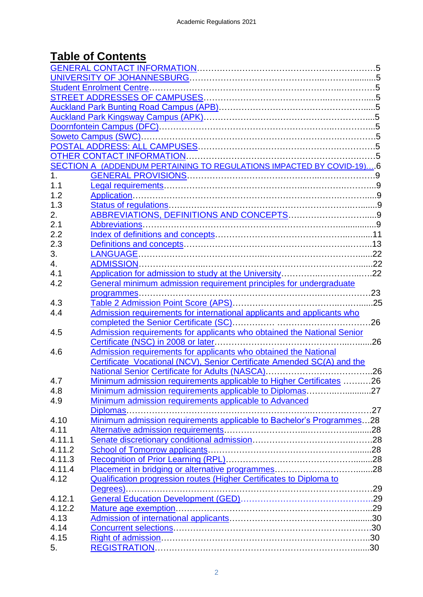## **Table of Contents**

|              | SECTION A (ADDENDUM PERTAINING TO REGULATIONS IMPACTED BY COVID-19)6   |     |  |  |  |
|--------------|------------------------------------------------------------------------|-----|--|--|--|
| 1.           |                                                                        |     |  |  |  |
| 1.1          |                                                                        |     |  |  |  |
| 1.2          |                                                                        |     |  |  |  |
| 1.3          |                                                                        |     |  |  |  |
| 2.           |                                                                        |     |  |  |  |
| 2.1          |                                                                        |     |  |  |  |
| 2.2          |                                                                        |     |  |  |  |
| 2.3          |                                                                        |     |  |  |  |
| 3.           |                                                                        |     |  |  |  |
| 4.           |                                                                        |     |  |  |  |
| 4.1          |                                                                        |     |  |  |  |
| 4.2          | General minimum admission requirement principles for undergraduate     |     |  |  |  |
|              |                                                                        |     |  |  |  |
| 4.3          |                                                                        |     |  |  |  |
| 4.4          | Admission requirements for international applicants and applicants who |     |  |  |  |
|              | completed the Senior Certificate (SC)                                  | .26 |  |  |  |
| 4.5          | Admission requirements for applicants who obtained the National Senior |     |  |  |  |
|              |                                                                        |     |  |  |  |
| 4.6          | Admission requirements for applicants who obtained the National        |     |  |  |  |
|              | Certificate Vocational (NCV), Senior Certificate Amended SC(A) and the |     |  |  |  |
|              |                                                                        |     |  |  |  |
|              |                                                                        |     |  |  |  |
| 4.7          | Minimum admission requirements applicable to Higher Certificates 26    |     |  |  |  |
| 4.8          | Minimum admission requirements applicable to Diplomas27                |     |  |  |  |
| 4.9          | Minimum admission requirements applicable to Advanced                  |     |  |  |  |
|              | Diplomas                                                               |     |  |  |  |
| 4.10<br>4.11 | Minimum admission requirements applicable to Bachelor's Programmes28   |     |  |  |  |
|              |                                                                        |     |  |  |  |
| 4.11.1       |                                                                        |     |  |  |  |
| 4.11.2       |                                                                        |     |  |  |  |
| 4.11.3       |                                                                        |     |  |  |  |
| 4.11.4       |                                                                        |     |  |  |  |
| 4.12         | Qualification progression routes (Higher Certificates to Diploma to    |     |  |  |  |
|              |                                                                        |     |  |  |  |
| 4.12.1       |                                                                        |     |  |  |  |
| 4.12.2       |                                                                        |     |  |  |  |
| 4.13         |                                                                        |     |  |  |  |
| 4.14         |                                                                        |     |  |  |  |
| 4.15         |                                                                        |     |  |  |  |
| 5.           |                                                                        |     |  |  |  |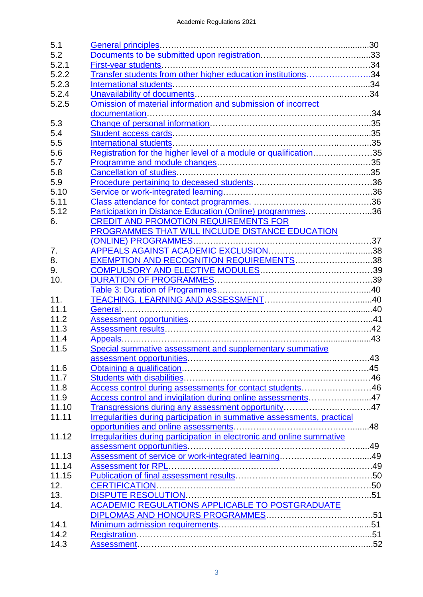| 5.1   |                                                                         |  |
|-------|-------------------------------------------------------------------------|--|
| 5.2   |                                                                         |  |
| 5.2.1 |                                                                         |  |
| 5.2.2 | Transfer students from other higher education institutions34            |  |
| 5.2.3 |                                                                         |  |
| 5.2.4 |                                                                         |  |
| 5.2.5 | Omission of material information and submission of incorrect            |  |
|       |                                                                         |  |
| 5.3   |                                                                         |  |
| 5.4   |                                                                         |  |
| 5.5   |                                                                         |  |
| 5.6   | Registration for the higher level of a module or qualification35        |  |
| 5.7   |                                                                         |  |
| 5.8   |                                                                         |  |
| 5.9   |                                                                         |  |
| 5.10  |                                                                         |  |
| 5.11  |                                                                         |  |
| 5.12  | Participation in Distance Education (Online) programmes36               |  |
|       | <b>CREDIT AND PROMOTION REQUIREMENTS FOR</b>                            |  |
| 6.    |                                                                         |  |
|       | PROGRAMMES THAT WILL INCLUDE DISTANCE EDUCATION                         |  |
|       |                                                                         |  |
| 7.    |                                                                         |  |
| 8.    | EXEMPTION AND RECOGNITION REQUIREMENTS38                                |  |
| 9.    |                                                                         |  |
| 10.   |                                                                         |  |
|       |                                                                         |  |
|       |                                                                         |  |
| 11.   |                                                                         |  |
| 11.1  |                                                                         |  |
| 11.2  |                                                                         |  |
| 11.3  |                                                                         |  |
| 11.4  |                                                                         |  |
| 11.5  | Special summative assessment and supplementary summative                |  |
|       |                                                                         |  |
| 11.6  |                                                                         |  |
| 11.7  |                                                                         |  |
| 11.8  | Access control during assessments for contact students46                |  |
| 11.9  | Access control and invigilation during online assessments47             |  |
| 11.10 | Transgressions during any assessment opportunity47                      |  |
| 11.11 | Irregularities during participation in summative assessments, practical |  |
|       |                                                                         |  |
| 11.12 | Irregularities during participation in electronic and online summative  |  |
|       |                                                                         |  |
| 11.13 |                                                                         |  |
| 11.14 |                                                                         |  |
| 11.15 |                                                                         |  |
| 12.   |                                                                         |  |
| 13.   |                                                                         |  |
| 14.   | ACADEMIC REGULATIONS APPLICABLE TO POSTGRADUATE                         |  |
|       |                                                                         |  |
| 14.1  |                                                                         |  |
| 14.2  |                                                                         |  |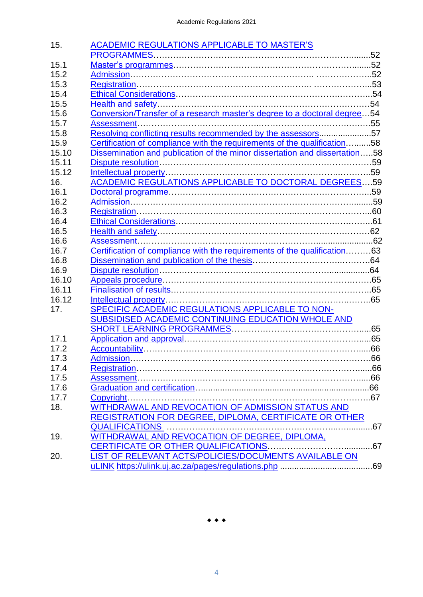| 15.   | <b>ACADEMIC REGULATIONS APPLICABLE TO MASTER'S</b>                         |     |
|-------|----------------------------------------------------------------------------|-----|
|       |                                                                            |     |
| 15.1  |                                                                            |     |
| 15.2  |                                                                            |     |
| 15.3  |                                                                            |     |
| 15.4  |                                                                            |     |
| 15.5  |                                                                            |     |
| 15.6  | Conversion/Transfer of a research master's degree to a doctoral degree54   |     |
| 15.7  |                                                                            |     |
| 15.8  | Resolving conflicting results recommended by the assessors57               |     |
| 15.9  | Certification of compliance with the requirements of the qualification58   |     |
| 15.10 | Dissemination and publication of the minor dissertation and dissertation58 |     |
| 15.11 |                                                                            |     |
| 15.12 |                                                                            |     |
| 16.   | <b>ACADEMIC REGULATIONS APPLICABLE TO DOCTORAL DEGREES59</b>               |     |
| 16.1  |                                                                            |     |
| 16.2  |                                                                            |     |
| 16.3  |                                                                            |     |
| 16.4  |                                                                            |     |
| 16.5  |                                                                            |     |
| 16.6  |                                                                            |     |
| 16.7  | Certification of compliance with the requirements of the qualification63   |     |
| 16.8  |                                                                            |     |
| 16.9  |                                                                            |     |
| 16.10 |                                                                            |     |
| 16.11 |                                                                            |     |
| 16.12 |                                                                            |     |
| 17.   | SPECIFIC ACADEMIC REGULATIONS APPLICABLE TO NON-                           |     |
|       | SUBSIDISED ACADEMIC CONTINUING EDUCATION WHOLE AND                         |     |
|       |                                                                            |     |
| 17.1  |                                                                            |     |
| 17.2  |                                                                            |     |
| 17.3  |                                                                            |     |
| 17.4  |                                                                            |     |
| 17.5  |                                                                            |     |
| 17.6  |                                                                            |     |
| 17.7  |                                                                            |     |
| 18.   | WITHDRAWAL AND REVOCATION OF ADMISSION STATUS AND                          |     |
|       | REGISTRATION FOR DEGREE, DIPLOMA, CERTIFICATE OR OTHER                     |     |
|       |                                                                            |     |
| 19.   | WITHDRAWAL AND REVOCATION OF DEGREE, DIPLOMA,                              |     |
|       |                                                                            |     |
| 20.   | LIST OF RELEVANT ACTS/POLICIES/DOCUMENTS AVAILABLE ON                      |     |
|       |                                                                            | .69 |
|       |                                                                            |     |

 $\begin{array}{ccccccccc}\n\bullet & \bullet & \bullet & \bullet & \end{array}$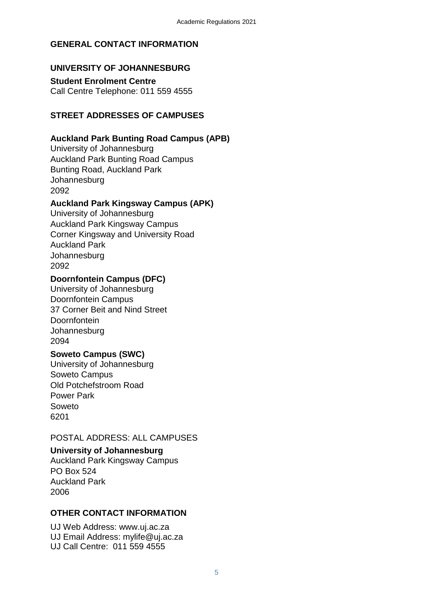## <span id="page-4-0"></span>**GENERAL CONTACT INFORMATION**

## <span id="page-4-1"></span>**UNIVERSITY OF JOHANNESBURG**

<span id="page-4-2"></span>**Student Enrolment Centre** Call Centre Telephone: 011 559 4555

## <span id="page-4-3"></span>**STREET ADDRESSES OF CAMPUSES**

## <span id="page-4-4"></span>**Auckland Park Bunting Road Campus (APB)**

University of Johannesburg Auckland Park Bunting Road Campus Bunting Road, Auckland Park **Johannesburg** 2092

## <span id="page-4-5"></span>**Auckland Park Kingsway Campus (APK)**

University of Johannesburg Auckland Park Kingsway Campus Corner Kingsway and University Road Auckland Park **Johannesburg** 2092

## <span id="page-4-6"></span>**Doornfontein Campus (DFC)**

University of Johannesburg Doornfontein Campus 37 Corner Beit and Nind Street Doornfontein **Johannesburg** 2094

## <span id="page-4-7"></span>**Soweto Campus (SWC)**

University of Johannesburg Soweto Campus Old Potchefstroom Road Power Park Soweto 6201

## <span id="page-4-8"></span>POSTAL ADDRESS: ALL CAMPUSES

## **University of Johannesburg**

Auckland Park Kingsway Campus PO Box 524 Auckland Park 2006

## <span id="page-4-9"></span>**OTHER CONTACT INFORMATION**

UJ Web Address: [www.uj.ac.za](http://www.uj.ac.za/)  UJ Email Address: [mylife@uj.ac.za](mailto:mylife@uj.ac.za)  UJ Call Centre: 011 559 4555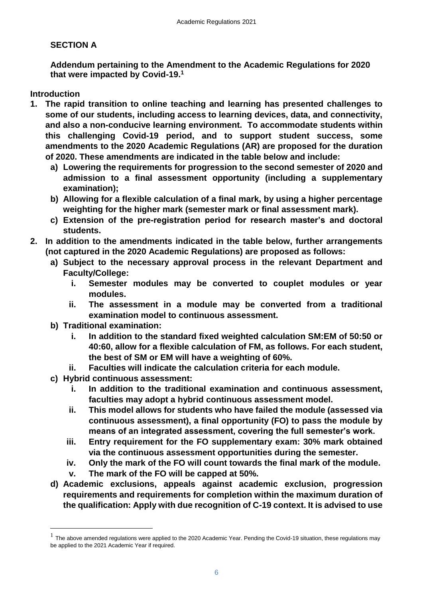## <span id="page-5-0"></span>**SECTION A**

**Addendum pertaining to the Amendment to the Academic Regulations for 2020 that were impacted by Covid-19.<sup>1</sup>**

**Introduction**

 $\overline{a}$ 

- **1. The rapid transition to online teaching and learning has presented challenges to some of our students, including access to learning devices, data, and connectivity, and also a non-conducive learning environment. To accommodate students within this challenging Covid-19 period, and to support student success, some amendments to the 2020 Academic Regulations (AR) are proposed for the duration of 2020. These amendments are indicated in the table below and include:**
	- **a) Lowering the requirements for progression to the second semester of 2020 and admission to a final assessment opportunity (including a supplementary examination);**
	- **b) Allowing for a flexible calculation of a final mark, by using a higher percentage weighting for the higher mark (semester mark or final assessment mark).**
	- **c) Extension of the pre-registration period for research master's and doctoral students.**
- **2. In addition to the amendments indicated in the table below, further arrangements (not captured in the 2020 Academic Regulations) are proposed as follows:**
	- **a) Subject to the necessary approval process in the relevant Department and Faculty/College:** 
		- **i. Semester modules may be converted to couplet modules or year modules.**
		- **ii. The assessment in a module may be converted from a traditional examination model to continuous assessment.**
	- **b) Traditional examination:** 
		- **i. In addition to the standard fixed weighted calculation SM:EM of 50:50 or 40:60, allow for a flexible calculation of FM, as follows. For each student, the best of SM or EM will have a weighting of 60%.**
		- **ii. Faculties will indicate the calculation criteria for each module.**
	- **c) Hybrid continuous assessment:** 
		- **i. In addition to the traditional examination and continuous assessment, faculties may adopt a hybrid continuous assessment model.**
		- **ii. This model allows for students who have failed the module (assessed via continuous assessment), a final opportunity (FO) to pass the module by means of an integrated assessment, covering the full semester's work.**
		- **iii. Entry requirement for the FO supplementary exam: 30% mark obtained via the continuous assessment opportunities during the semester.**
		- **iv. Only the mark of the FO will count towards the final mark of the module.**
		- **v. The mark of the FO will be capped at 50%.**
	- **d) Academic exclusions, appeals against academic exclusion, progression requirements and requirements for completion within the maximum duration of the qualification: Apply with due recognition of C-19 context. It is advised to use**

 $<sup>1</sup>$  The above amended regulations were applied to the 2020 Academic Year. Pending the Covid-19 situation, these regulations may</sup> be applied to the 2021 Academic Year if required.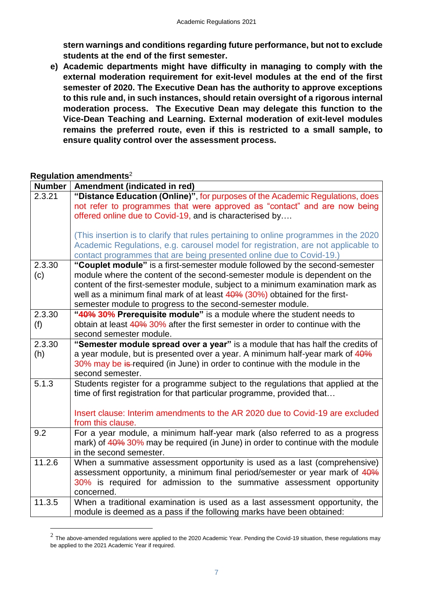**stern warnings and conditions regarding future performance, but not to exclude students at the end of the first semester.**

**e) Academic departments might have difficulty in managing to comply with the external moderation requirement for exit-level modules at the end of the first semester of 2020. The Executive Dean has the authority to approve exceptions to this rule and, in such instances, should retain oversight of a rigorous internal moderation process. The Executive Dean may delegate this function to the Vice-Dean Teaching and Learning. External moderation of exit-level modules remains the preferred route, even if this is restricted to a small sample, to ensure quality control over the assessment process.** 

#### **Regulation amendments**<sup>2</sup>

 $\overline{a}$ 

| <b>Number</b> | Amendment (indicated in red)                                                         |
|---------------|--------------------------------------------------------------------------------------|
| 2.3.21        | "Distance Education (Online)", for purposes of the Academic Regulations, does        |
|               | not refer to programmes that were approved as "contact" and are now being            |
|               | offered online due to Covid-19, and is characterised by                              |
|               |                                                                                      |
|               | (This insertion is to clarify that rules pertaining to online programmes in the 2020 |
|               | Academic Regulations, e.g. carousel model for registration, are not applicable to    |
|               | contact programmes that are being presented online due to Covid-19.)                 |
| 2.3.30        | "Couplet module" is a first-semester module followed by the second-semester          |
| (c)           | module where the content of the second-semester module is dependent on the           |
|               | content of the first-semester module, subject to a minimum examination mark as       |
|               | well as a minimum final mark of at least 40% (30%) obtained for the first-           |
|               | semester module to progress to the second-semester module.                           |
| 2.3.30        | "40% 30% Prerequisite module" is a module where the student needs to                 |
| (f)           | obtain at least 40% 30% after the first semester in order to continue with the       |
|               | second semester module.                                                              |
| 2.3.30        | "Semester module spread over a year" is a module that has half the credits of        |
| (h)           | a year module, but is presented over a year. A minimum half-year mark of 40%         |
|               | 30% may be is-required (in June) in order to continue with the module in the         |
|               | second semester.                                                                     |
| 5.1.3         | Students register for a programme subject to the regulations that applied at the     |
|               | time of first registration for that particular programme, provided that              |
|               |                                                                                      |
|               | Insert clause: Interim amendments to the AR 2020 due to Covid-19 are excluded        |
|               | from this clause.                                                                    |
| 9.2           | For a year module, a minimum half-year mark (also referred to as a progress          |
|               | mark) of 40% 30% may be required (in June) in order to continue with the module      |
|               | in the second semester.                                                              |
| 11.2.6        | When a summative assessment opportunity is used as a last (comprehensive)            |
|               | assessment opportunity, a minimum final period/semester or year mark of 40%          |
|               | 30% is required for admission to the summative assessment opportunity                |
|               | concerned.                                                                           |
| 11.3.5        | When a traditional examination is used as a last assessment opportunity, the         |
|               | module is deemed as a pass if the following marks have been obtained:                |

 $^2$  The above-amended regulations were applied to the 2020 Academic Year. Pending the Covid-19 situation, these regulations may be applied to the 2021 Academic Year if required.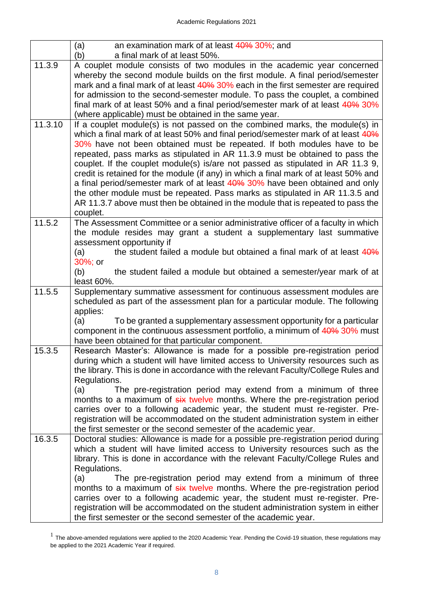|                      | an examination mark of at least 40% 30%; and<br>(a)                                                                                                                                                                                                                                                                                                                                                                                                                                                                                                                                                                                                                                                                                                         |
|----------------------|-------------------------------------------------------------------------------------------------------------------------------------------------------------------------------------------------------------------------------------------------------------------------------------------------------------------------------------------------------------------------------------------------------------------------------------------------------------------------------------------------------------------------------------------------------------------------------------------------------------------------------------------------------------------------------------------------------------------------------------------------------------|
|                      | a final mark of at least 50%.<br>(b)                                                                                                                                                                                                                                                                                                                                                                                                                                                                                                                                                                                                                                                                                                                        |
| 11.3.9               | A couplet module consists of two modules in the academic year concerned                                                                                                                                                                                                                                                                                                                                                                                                                                                                                                                                                                                                                                                                                     |
|                      | whereby the second module builds on the first module. A final period/semester                                                                                                                                                                                                                                                                                                                                                                                                                                                                                                                                                                                                                                                                               |
|                      | mark and a final mark of at least 40% 30% each in the first semester are required                                                                                                                                                                                                                                                                                                                                                                                                                                                                                                                                                                                                                                                                           |
|                      | for admission to the second-semester module. To pass the couplet, a combined                                                                                                                                                                                                                                                                                                                                                                                                                                                                                                                                                                                                                                                                                |
|                      | final mark of at least 50% and a final period/semester mark of at least 40% 30%                                                                                                                                                                                                                                                                                                                                                                                                                                                                                                                                                                                                                                                                             |
|                      | (where applicable) must be obtained in the same year.                                                                                                                                                                                                                                                                                                                                                                                                                                                                                                                                                                                                                                                                                                       |
| $\overline{11.3.10}$ | If a couplet module(s) is not passed on the combined marks, the module(s) in<br>which a final mark of at least 50% and final period/semester mark of at least 40%<br>30% have not been obtained must be repeated. If both modules have to be<br>repeated, pass marks as stipulated in AR 11.3.9 must be obtained to pass the<br>couplet. If the couplet module(s) is/are not passed as stipulated in AR 11.3 9,<br>credit is retained for the module (if any) in which a final mark of at least 50% and<br>a final period/semester mark of at least 40% 30% have been obtained and only<br>the other module must be repeated. Pass marks as stipulated in AR 11.3.5 and<br>AR 11.3.7 above must then be obtained in the module that is repeated to pass the |
|                      | couplet.                                                                                                                                                                                                                                                                                                                                                                                                                                                                                                                                                                                                                                                                                                                                                    |
| 11.5.2               | The Assessment Committee or a senior administrative officer of a faculty in which                                                                                                                                                                                                                                                                                                                                                                                                                                                                                                                                                                                                                                                                           |
|                      | the module resides may grant a student a supplementary last summative<br>assessment opportunity if                                                                                                                                                                                                                                                                                                                                                                                                                                                                                                                                                                                                                                                          |
|                      | the student failed a module but obtained a final mark of at least 40%<br>(a)                                                                                                                                                                                                                                                                                                                                                                                                                                                                                                                                                                                                                                                                                |
|                      | 30%; or                                                                                                                                                                                                                                                                                                                                                                                                                                                                                                                                                                                                                                                                                                                                                     |
|                      | the student failed a module but obtained a semester/year mark of at<br>(b)                                                                                                                                                                                                                                                                                                                                                                                                                                                                                                                                                                                                                                                                                  |
|                      | least 60%.                                                                                                                                                                                                                                                                                                                                                                                                                                                                                                                                                                                                                                                                                                                                                  |
| 11.5.5               | Supplementary summative assessment for continuous assessment modules are                                                                                                                                                                                                                                                                                                                                                                                                                                                                                                                                                                                                                                                                                    |
|                      | scheduled as part of the assessment plan for a particular module. The following                                                                                                                                                                                                                                                                                                                                                                                                                                                                                                                                                                                                                                                                             |
|                      | applies:                                                                                                                                                                                                                                                                                                                                                                                                                                                                                                                                                                                                                                                                                                                                                    |
|                      | To be granted a supplementary assessment opportunity for a particular<br>(a)                                                                                                                                                                                                                                                                                                                                                                                                                                                                                                                                                                                                                                                                                |
|                      | component in the continuous assessment portfolio, a minimum of 40% 30% must                                                                                                                                                                                                                                                                                                                                                                                                                                                                                                                                                                                                                                                                                 |
|                      | have been obtained for that particular component.                                                                                                                                                                                                                                                                                                                                                                                                                                                                                                                                                                                                                                                                                                           |
| 15.3.5               | Research Master's: Allowance is made for a possible pre-registration period<br>during which a student will have limited access to University resources such as                                                                                                                                                                                                                                                                                                                                                                                                                                                                                                                                                                                              |
|                      | the library. This is done in accordance with the relevant Faculty/College Rules and                                                                                                                                                                                                                                                                                                                                                                                                                                                                                                                                                                                                                                                                         |
|                      | Regulations.                                                                                                                                                                                                                                                                                                                                                                                                                                                                                                                                                                                                                                                                                                                                                |
|                      | The pre-registration period may extend from a minimum of three<br>(a)                                                                                                                                                                                                                                                                                                                                                                                                                                                                                                                                                                                                                                                                                       |
|                      | months to a maximum of six twelve months. Where the pre-registration period                                                                                                                                                                                                                                                                                                                                                                                                                                                                                                                                                                                                                                                                                 |
|                      | carries over to a following academic year, the student must re-register. Pre-                                                                                                                                                                                                                                                                                                                                                                                                                                                                                                                                                                                                                                                                               |
|                      | registration will be accommodated on the student administration system in either                                                                                                                                                                                                                                                                                                                                                                                                                                                                                                                                                                                                                                                                            |
|                      | the first semester or the second semester of the academic year.                                                                                                                                                                                                                                                                                                                                                                                                                                                                                                                                                                                                                                                                                             |
| 16.3.5               | Doctoral studies: Allowance is made for a possible pre-registration period during                                                                                                                                                                                                                                                                                                                                                                                                                                                                                                                                                                                                                                                                           |
|                      | which a student will have limited access to University resources such as the                                                                                                                                                                                                                                                                                                                                                                                                                                                                                                                                                                                                                                                                                |
|                      | library. This is done in accordance with the relevant Faculty/College Rules and                                                                                                                                                                                                                                                                                                                                                                                                                                                                                                                                                                                                                                                                             |
|                      | Regulations.                                                                                                                                                                                                                                                                                                                                                                                                                                                                                                                                                                                                                                                                                                                                                |
|                      | The pre-registration period may extend from a minimum of three<br>(a)                                                                                                                                                                                                                                                                                                                                                                                                                                                                                                                                                                                                                                                                                       |
|                      | months to a maximum of six twelve months. Where the pre-registration period<br>carries over to a following academic year, the student must re-register. Pre-                                                                                                                                                                                                                                                                                                                                                                                                                                                                                                                                                                                                |
|                      | registration will be accommodated on the student administration system in either                                                                                                                                                                                                                                                                                                                                                                                                                                                                                                                                                                                                                                                                            |
|                      | the first semester or the second semester of the academic year.                                                                                                                                                                                                                                                                                                                                                                                                                                                                                                                                                                                                                                                                                             |
|                      |                                                                                                                                                                                                                                                                                                                                                                                                                                                                                                                                                                                                                                                                                                                                                             |

 $<sup>1</sup>$  The above-amended regulations were applied to the 2020 Academic Year. Pending the Covid-19 situation, these regulations may</sup> be applied to the 2021 Academic Year if required.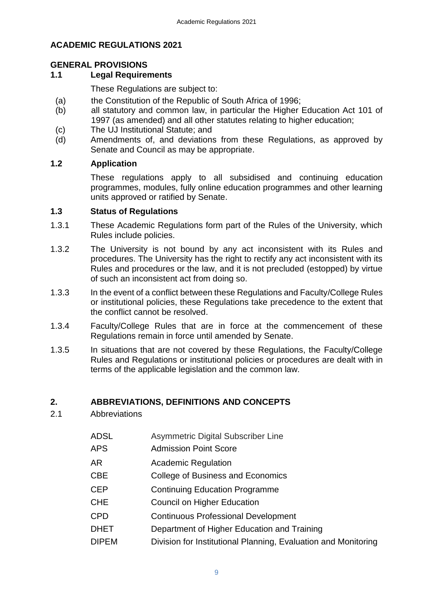## **ACADEMIC REGULATIONS 2021**

## <span id="page-8-0"></span>**GENERAL PROVISIONS**

## <span id="page-8-1"></span>**1.1 Legal Requirements**

These Regulations are subject to:

- (a) the Constitution of the Republic of South Africa of 1996;
- (b) all statutory and common law, in particular the Higher Education Act 101 of 1997 (as amended) and all other statutes relating to higher education;
- (c) The UJ Institutional Statute; and
- (d) Amendments of, and deviations from these Regulations, as approved by Senate and Council as may be appropriate.

## <span id="page-8-2"></span>**1.2 Application**

<span id="page-8-3"></span>These regulations apply to all subsidised and continuing education programmes, modules, fully online education programmes and other learning units approved or ratified by Senate.

## **1.3 Status of Regulations**

- 1.3.1 These Academic Regulations form part of the Rules of the University, which Rules include policies.
- 1.3.2 The University is not bound by any act inconsistent with its Rules and procedures. The University has the right to rectify any act inconsistent with its Rules and procedures or the law, and it is not precluded (estopped) by virtue of such an inconsistent act from doing so.
- 1.3.3 In the event of a conflict between these Regulations and Faculty/College Rules or institutional policies, these Regulations take precedence to the extent that the conflict cannot be resolved.
- 1.3.4 Faculty/College Rules that are in force at the commencement of these Regulations remain in force until amended by Senate.
- 1.3.5 In situations that are not covered by these Regulations, the Faculty/College Rules and Regulations or institutional policies or procedures are dealt with in terms of the applicable legislation and the common law.

## <span id="page-8-4"></span>**2. ABBREVIATIONS, DEFINITIONS AND CONCEPTS**

- <span id="page-8-5"></span>2.1 Abbreviations
	- ADSL Asymmetric Digital Subscriber Line
	- APS Admission Point Score
	- AR Academic Regulation
	- CBE College of Business and Economics
	- CEP Continuing Education Programme
	- CHE Council on Higher Education
	- CPD Continuous Professional Development
	- DHET Department of Higher Education and Training
	- DIPEM Division for Institutional Planning, Evaluation and Monitoring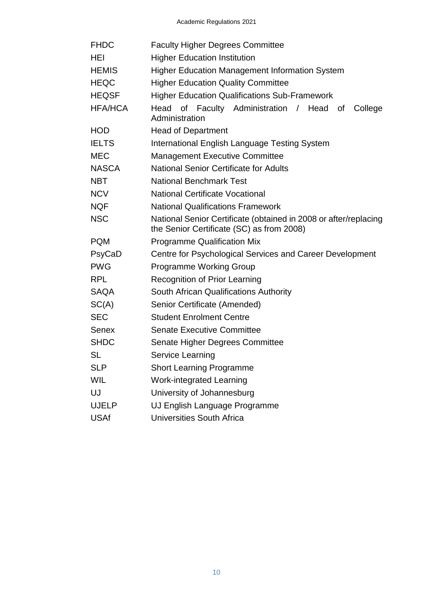| <b>FHDC</b>  | <b>Faculty Higher Degrees Committee</b>                                                                       |  |  |  |  |  |  |  |
|--------------|---------------------------------------------------------------------------------------------------------------|--|--|--|--|--|--|--|
| HEI          | <b>Higher Education Institution</b>                                                                           |  |  |  |  |  |  |  |
| HEMIS        | <b>Higher Education Management Information System</b>                                                         |  |  |  |  |  |  |  |
| HEQC         | <b>Higher Education Quality Committee</b>                                                                     |  |  |  |  |  |  |  |
| HEQSF        | <b>Higher Education Qualifications Sub-Framework</b>                                                          |  |  |  |  |  |  |  |
| HFA/HCA      | Head of Faculty Administration / Head of<br>College<br>Administration                                         |  |  |  |  |  |  |  |
| HOD          | <b>Head of Department</b>                                                                                     |  |  |  |  |  |  |  |
| <b>IELTS</b> | International English Language Testing System                                                                 |  |  |  |  |  |  |  |
| MEC          | <b>Management Executive Committee</b>                                                                         |  |  |  |  |  |  |  |
| NASCA        | <b>National Senior Certificate for Adults</b>                                                                 |  |  |  |  |  |  |  |
| NBT          | <b>National Benchmark Test</b>                                                                                |  |  |  |  |  |  |  |
| <b>NCV</b>   | <b>National Certificate Vocational</b>                                                                        |  |  |  |  |  |  |  |
| NQF          | <b>National Qualifications Framework</b>                                                                      |  |  |  |  |  |  |  |
| NSC          | National Senior Certificate (obtained in 2008 or after/replacing<br>the Senior Certificate (SC) as from 2008) |  |  |  |  |  |  |  |
| PQM          | <b>Programme Qualification Mix</b>                                                                            |  |  |  |  |  |  |  |
| PsyCaD       | Centre for Psychological Services and Career Development                                                      |  |  |  |  |  |  |  |
| <b>PWG</b>   | <b>Programme Working Group</b>                                                                                |  |  |  |  |  |  |  |
| RPL          | <b>Recognition of Prior Learning</b>                                                                          |  |  |  |  |  |  |  |
| SAQA         | South African Qualifications Authority                                                                        |  |  |  |  |  |  |  |
| SC(A)        | Senior Certificate (Amended)                                                                                  |  |  |  |  |  |  |  |
| SEC          | <b>Student Enrolment Centre</b>                                                                               |  |  |  |  |  |  |  |
| Senex        | <b>Senate Executive Committee</b>                                                                             |  |  |  |  |  |  |  |
| <b>SHDC</b>  | Senate Higher Degrees Committee                                                                               |  |  |  |  |  |  |  |
| SL           | Service Learning                                                                                              |  |  |  |  |  |  |  |
| SLP          | <b>Short Learning Programme</b>                                                                               |  |  |  |  |  |  |  |
| WIL          | <b>Work-integrated Learning</b>                                                                               |  |  |  |  |  |  |  |
| UJ           | University of Johannesburg                                                                                    |  |  |  |  |  |  |  |
| UJELP        | UJ English Language Programme                                                                                 |  |  |  |  |  |  |  |
| <b>USAf</b>  | <b>Universities South Africa</b>                                                                              |  |  |  |  |  |  |  |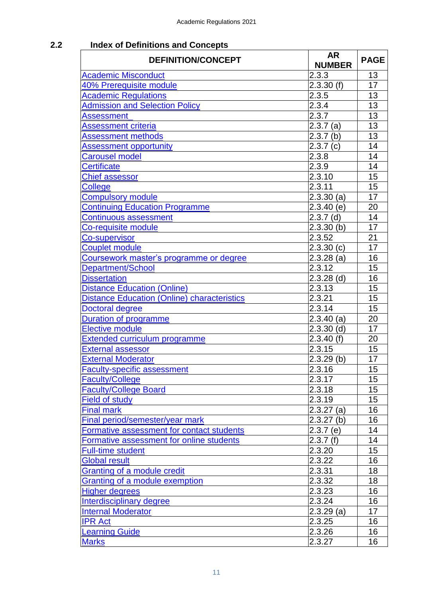## <span id="page-10-0"></span>**2.2 Index of Definitions and Concepts**

| <b>DEFINITION/CONCEPT</b>                          | <b>AR</b><br><b>NUMBER</b> | <b>PAGE</b> |  |
|----------------------------------------------------|----------------------------|-------------|--|
| <b>Academic Misconduct</b>                         | 2.3.3                      | 13          |  |
| 40% Prerequisite module                            | 2.3.30(f)                  | 17          |  |
| <b>Academic Regulations</b>                        | 2.3.5                      | 13          |  |
| <b>Admission and Selection Policy</b>              | 2.3.4                      | 13          |  |
| Assessment                                         | 2.3.7                      | 13          |  |
| <b>Assessment criteria</b>                         | 2.3.7(a)                   | 13          |  |
| <b>Assessment methods</b>                          | 2.3.7(b)                   | 13          |  |
| <b>Assessment opportunity</b>                      | 2.3.7(c)                   | 14          |  |
| <b>Carousel model</b>                              | 2.3.8                      | 14          |  |
| <b>Certificate</b>                                 | 2.3.9                      | 14          |  |
| <b>Chief assessor</b>                              | 2.3.10                     | 15          |  |
| College                                            | 2.3.11                     | 15          |  |
| <b>Compulsory module</b>                           | $2.3.30$ (a)               | 17          |  |
| <b>Continuing Education Programme</b>              | 2.3.40(e)                  | 20          |  |
| <b>Continuous assessment</b>                       | $2.3.7$ (d)                | 14          |  |
| Co-requisite module                                | $2.3.30$ (b)               | 17          |  |
| Co-supervisor                                      | 2.3.52                     | 21          |  |
| <b>Couplet module</b>                              | 2.3.30(c)                  | 17          |  |
| Coursework master's programme or degree            | $2.3.28$ (a)               | 16          |  |
| Department/School                                  | 2.3.12                     | 15          |  |
| <b>Dissertation</b>                                | $2.3.28$ (d)               | 16          |  |
| <b>Distance Education (Online)</b>                 | 2.3.13                     | 15          |  |
| <b>Distance Education (Online) characteristics</b> | 2.3.21                     | 15          |  |
| <b>Doctoral degree</b>                             | 2.3.14                     | 15          |  |
| <b>Duration of programme</b>                       | $2.3.40$ (a)               | 20          |  |
| <b>Elective module</b>                             | $2.3.30$ (d)               | 17          |  |
| <b>Extended curriculum programme</b>               | 2.3.40(f)                  | 20          |  |
| <b>External assessor</b>                           | 2.3.15                     | 15          |  |
| <b>External Moderator</b>                          | $2.3.29$ (b)               | 17          |  |
| <b>Faculty-specific assessment</b>                 | 2.3.16                     | 15          |  |
| <b>Faculty/College</b>                             | 2.3.17                     | 15          |  |
| <b>Faculty/College Board</b>                       | 2.3.18                     | 15          |  |
| <b>Field of study</b>                              | 2.3.19                     | 15          |  |
| <b>Final mark</b>                                  | $2.3.27$ (a)               | 16          |  |
| Final period/semester/year mark                    | $2.3.27$ (b)               | 16          |  |
| Formative assessment for contact students          | 2.3.7(e)                   | 14          |  |
| Formative assessment for online students           | 2.3.7(f)                   | 14          |  |
| <b>Full-time student</b>                           | 2.3.20                     | 15          |  |
| Global result                                      | 2.3.22                     | 16          |  |
| Granting of a module credit                        | 2.3.31                     | 18          |  |
| Granting of a module exemption                     | 2.3.32                     | 18          |  |
| <b>Higher degrees</b>                              | 2.3.23                     | 16          |  |
| Interdisciplinary degree                           | 2.3.24                     | 16          |  |
| <b>Internal Moderator</b>                          | $2.3.29$ (a)               | 17          |  |
| <b>IPR Act</b>                                     | 2.3.25                     | 16          |  |
| <b>Learning Guide</b>                              | 2.3.26                     | 16          |  |
| <b>Marks</b>                                       | 2.3.27                     | 16          |  |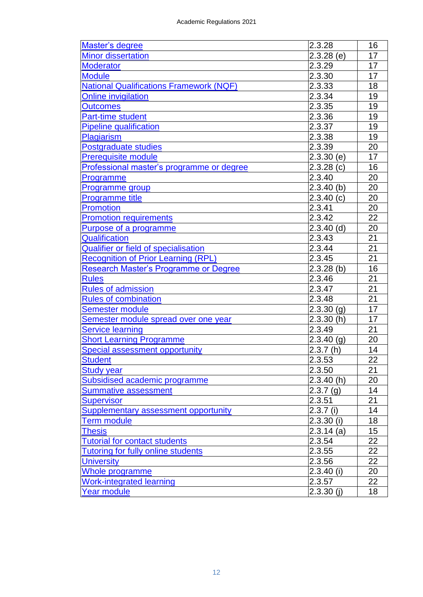| Master's degree                                | 2.3.28       | 16 |
|------------------------------------------------|--------------|----|
| <b>Minor dissertation</b>                      | $2.3.28$ (e) | 17 |
| <b>Moderator</b>                               | 2.3.29       | 17 |
| <b>Module</b>                                  | 2.3.30       | 17 |
| <b>National Qualifications Framework (NQF)</b> | 2.3.33       | 18 |
| <b>Online invigilation</b>                     | 2.3.34       | 19 |
| <b>Outcomes</b>                                | 2.3.35       | 19 |
| <b>Part-time student</b>                       | 2.3.36       | 19 |
| <b>Pipeline qualification</b>                  | 2.3.37       | 19 |
| Plagiarism                                     | 2.3.38       | 19 |
| Postgraduate studies                           | 2.3.39       | 20 |
| <b>Prerequisite module</b>                     | 2.3.30(e)    | 17 |
| Professional master's programme or degree      | 2.3.28(c)    | 16 |
| Programme                                      | 2.3.40       | 20 |
| Programme group                                | $2.3.40$ (b) | 20 |
| <b>Programme title</b>                         | 2.3.40(c)    | 20 |
| <b>Promotion</b>                               | 2.3.41       | 20 |
| <b>Promotion requirements</b>                  | 2.3.42       | 22 |
| Purpose of a programme                         | $2.3.40$ (d) | 20 |
| Qualification                                  | 2.3.43       | 21 |
| <b>Qualifier or field of specialisation</b>    | 2.3.44       | 21 |
| <b>Recognition of Prior Learning (RPL)</b>     | 2.3.45       | 21 |
| Research Master's Programme or Degree          | $2.3.28$ (b) | 16 |
| <b>Rules</b>                                   | 2.3.46       | 21 |
| <b>Rules of admission</b>                      | 2.3.47       | 21 |
| <b>Rules of combination</b>                    | 2.3.48       | 21 |
| <b>Semester module</b>                         | 2.3.30(g)    | 17 |
| Semester module spread over one year           | 2.3.30(h)    | 17 |
| <b>Service learning</b>                        | 2.3.49       | 21 |
| <b>Short Learning Programme</b>                | $2.3.40$ (g) | 20 |
| <b>Special assessment opportunity</b>          | 2.3.7(h)     | 14 |
| <b>Student</b>                                 | 2.3.53       | 22 |
| Study year                                     | 2.3.50       | 21 |
| Subsidised academic programme                  | 2.3.40(h)    | 20 |
| <b>Summative assessment</b>                    | 2.3.7(g)     | 14 |
| <b>Supervisor</b>                              | 2.3.51       | 21 |
| <b>Supplementary assessment opportunity</b>    | $2.3.7$ (i)  | 14 |
| <b>Term module</b>                             | $2.3.30$ (i) | 18 |
| <b>Thesis</b>                                  | $2.3.14$ (a) | 15 |
| <b>Tutorial for contact students</b>           | 2.3.54       | 22 |
| <b>Tutoring for fully online students</b>      | 2.3.55       | 22 |
| <b>University</b>                              | 2.3.56       | 22 |
| Whole programme                                | $2.3.40$ (i) | 20 |
| <b>Work-integrated learning</b>                | 2.3.57       | 22 |
| Year module                                    | $2.3.30$ (j) | 18 |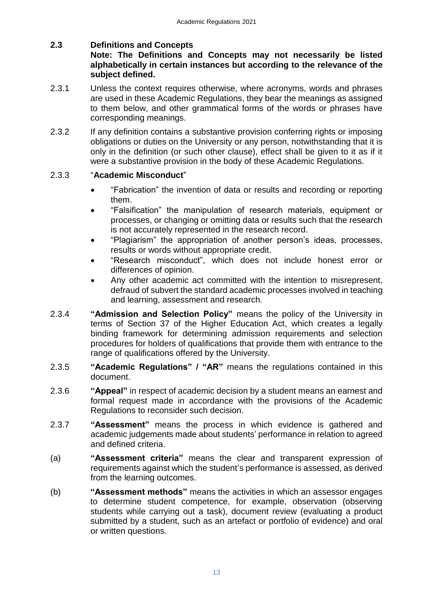## **2.3 Definitions and Concepts**

## <span id="page-12-0"></span>**Note: The Definitions and Concepts may not necessarily be listed alphabetically in certain instances but according to the relevance of the subject defined.**

- 2.3.1 Unless the context requires otherwise, where acronyms, words and phrases are used in these Academic Regulations, they bear the meanings as assigned to them below, and other grammatical forms of the words or phrases have corresponding meanings.
- 2.3.2 If any definition contains a substantive provision conferring rights or imposing obligations or duties on the University or any person, notwithstanding that it is only in the definition (or such other clause), effect shall be given to it as if it were a substantive provision in the body of these Academic Regulations.

## 2.3.3 "**Academic Misconduct**"

- <span id="page-12-1"></span> "Fabrication" the invention of data or results and recording or reporting them.
- "Falsification" the manipulation of research materials, equipment or processes, or changing or omitting data or results such that the research is not accurately represented in the research record.
- "Plagiarism" the appropriation of another person's ideas, processes, results or words without appropriate credit.
- "Research misconduct", which does not include honest error or differences of opinion.
- <span id="page-12-3"></span> Any other academic act committed with the intention to misrepresent, defraud of subvert the standard academic processes involved in teaching and learning, assessment and research.
- 2.3.4 **["Admission and Selection Policy"](#page-29-0)** means the policy of the University in terms of Section 37 of the Higher Education Act, which creates a legally binding framework for determining admission requirements and selection procedures for holders of qualifications that provide them with entrance to the range of qualifications offered by the University.
- <span id="page-12-2"></span>2.3.5 **"Academic Regulations" / "AR"** means the regulations contained in this document.
- 2.3.6 **"Appeal"** in respect of academic decision by a student means an earnest and formal request made in accordance with the provisions of the Academic Regulations to reconsider such decision.
- <span id="page-12-4"></span>2.3.7 **"Assessment"** means the process in which evidence is gathered and academic judgements made about students' performance in relation to agreed and defined criteria.
- <span id="page-12-5"></span>(a) **"Assessment criteria"** means the clear and transparent expression of requirements against which the student's performance is assessed, as derived from the learning outcomes.
- <span id="page-12-6"></span>(b) **"Assessment methods"** means the activities in which an assessor engages to determine student competence, for example, observation (observing students while carrying out a task), document review (evaluating a product submitted by a student, such as an artefact or portfolio of evidence) and oral or written questions.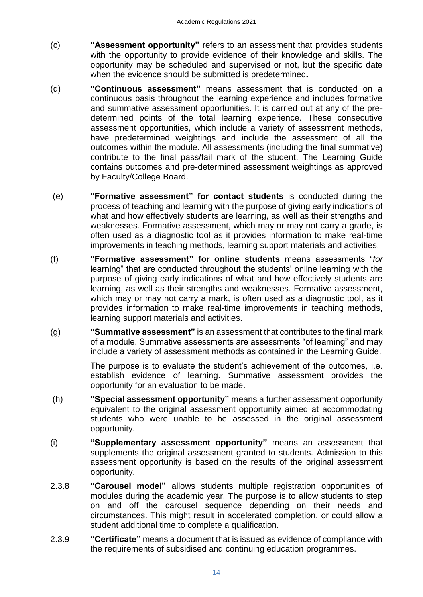- <span id="page-13-0"></span>(c) **"Assessment opportunity"** refers to an assessment that provides students with the opportunity to provide evidence of their knowledge and skills. The opportunity may be scheduled and supervised or not, but the specific date when the evidence should be submitted is predetermined**.**
- <span id="page-13-3"></span>(d) **"Continuous assessment"** means assessment that is conducted on a continuous basis throughout the learning experience and includes formative and summative assessment opportunities. It is carried out at any of the predetermined points of the total learning experience. These consecutive assessment opportunities, which include a variety of assessment methods, have predetermined weightings and include the assessment of all the outcomes within the module. All assessments (including the final summative) contribute to the final pass/fail mark of the student. The Learning Guide contains outcomes and pre-determined assessment weightings as approved by Faculty/College Board.
- <span id="page-13-4"></span>(e) **"Formative assessment" for contact students** is conducted during the process of teaching and learning with the purpose of giving early indications of what and how effectively students are learning, as well as their strengths and weaknesses. Formative assessment, which may or may not carry a grade, is often used as a diagnostic tool as it provides information to make real-time improvements in teaching methods, learning support materials and activities.
- <span id="page-13-5"></span>(f) **"Formative assessment" for online students** means assessments "*for* learning" that are conducted throughout the students' online learning with the purpose of giving early indications of what and how effectively students are learning, as well as their strengths and weaknesses. Formative assessment, which may or may not carry a mark, is often used as a diagnostic tool, as it provides information to make real-time improvements in teaching methods, learning support materials and activities.
- (g) **"Summative assessment"** is an assessment that contributes to the final mark of a module. Summative assessments are assessments "of learning" and may include a variety of assessment methods as contained in the Learning Guide.

<span id="page-13-7"></span><span id="page-13-6"></span>The purpose is to evaluate the student's achievement of the outcomes, i.e. establish evidence of learning. Summative assessment provides the opportunity for an evaluation to be made.

- (h) **"Special assessment opportunity"** means a further assessment opportunity equivalent to the original assessment opportunity aimed at accommodating students who were unable to be assessed in the original assessment opportunity.
- <span id="page-13-8"></span>(i) **"Supplementary assessment opportunity"** means an assessment that supplements the original assessment granted to students. Admission to this assessment opportunity is based on the results of the original assessment opportunity.
- <span id="page-13-1"></span>2.3.8 **"Carousel model"** allows students multiple registration opportunities of modules during the academic year. The purpose is to allow students to step on and off the carousel sequence depending on their needs and circumstances. This might result in accelerated completion, or could allow a student additional time to complete a qualification.
- <span id="page-13-2"></span>2.3.9 **"Certificate"** means a document that is issued as evidence of compliance with the requirements of subsidised and continuing education programmes.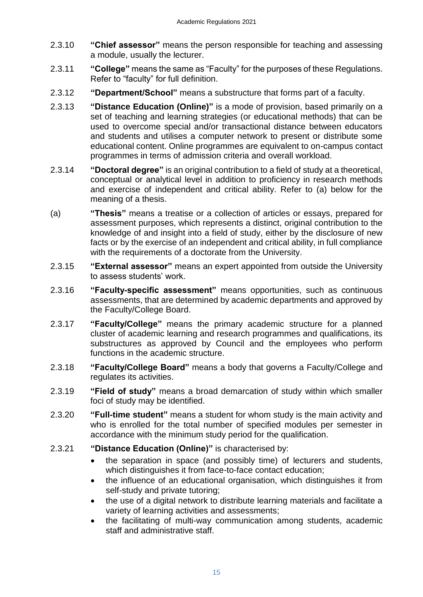- <span id="page-14-0"></span>2.3.10 **"Chief assessor"** means the person responsible for teaching and assessing a module, usually the lecturer.
- <span id="page-14-1"></span>2.3.11 **"College"** means the same as "Faculty" for the purposes of these Regulations. Refer to "faculty" for full definition.
- <span id="page-14-2"></span>2.3.12 **"Department/School"** means a substructure that forms part of a faculty.
- <span id="page-14-3"></span>2.3.13 **"Distance Education (Online)"** is a mode of provision, based primarily on a set of teaching and learning strategies (or educational methods) that can be used to overcome special and/or transactional distance between educators and students and utilises a computer network to present or distribute some educational content. Online programmes are equivalent to on-campus contact programmes in terms of admission criteria and overall workload.
- <span id="page-14-5"></span>2.3.14 **"Doctoral degree"** is an original contribution to a field of study at a theoretical, conceptual or analytical level in addition to proficiency in research methods and exercise of independent and critical ability. Refer to (a) below for the meaning of a thesis.
- <span id="page-14-12"></span>(a) **"Thesis"** means a treatise or a collection of articles or essays, prepared for assessment purposes, which represents a distinct, original contribution to the knowledge of and insight into a field of study, either by the disclosure of new facts or by the exercise of an independent and critical ability, in full compliance with the requirements of a doctorate from the University.
- <span id="page-14-6"></span>2.3.15 **"External assessor"** means an expert appointed from outside the University to assess students' work.
- <span id="page-14-7"></span>2.3.16 **"Faculty-specific assessment"** means opportunities, such as continuous assessments, that are determined by academic departments and approved by the Faculty/College Board.
- <span id="page-14-8"></span>2.3.17 **"Faculty/College"** means the primary academic structure for a planned cluster of academic learning and research programmes and qualifications, its substructures as approved by Council and the employees who perform functions in the academic structure.
- <span id="page-14-9"></span>2.3.18 **"Faculty/College Board"** means a body that governs a Faculty/College and regulates its activities.
- <span id="page-14-10"></span>2.3.19 **"Field of study"** means a broad demarcation of study within which smaller foci of study may be identified.
- <span id="page-14-11"></span>2.3.20 **"Full-time student"** means a student for whom study is the main activity and who is enrolled for the total number of specified modules per semester in accordance with the minimum study period for the qualification.
- <span id="page-14-4"></span>2.3.21 **"Distance Education (Online)"** is characterised by:
	- the separation in space (and possibly time) of lecturers and students, which distinguishes it from face-to-face contact education;
	- the influence of an educational organisation, which distinguishes it from self-study and private tutoring;
	- the use of a digital network to distribute learning materials and facilitate a variety of learning activities and assessments;
	- the facilitating of multi-way communication among students, academic staff and administrative staff.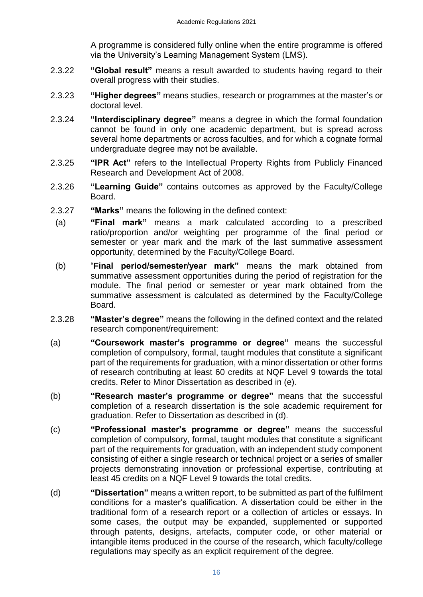<span id="page-15-4"></span>A programme is considered fully online when the entire programme is offered via the University's Learning Management System (LMS).

- 2.3.22 **"Global result"** means a result awarded to students having regard to their overall progress with their studies.
- <span id="page-15-5"></span>2.3.23 **"Higher degrees"** means studies, research or programmes at the master's or doctoral level.
- <span id="page-15-6"></span>2.3.24 **"Interdisciplinary degree"** means a degree in which the formal foundation cannot be found in only one academic department, but is spread across several home departments or across faculties, and for which a cognate formal undergraduate degree may not be available.
- <span id="page-15-7"></span>2.3.25 **"IPR Act"** refers to the Intellectual Property Rights from Publicly Financed Research and Development Act of 2008.
- <span id="page-15-8"></span>2.3.26 **"Learning Guide"** contains outcomes as approved by the Faculty/College Board.
- <span id="page-15-9"></span><span id="page-15-2"></span>2.3.27 **"Marks"** means the following in the defined context:
	- (a) **"Final mark"** means a mark calculated according to a prescribed ratio/proportion and/or weighting per programme of the final period or semester or year mark and the mark of the last summative assessment opportunity, determined by the Faculty/College Board.
	- (b) "**Final period/semester/year mark"** means the mark obtained from summative assessment opportunities during the period of registration for the module. The final period or semester or year mark obtained from the summative assessment is calculated as determined by the Faculty/College Board.
- <span id="page-15-10"></span><span id="page-15-3"></span>2.3.28 **"Master's degree"** means the following in the defined context and the related research component/requirement:
- <span id="page-15-0"></span>(a) **"Coursework master's programme or degree"** means the successful completion of compulsory, formal, taught modules that constitute a significant part of the requirements for graduation, with a minor dissertation or other forms of research contributing at least 60 credits at NQF Level 9 towards the total credits. Refer to Minor Dissertation as described in (e).
- <span id="page-15-12"></span>(b) **"Research master's programme or degree"** means that the successful completion of a research dissertation is the sole academic requirement for graduation. Refer to Dissertation as described in (d).
- <span id="page-15-11"></span>(c) **"Professional master's programme or degree"** means the successful completion of compulsory, formal, taught modules that constitute a significant part of the requirements for graduation, with an independent study component consisting of either a single research or technical project or a series of smaller projects demonstrating innovation or professional expertise, contributing at least 45 credits on a NQF Level 9 towards the total credits.
- <span id="page-15-1"></span>(d) **"Dissertation"** means a written report, to be submitted as part of the fulfilment conditions for a master's qualification. A dissertation could be either in the traditional form of a research report or a collection of articles or essays. In some cases, the output may be expanded, supplemented or supported through patents, designs, artefacts, computer code, or other material or intangible items produced in the course of the research, which faculty/college regulations may specify as an explicit requirement of the degree.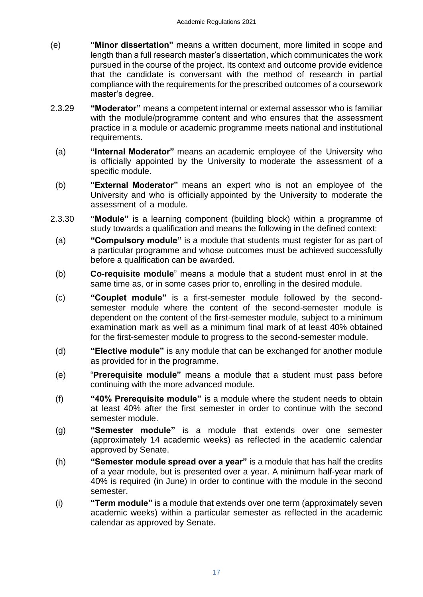- <span id="page-16-7"></span>(e) **"Minor dissertation"** means a written document, more limited in scope and length than a full research master's dissertation, which communicates the work pursued in the course of the project. Its context and outcome provide evidence that the candidate is conversant with the method of research in partial compliance with the requirements for the prescribed outcomes of a coursework master's degree.
- <span id="page-16-8"></span><span id="page-16-6"></span>2.3.29 **"Moderator"** means a competent internal or external assessor who is familiar with the module/programme content and who ensures that the assessment practice in a module or academic programme meets national and institutional requirements.
	- (a) **"Internal Moderator"** means an academic employee of the University who is officially appointed by the University to moderate the assessment of a specific module.
	- (b) **"External Moderator"** means an expert who is not an employee of the University and who is officially appointed by the University to moderate the assessment of a module.
- <span id="page-16-13"></span><span id="page-16-12"></span><span id="page-16-11"></span><span id="page-16-10"></span><span id="page-16-9"></span><span id="page-16-5"></span><span id="page-16-4"></span><span id="page-16-3"></span><span id="page-16-2"></span><span id="page-16-1"></span><span id="page-16-0"></span>2.3.30 **"Module"** is a learning component (building block) within a programme of study towards a qualification and means the following in the defined context:
	- (a) **"Compulsory module"** is a module that students must register for as part of a particular programme and whose outcomes must be achieved successfully before a qualification can be awarded.
	- (b) **Co-requisite module**" means a module that a student must enrol in at the same time as, or in some cases prior to, enrolling in the desired module.
	- (c) **"Couplet module"** is a first-semester module followed by the secondsemester module where the content of the second-semester module is dependent on the content of the first-semester module, subject to a minimum examination mark as well as a minimum final mark of at least 40% obtained for the first-semester module to progress to the second-semester module.
	- (d) **"Elective module"** is any module that can be exchanged for another module as provided for in the programme.
	- (e) "**Prerequisite module"** means a module that a student must pass before continuing with the more advanced module.
	- (f) **"40% Prerequisite module"** is a module where the student needs to obtain at least 40% after the first semester in order to continue with the second semester module.
	- (g) **"Semester module"** is a module that extends over one semester (approximately 14 academic weeks) as reflected in the academic calendar approved by Senate.
	- (h) **"Semester module spread over a year"** is a module that has half the credits of a year module, but is presented over a year. A minimum half-year mark of 40% is required (in June) in order to continue with the module in the second semester.
	- (i) **"Term module"** is a module that extends over one term (approximately seven academic weeks) within a particular semester as reflected in the academic calendar as approved by Senate.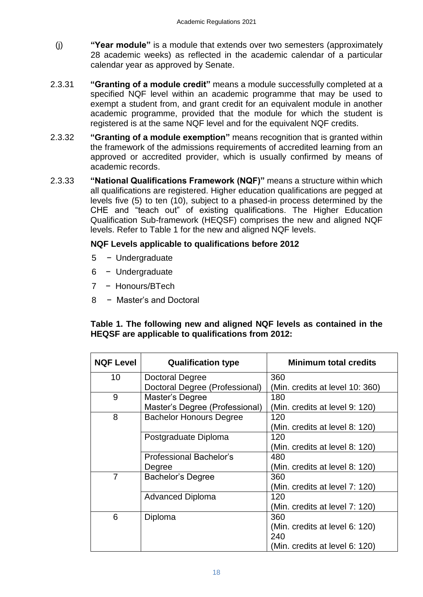- <span id="page-17-3"></span>(j) **"Year module"** is a module that extends over two semesters (approximately 28 academic weeks) as reflected in the academic calendar of a particular calendar year as approved by Senate.
- <span id="page-17-0"></span>2.3.31 **"Granting of a module credit"** means a module successfully completed at a specified NQF level within an academic programme that may be used to exempt a student from, and grant credit for an equivalent module in another academic programme, provided that the module for which the student is registered is at the same NQF level and for the equivalent NQF credits.
- <span id="page-17-1"></span>2.3.32 **"Granting of a module exemption"** means recognition that is granted within the framework of the admissions requirements of accredited learning from an approved or accredited provider, which is usually confirmed by means of academic records.
- <span id="page-17-2"></span>2.3.33 **"National Qualifications Framework (NQF)"** means a structure within which all qualifications are registered. Higher education qualifications are pegged at levels five (5) to ten (10), subject to a phased-in process determined by the CHE and "teach out" of existing qualifications. The Higher Education Qualification Sub-framework (HEQSF) comprises the new and aligned NQF levels. Refer to Table 1 for the new and aligned NQF levels.

## **NQF Levels applicable to qualifications before 2012**

- 5 − Undergraduate
- 6 − Undergraduate
- 7 − Honours/BTech
- 8 − Master's and Doctoral

## **Table 1. The following new and aligned NQF levels as contained in the HEQSF are applicable to qualifications from 2012:**

| <b>NQF Level</b> | <b>Qualification type</b>      | <b>Minimum total credits</b>    |
|------------------|--------------------------------|---------------------------------|
| 10               | Doctoral Degree                | 360                             |
|                  | Doctoral Degree (Professional) | (Min. credits at level 10: 360) |
| 9                | Master's Degree                | 180                             |
|                  | Master's Degree (Professional) | (Min. credits at level 9: 120)  |
| 8                | <b>Bachelor Honours Degree</b> | 120                             |
|                  |                                | (Min. credits at level 8: 120)  |
|                  | Postgraduate Diploma           | 120                             |
|                  |                                | (Min. credits at level 8: 120)  |
|                  | <b>Professional Bachelor's</b> | 480                             |
|                  | Degree                         | (Min. credits at level 8: 120)  |
| $\overline{7}$   | Bachelor's Degree              | 360                             |
|                  |                                | (Min. credits at level 7: 120)  |
|                  | <b>Advanced Diploma</b>        | 120                             |
|                  |                                | (Min. credits at level 7: 120)  |
| 6                | Diploma                        | 360                             |
|                  |                                | (Min. credits at level 6: 120)  |
|                  |                                | 240                             |
|                  |                                | (Min. credits at level 6: 120)  |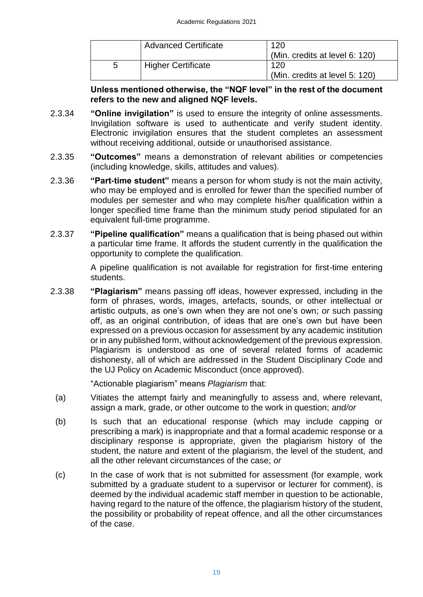|   | <b>Advanced Certificate</b> | 120                            |
|---|-----------------------------|--------------------------------|
|   |                             | (Min. credits at level 6: 120) |
| b | <b>Higher Certificate</b>   | 120                            |
|   |                             | (Min. credits at level 5: 120) |

<span id="page-18-0"></span>**Unless mentioned otherwise, the "NQF level" in the rest of the document refers to the new and aligned NQF levels.**

- 2.3.34 **"Online invigilation"** is used to ensure the integrity of online assessments. Invigilation software is used to authenticate and verify student identity. Electronic invigilation ensures that the student completes an assessment without receiving additional, outside or unauthorised assistance.
- <span id="page-18-1"></span>2.3.35 **"Outcomes"** means a demonstration of relevant abilities or competencies (including knowledge, skills, attitudes and values).
- <span id="page-18-2"></span>2.3.36 **"Part-time student"** means a person for whom study is not the main activity, who may be employed and is enrolled for fewer than the specified number of modules per semester and who may complete his/her qualification within a longer specified time frame than the minimum study period stipulated for an equivalent full-time programme.
- 2.3.37 **"Pipeline qualification"** means a qualification that is being phased out within a particular time frame. It affords the student currently in the qualification the opportunity to complete the qualification.

<span id="page-18-4"></span><span id="page-18-3"></span>A pipeline qualification is not available for registration for first-time entering students.

2.3.38 **"Plagiarism"** means passing off ideas, however expressed, including in the form of phrases, words, images, artefacts, sounds, or other intellectual or artistic outputs, as one's own when they are not one's own; *or* such passing off, as an original contribution, of ideas that are one's own but have been expressed on a previous occasion for assessment by any academic institution or in any published form, without acknowledgement of the previous expression. Plagiarism is understood as one of several related forms of academic dishonesty, all of which are addressed in the Student Disciplinary Code and the UJ Policy on Academic Misconduct (once approved).

"Actionable plagiarism" means *Plagiarism* that:

- (a) Vitiates the attempt fairly and meaningfully to assess and, where relevant, assign a mark, grade, or other outcome to the work in question; *and/or*
- (b) Is such that an educational response (which may include capping or prescribing a mark) is inappropriate and that a formal academic response or a disciplinary response is appropriate, given the plagiarism history of the student, the nature and extent of the plagiarism, the level of the student, and all the other relevant circumstances of the case; *or*
- (c) In the case of work that is not submitted for assessment (for example, work submitted by a graduate student to a supervisor or lecturer for comment), is deemed by the individual academic staff member in question to be actionable, having regard to the nature of the offence, the plagiarism history of the student, the possibility or probability of repeat offence, and all the other circumstances of the case.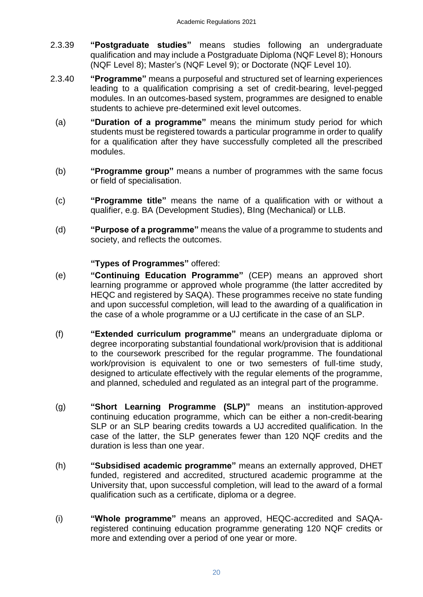- <span id="page-19-3"></span>2.3.39 **"Postgraduate studies"** means studies following an undergraduate qualification and may include a Postgraduate Diploma (NQF Level 8); Honours (NQF Level 8); Master's (NQF Level 9); or Doctorate (NQF Level 10).
- <span id="page-19-5"></span><span id="page-19-4"></span><span id="page-19-1"></span>2.3.40 **"Programme"** means a purposeful and structured set of learning experiences leading to a qualification comprising a set of credit-bearing, level-pegged modules. In an outcomes-based system, programmes are designed to enable students to achieve pre-determined exit level outcomes.
	- (a) **"Duration of a programme"** means the minimum study period for which students must be registered towards a particular programme in order to qualify for a qualification after they have successfully completed all the prescribed modules.
	- (b) **"Programme group"** means a number of programmes with the same focus or field of specialisation.
	- (c) **"Programme title"** means the name of a qualification with or without a qualifier, e.g. BA (Development Studies), BIng (Mechanical) or LLB.
	- (d) **"Purpose of a programme"** means the value of a programme to students and society, and reflects the outcomes.

## **"Types of Programmes"** offered:

- <span id="page-19-7"></span><span id="page-19-6"></span><span id="page-19-0"></span>(e) **"Continuing Education Programme"** (CEP) means an approved short learning programme or approved whole programme (the latter accredited by HEQC and registered by SAQA). These programmes receive no state funding and upon successful completion, will lead to the awarding of a qualification in the case of a whole programme or a UJ certificate in the case of an SLP.
- <span id="page-19-2"></span>(f) **"Extended curriculum programme"** means an undergraduate diploma or degree incorporating substantial foundational work/provision that is additional to the coursework prescribed for the regular programme. The foundational work/provision is equivalent to one or two semesters of full-time study, designed to articulate effectively with the regular elements of the programme, and planned, scheduled and regulated as an integral part of the programme.
- <span id="page-19-8"></span>(g) **"Short Learning Programme (SLP)"** means an institution-approved continuing education programme, which can be either a non-credit-bearing SLP or an SLP bearing credits towards a UJ accredited qualification. In the case of the latter, the SLP generates fewer than 120 NQF credits and the duration is less than one year.
- <span id="page-19-9"></span>(h) **"Subsidised academic programme"** means an externally approved, DHET funded, registered and accredited, structured academic programme at the University that, upon successful completion, will lead to the award of a formal qualification such as a certificate, diploma or a degree.
- <span id="page-19-10"></span>(i) **"Whole programme"** means an approved, HEQC-accredited and SAQAregistered continuing education programme generating 120 NQF credits or more and extending over a period of one year or more.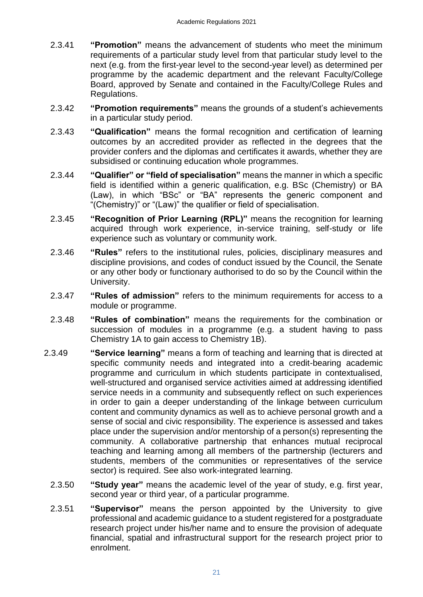- <span id="page-20-0"></span>2.3.41 **"Promotion"** means the advancement of students who meet the minimum requirements of a particular study level from that particular study level to the next (e.g. from the first-year level to the second-year level) as determined per programme by the academic department and the relevant Faculty/College Board, approved by Senate and contained in the Faculty/College Rules and Regulations.
- <span id="page-20-1"></span>2.3.42 **"Promotion requirements"** means the grounds of a student's achievements in a particular study period.
- <span id="page-20-2"></span>2.3.43 **"Qualification"** means the formal recognition and certification of learning outcomes by an accredited provider as reflected in the degrees that the provider confers and the diplomas and certificates it awards, whether they are subsidised or continuing education whole programmes.
- <span id="page-20-3"></span>2.3.44 **"Qualifier" or "field of specialisation"** means the manner in which a specific field is identified within a generic qualification, e.g. BSc (Chemistry) or BA (Law), in which "BSc" or "BA" represents the generic component and "(Chemistry)" or "(Law)" the qualifier or field of specialisation.
- <span id="page-20-4"></span>2.3.45 **"Recognition of Prior Learning (RPL)"** means the recognition for learning acquired through work experience, in-service training, self-study or life experience such as voluntary or community work.
- <span id="page-20-5"></span>2.3.46 **"Rules"** refers to the institutional rules, policies, disciplinary measures and discipline provisions, and codes of conduct issued by the Council, the Senate or any other body or functionary authorised to do so by the Council within the University.
- <span id="page-20-6"></span>2.3.47 **"Rules of admission"** refers to the minimum requirements for access to a module or programme.
- <span id="page-20-7"></span>2.3.48 **"Rules of combination"** means the requirements for the combination or succession of modules in a programme (e.g. a student having to pass Chemistry 1A to gain access to Chemistry 1B).
- <span id="page-20-10"></span><span id="page-20-9"></span><span id="page-20-8"></span>2.3.49 **"Service learning"** means a form of teaching and learning that is directed at specific community needs and integrated into a credit-bearing academic programme and curriculum in which students participate in contextualised, well-structured and organised service activities aimed at addressing identified service needs in a community and subsequently reflect on such experiences in order to gain a deeper understanding of the linkage between curriculum content and community dynamics as well as to achieve personal growth and a sense of social and civic responsibility. The experience is assessed and takes place under the supervision and/or mentorship of a person(s) representing the community. A collaborative partnership that enhances mutual reciprocal teaching and learning among all members of the partnership (lecturers and students, members of the communities or representatives of the service sector) is required. See also work-integrated learning.
	- 2.3.50 **"Study year"** means the academic level of the year of study, e.g. first year, second year or third year, of a particular programme.
	- 2.3.51 **"Supervisor"** means the person appointed by the University to give professional and academic guidance to a student registered for a postgraduate research project under his/her name and to ensure the provision of adequate financial, spatial and infrastructural support for the research project prior to enrolment.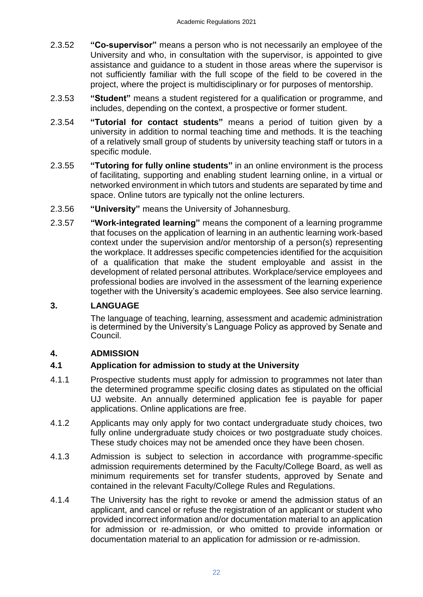- <span id="page-21-3"></span>2.3.52 **"Co-supervisor"** means a person who is not necessarily an employee of the University and who, in consultation with the supervisor, is appointed to give assistance and guidance to a student in those areas where the supervisor is not sufficiently familiar with the full scope of the field to be covered in the project, where the project is multidisciplinary or for purposes of mentorship.
- <span id="page-21-4"></span>2.3.53 **"Student"** means a student registered for a qualification or programme, and includes, depending on the context, a prospective or former student.
- <span id="page-21-5"></span>2.3.54 **"Tutorial for contact students"** means a period of tuition given by a university in addition to normal teaching time and methods. It is the teaching of a relatively small group of students by university teaching staff or tutors in a specific module.
- <span id="page-21-6"></span>2.3.55 **"Tutoring for fully online students"** in an online environment is the process of facilitating, supporting and enabling student learning online, in a virtual or networked environment in which tutors and students are separated by time and space. Online tutors are typically not the online lecturers.
- <span id="page-21-7"></span>2.3.56 **"University"** means the University of Johannesburg.
- <span id="page-21-8"></span>2.3.57 **"Work-integrated learning"** means the component of a learning programme that focuses on the application of learning in an authentic learning work-based context under the supervision and/or mentorship of a person(s) representing the workplace. It addresses specific competencies identified for the acquisition of a qualification that make the student employable and assist in the development of related personal attributes. Workplace/service employees and professional bodies are involved in the assessment of the learning experience together with the University's academic employees. See also service learning.

## **3. LANGUAGE**

<span id="page-21-1"></span><span id="page-21-0"></span>The language of teaching, learning, assessment and academic administration is determined by the University's Language Policy as approved by Senate and Council.

## **4. ADMISSION**

## <span id="page-21-2"></span>**4.1 Application for admission to study at the University**

- 4.1.1 Prospective students must apply for admission to programmes not later than the determined programme specific closing dates as stipulated on the official UJ website. An annually determined application fee is payable for paper applications. Online applications are free.
- 4.1.2 Applicants may only apply for two contact undergraduate study choices, two fully online undergraduate study choices or two postgraduate study choices. These study choices may not be amended once they have been chosen.
- 4.1.3 Admission is subject to selection in accordance with programme-specific admission requirements determined by the Faculty/College Board, as well as minimum requirements set for transfer students, approved by Senate and contained in the relevant Faculty/College Rules and Regulations.
- 4.1.4 The University has the right to revoke or amend the admission status of an applicant, and cancel or refuse the registration of an applicant or student who provided incorrect information and/or documentation material to an application for admission or re-admission, or who omitted to provide information or documentation material to an application for admission or re-admission.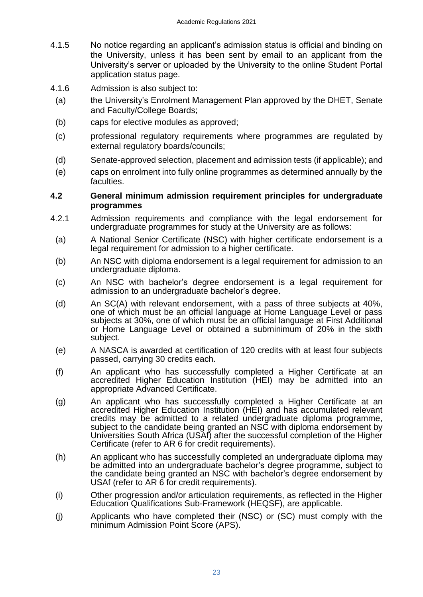- 4.1.5 No notice regarding an applicant's admission status is official and binding on the University, unless it has been sent by email to an applicant from the University's server or uploaded by the University to the online Student Portal application status page.
- 4.1.6 Admission is also subject to:
- (a) the University's Enrolment Management Plan approved by the DHET, Senate and Faculty/College Boards;
- (b) caps for elective modules as approved;
- (c) professional regulatory requirements where programmes are regulated by external regulatory boards/councils;
- (d) Senate-approved selection, placement and admission tests (if applicable); and
- (e) caps on enrolment into fully online programmes as determined annually by the faculties.

## <span id="page-22-0"></span>**4.2 General minimum admission requirement principles for undergraduate programmes**

- 4.2.1 Admission requirements and compliance with the legal endorsement for undergraduate programmes for study at the University are as follows:
	- (a) A National Senior Certificate (NSC) with higher certificate endorsement is a legal requirement for admission to a higher certificate.
	- (b) An NSC with diploma endorsement is a legal requirement for admission to an undergraduate diploma.
	- (c) An NSC with bachelor's degree endorsement is a legal requirement for admission to an undergraduate bachelor's degree.
	- (d) An SC(A) with relevant endorsement, with a pass of three subjects at 40%, one of which must be an official language at Home Language Level or pass subjects at 30%, one of which must be an official language at First Additional or Home Language Level or obtained a subminimum of 20% in the sixth subject.
	- (e) A NASCA is awarded at certification of 120 credits with at least four subjects passed, carrying 30 credits each.
	- (f) An applicant who has successfully completed a Higher Certificate at an accredited Higher Education Institution (HEI) may be admitted into an appropriate Advanced Certificate.
	- (g) An applicant who has successfully completed a Higher Certificate at an accredited Higher Education Institution (HEI) and has accumulated relevant credits may be admitted to a related undergraduate diploma programme, subject to the candidate being granted an NSC with diploma endorsement by Universities South Africa (USAf) after the successful completion of the Higher Certificate (refer to AR 6 for credit requirements).
	- (h) An applicant who has successfully completed an undergraduate diploma may be admitted into an undergraduate bachelor's degree programme, subject to the candidate being granted an NSC with bachelor's degree endorsement by USAf (refer to AR 6 for credit requirements).
	- (i) Other progression and/or articulation requirements, as reflected in the Higher Education Qualifications Sub-Framework (HEQSF), are applicable.
	- (j) Applicants who have completed their (NSC) or (SC) must comply with the minimum Admission Point Score (APS).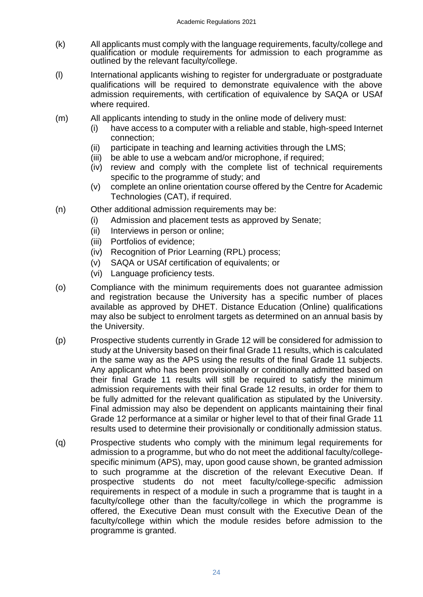- (k) All applicants must comply with the language requirements, faculty/college and qualification or module requirements for admission to each programme as outlined by the relevant faculty/college.
- (l) International applicants wishing to register for undergraduate or postgraduate qualifications will be required to demonstrate equivalence with the above admission requirements, with certification of equivalence by SAQA or USAf where required.
- (m) All applicants intending to study in the online mode of delivery must:
	- (i) have access to a computer with a reliable and stable, high-speed Internet connection;
	- (ii) participate in teaching and learning activities through the LMS;
	- (iii) be able to use a webcam and/or microphone, if required;
	- (iv) review and comply with the complete list of technical requirements specific to the programme of study; and
	- (v) complete an online orientation course offered by the Centre for Academic Technologies (CAT), if required.
- (n) Other additional admission requirements may be:
	- (i) Admission and placement tests as approved by Senate;
		- (ii) Interviews in person or online;
		- (iii) Portfolios of evidence;
		- (iv) Recognition of Prior Learning (RPL) process;
		- (v) SAQA or USAf certification of equivalents; or
		- (vi) Language proficiency tests.
- (o) Compliance with the minimum requirements does not guarantee admission and registration because the University has a specific number of places available as approved by DHET. Distance Education (Online) qualifications may also be subject to enrolment targets as determined on an annual basis by the University.
- (p) Prospective students currently in Grade 12 will be considered for admission to study at the University based on their final Grade 11 results, which is calculated in the same way as the APS using the results of the final Grade 11 subjects. Any applicant who has been provisionally or conditionally admitted based on their final Grade 11 results will still be required to satisfy the minimum admission requirements with their final Grade 12 results, in order for them to be fully admitted for the relevant qualification as stipulated by the University. Final admission may also be dependent on applicants maintaining their final Grade 12 performance at a similar or higher level to that of their final Grade 11 results used to determine their provisionally or conditionally admission status.
- (q) Prospective students who comply with the minimum legal requirements for admission to a programme, but who do not meet the additional faculty/collegespecific minimum (APS), may, upon good cause shown, be granted admission to such programme at the discretion of the relevant Executive Dean. If prospective students do not meet faculty/college-specific admission requirements in respect of a module in such a programme that is taught in a faculty/college other than the faculty/college in which the programme is offered, the Executive Dean must consult with the Executive Dean of the faculty/college within which the module resides before admission to the programme is granted.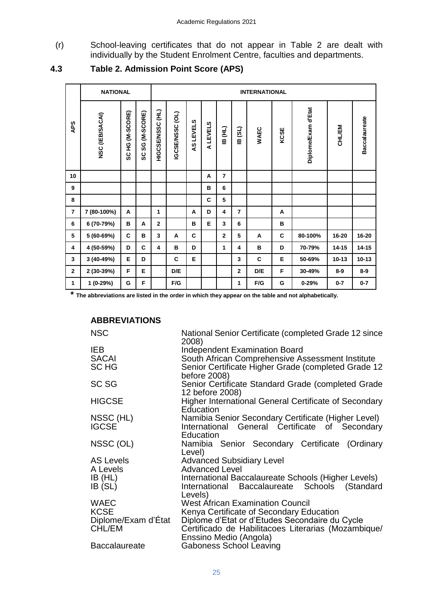(r) School-leaving certificates that do not appear in Table 2 are dealt with individually by the Student Enrolment Centre, faculties and departments.

<span id="page-24-0"></span>

|                         | <b>NATIONAL</b> |                 |                         | <b>INTERNATIONAL</b> |                 |           |          |                         |                |             |      |                     |           |                      |
|-------------------------|-----------------|-----------------|-------------------------|----------------------|-----------------|-----------|----------|-------------------------|----------------|-------------|------|---------------------|-----------|----------------------|
| APS                     | NSC (IEB/SACAI) | SC HG (M-SCORE) | (M-SCORE)<br>ပ္တ<br>ပ္တ | HIGCSE/NSSC (HL)     | IGCSE/NSSC (OL) | AS LEVELS | A LEVELS | IB (HL)                 | (3L)<br>₫      | <b>WAEC</b> | KCSE | Diplome/Exam d'Etat | CHL/EM    | <b>Baccalaureate</b> |
| 10                      |                 |                 |                         |                      |                 |           | A        | $\overline{7}$          |                |             |      |                     |           |                      |
| 9                       |                 |                 |                         |                      |                 |           | B        | 6                       |                |             |      |                     |           |                      |
| 8                       |                 |                 |                         |                      |                 |           | C        | 5                       |                |             |      |                     |           |                      |
| $\overline{\mathbf{r}}$ | 7 (80-100%)     | A               |                         | 1                    |                 | A         | D        | 4                       | $\overline{7}$ |             | A    |                     |           |                      |
| 6                       | 6 (70-79%)      | в               | A                       | $\overline{2}$       |                 | в         | Е        | $\overline{\mathbf{3}}$ | 6              |             | В    |                     |           |                      |
| 5                       | 5 (60-69%)      | C               | в                       | 3                    | A               | C         |          | $\overline{2}$          | 5              | A           | C    | 80-100%             | 16-20     | 16-20                |
| 4                       | 4 (50-59%)      | D               | C                       | 4                    | в               | D         |          | 1                       | 4              | B           | D    | 70-79%              | 14-15     | $14 - 15$            |
| 3                       | 3 (40-49%)      | Е               | D                       |                      | C               | E         |          |                         | 3              | C           | Е    | 50-69%              | $10 - 13$ | $10 - 13$            |
| $\mathbf{2}$            | 2 (30-39%)      | F               | E                       |                      | D/E             |           |          |                         | $\overline{2}$ | D/E         | F    | 30-49%              | $8-9$     | $8-9$                |
| $\mathbf{1}$            | 1 (0-29%)       | G               | F                       |                      | F/G             |           |          |                         | 1              | F/G         | G    | $0 - 29%$           | $0 - 7$   | $0 - 7$              |

## **4.3 Table 2. Admission Point Score (APS)**

**\* The abbreviations are listed in the order in which they appear on the table and not alphabetically.**

## **ABBREVIATIONS**

| <b>NSC</b>           | National Senior Certificate (completed Grade 12 since<br>2008)        |
|----------------------|-----------------------------------------------------------------------|
| <b>IEB</b>           | <b>Independent Examination Board</b>                                  |
| <b>SACAI</b>         | South African Comprehensive Assessment Institute                      |
| SC HG                | Senior Certificate Higher Grade (completed Grade 12<br>before 2008)   |
| SC SG                | Senior Certificate Standard Grade (completed Grade<br>12 before 2008) |
| <b>HIGCSE</b>        | <b>Higher International General Certificate of Secondary</b>          |
|                      | Education                                                             |
| NSSC (HL)            | Namibia Senior Secondary Certificate (Higher Level)                   |
| <b>IGCSE</b>         | International General Certificate of Secondary                        |
|                      | Education                                                             |
| NSSC (OL)            | Namibia Senior Secondary Certificate (Ordinary                        |
|                      | Level)                                                                |
| <b>AS Levels</b>     | <b>Advanced Subsidiary Level</b>                                      |
| A Levels             | <b>Advanced Level</b>                                                 |
| IB(HL)               | International Baccalaureate Schools (Higher Levels)                   |
| IB (SL)              | International Baccalaureate Schools (Standard<br>Levels)              |
| <b>WAEC</b>          | <b>West African Examination Council</b>                               |
| <b>KCSE</b>          | Kenya Certificate of Secondary Education                              |
| Diplome/Exam d'État  | Diplome d'Etat or d'Etudes Secondaire du Cycle                        |
| CHL/EM               | Certificado de Habilitacoes Literarias (Mozambique/                   |
|                      | Enssino Medio (Angola)                                                |
| <b>Baccalaureate</b> | <b>Gaboness School Leaving</b>                                        |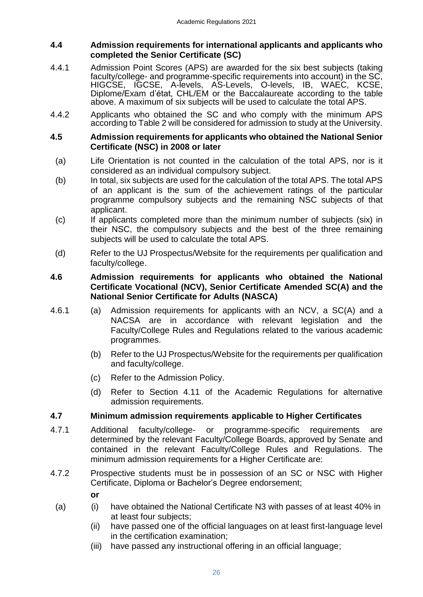## <span id="page-25-0"></span>**4.4 Admission requirements for international applicants and applicants who completed the Senior Certificate (SC)**

- 4.4.1 Admission Point Scores (APS) are awarded for the six best subjects (taking faculty/college- and programme-specific requirements into account) in the SC, HIGCSE, IGCSE, A-levels, AS-Levels, O-levels, IB, WAEC, KCSE, Diplome/Exam d'état, CHL/EM or the Baccalaureate according to the table above. A maximum of six subjects will be used to calculate the total APS.
- 4.4.2 Applicants who obtained the SC and who comply with the minimum APS according to Table 2 will be considered for admission to study at the University.

## <span id="page-25-1"></span>**4.5 Admission requirements for applicants who obtained the National Senior Certificate (NSC) in 2008 or later**

- (a) Life Orientation is not counted in the calculation of the total APS, nor is it considered as an individual compulsory subject.
- (b) In total, six subjects are used for the calculation of the total APS. The total APS of an applicant is the sum of the achievement ratings of the particular programme compulsory subjects and the remaining NSC subjects of that applicant.
- (c) If applicants completed more than the minimum number of subjects (six) in their NSC, the compulsory subjects and the best of the three remaining subjects will be used to calculate the total APS.
- (d) Refer to the UJ Prospectus/Website for the requirements per qualification and faculty/college.

## <span id="page-25-2"></span>**4.6 Admission requirements for applicants who obtained the National Certificate Vocational (NCV), Senior Certificate Amended SC(A) and the National Senior Certificate for Adults (NASCA)**

- 4.6.1 (a) Admission requirements for applicants with an NCV, a SC(A) and a NACSA are in accordance with relevant legislation and the Faculty/College Rules and Regulations related to the various academic programmes.
	- (b) Refer to the UJ Prospectus/Website for the requirements per qualification and faculty/college.
	- (c) Refer to the Admission Policy.
	- (d) Refer to Section 4.11 of the Academic Regulations for alternative admission requirements.

## <span id="page-25-3"></span>**4.7 Minimum admission requirements applicable to Higher Certificates**

- 4.7.1 Additional faculty/college- or programme-specific requirements are determined by the relevant Faculty/College Boards, approved by Senate and contained in the relevant Faculty/College Rules and Regulations. The minimum admission requirements for a Higher Certificate are:
- 4.7.2 Prospective students must be in possession of an SC or NSC with Higher Certificate, Diploma or Bachelor's Degree endorsement;

**or**

- (a) (i) have obtained the National Certificate N3 with passes of at least 40% in at least four subjects;
	- (ii) have passed one of the official languages on at least first-language level in the certification examination;
	- (iii) have passed any instructional offering in an official language;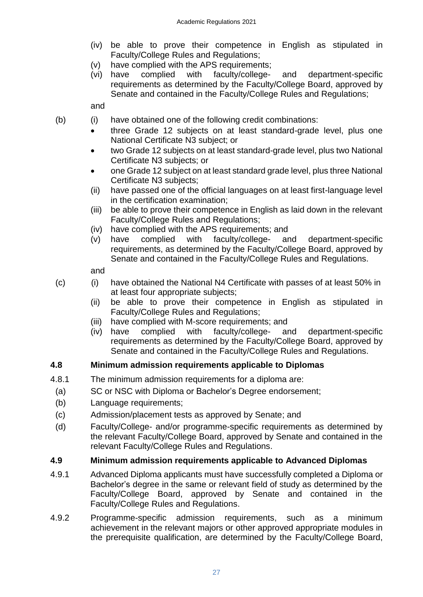- (iv) be able to prove their competence in English as stipulated in Faculty/College Rules and Regulations;
- (v) have complied with the APS requirements;
- (vi) have complied with faculty/college- and department-specific requirements as determined by the Faculty/College Board, approved by Senate and contained in the Faculty/College Rules and Regulations;

and

- (b) (i) have obtained one of the following credit combinations:
	- three Grade 12 subjects on at least standard-grade level, plus one National Certificate N3 subject; or
	- two Grade 12 subjects on at least standard-grade level, plus two National Certificate N3 subjects; or
	- one Grade 12 subject on at least standard grade level, plus three National Certificate N3 subjects;
	- (ii) have passed one of the official languages on at least first-language level in the certification examination;
	- (iii) be able to prove their competence in English as laid down in the relevant Faculty/College Rules and Regulations;
	- (iv) have complied with the APS requirements; and
	- (v) have complied with faculty/college- and department-specific requirements, as determined by the Faculty/College Board, approved by Senate and contained in the Faculty/College Rules and Regulations.

and

- (c) (i) have obtained the National N4 Certificate with passes of at least 50% in at least four appropriate subjects;
	- (ii) be able to prove their competence in English as stipulated in Faculty/College Rules and Regulations;
	- (iii) have complied with M-score requirements; and
	- (iv) have complied with faculty/college- and department-specific requirements as determined by the Faculty/College Board, approved by Senate and contained in the Faculty/College Rules and Regulations.

## <span id="page-26-0"></span>**4.8 Minimum admission requirements applicable to Diplomas**

- 4.8.1 The minimum admission requirements for a diploma are:
- (a) SC or NSC with Diploma or Bachelor's Degree endorsement;
- (b) Language requirements;
- (c) Admission/placement tests as approved by Senate; and
- (d) Faculty/College- and/or programme-specific requirements as determined by the relevant Faculty/College Board, approved by Senate and contained in the relevant Faculty/College Rules and Regulations.

## <span id="page-26-1"></span>**4.9 Minimum admission requirements applicable to Advanced Diplomas**

- 4.9.1 Advanced Diploma applicants must have successfully completed a Diploma or Bachelor's degree in the same or relevant field of study as determined by the Faculty/College Board, approved by Senate and contained in the Faculty/College Rules and Regulations.
- 4.9.2 Programme-specific admission requirements, such as a minimum achievement in the relevant majors or other approved appropriate modules in the prerequisite qualification, are determined by the Faculty/College Board,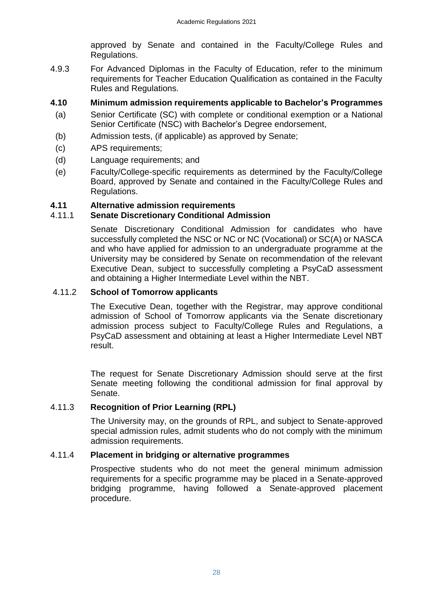approved by Senate and contained in the Faculty/College Rules and Regulations.

4.9.3 For Advanced Diplomas in the Faculty of Education, refer to the minimum requirements for Teacher Education Qualification as contained in the Faculty Rules and Regulations.

## **4.10 Minimum admission requirements applicable to Bachelor's Programmes**

- <span id="page-27-0"></span>(a) Senior Certificate (SC) with complete or conditional exemption or a National Senior Certificate (NSC) with Bachelor's Degree endorsement,
- (b) Admission tests, (if applicable) as approved by Senate;
- (c) APS requirements;
- (d) Language requirements; and
- (e) Faculty/College-specific requirements as determined by the Faculty/College Board, approved by Senate and contained in the Faculty/College Rules and Regulations.

## **4.11 Alternative admission requirements**

## 4.11.1 **Senate Discretionary Conditional Admission**

<span id="page-27-2"></span><span id="page-27-1"></span>Senate Discretionary Conditional Admission for candidates who have successfully completed the NSC or NC or NC (Vocational) or SC(A) or NASCA and who have applied for admission to an undergraduate programme at the University may be considered by Senate on recommendation of the relevant Executive Dean, subject to successfully completing a PsyCaD assessment and obtaining a Higher Intermediate Level within the NBT.

## 4.11.2 **School of Tomorrow applicants**

<span id="page-27-3"></span>The Executive Dean, together with the Registrar, may approve conditional admission of School of Tomorrow applicants via the Senate discretionary admission process subject to Faculty/College Rules and Regulations, a PsyCaD assessment and obtaining at least a Higher Intermediate Level NBT result.

The request for Senate Discretionary Admission should serve at the first Senate meeting following the conditional admission for final approval by Senate.

## 4.11.3 **Recognition of Prior Learning (RPL)**

<span id="page-27-4"></span>The University may, on the grounds of RPL, and subject to Senate-approved special admission rules, admit students who do not comply with the minimum admission requirements.

## 4.11.4 **Placement in bridging or alternative programmes**

<span id="page-27-5"></span>Prospective students who do not meet the general minimum admission requirements for a specific programme may be placed in a Senate-approved bridging programme, having followed a Senate-approved placement procedure.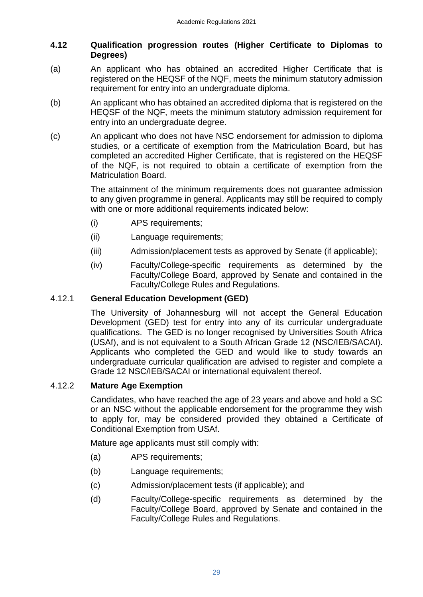## <span id="page-28-0"></span>**4.12 Qualification progression routes (Higher Certificate to Diplomas to Degrees)**

- (a) An applicant who has obtained an accredited Higher Certificate that is registered on the HEQSF of the NQF, meets the minimum statutory admission requirement for entry into an undergraduate diploma.
- (b) An applicant who has obtained an accredited diploma that is registered on the HEQSF of the NQF, meets the minimum statutory admission requirement for entry into an undergraduate degree.
- (c) An applicant who does not have NSC endorsement for admission to diploma studies, or a certificate of exemption from the Matriculation Board, but has completed an accredited Higher Certificate, that is registered on the HEQSF of the NQF, is not required to obtain a certificate of exemption from the Matriculation Board.

The attainment of the minimum requirements does not guarantee admission to any given programme in general. Applicants may still be required to comply with one or more additional requirements indicated below:

- (i) APS requirements;
- (ii) Language requirements;
- (iii) Admission/placement tests as approved by Senate (if applicable);
- (iv) Faculty/College-specific requirements as determined by the Faculty/College Board, approved by Senate and contained in the Faculty/College Rules and Regulations.

## 4.12.1 **General Education Development (GED)**

<span id="page-28-1"></span>The University of Johannesburg will not accept the General Education Development (GED) test for entry into any of its curricular undergraduate qualifications. The GED is no longer recognised by Universities South Africa (USAf), and is not equivalent to a South African Grade 12 (NSC/IEB/SACAI). Applicants who completed the GED and would like to study towards an undergraduate curricular qualification are advised to register and complete a Grade 12 NSC/IEB/SACAI or international equivalent thereof.

## 4.12.2 **Mature Age Exemption**

<span id="page-28-2"></span>Candidates, who have reached the age of 23 years and above and hold a SC or an NSC without the applicable endorsement for the programme they wish to apply for, may be considered provided they obtained a Certificate of Conditional Exemption from USAf.

Mature age applicants must still comply with:

- (a) APS requirements;
- (b) Language requirements;
- (c) Admission/placement tests (if applicable); and
- (d) Faculty/College-specific requirements as determined by the Faculty/College Board, approved by Senate and contained in the Faculty/College Rules and Regulations.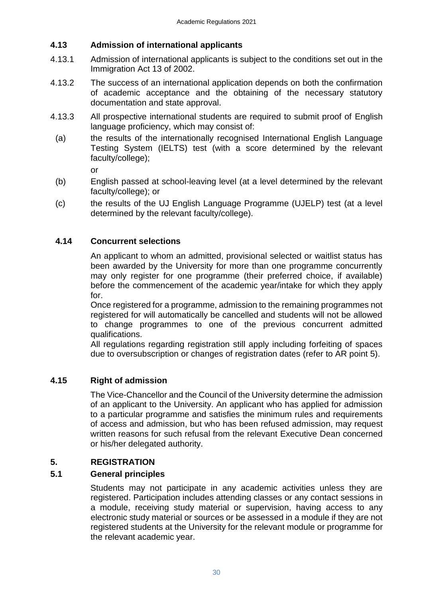## <span id="page-29-0"></span>**4.13 Admission of international applicants**

- 4.13.1 Admission of international applicants is subject to the conditions set out in the Immigration Act 13 of 2002.
- 4.13.2 The success of an international application depends on both the confirmation of academic acceptance and the obtaining of the necessary statutory documentation and state approval.
- 4.13.3 All prospective international students are required to submit proof of English language proficiency, which may consist of:
	- (a) the results of the internationally recognised International English Language Testing System (IELTS) test (with a score determined by the relevant faculty/college);

or

- (b) English passed at school-leaving level (at a level determined by the relevant faculty/college); or
- (c) the results of the UJ English Language Programme (UJELP) test (at a level determined by the relevant faculty/college).

## **4.14 Concurrent selections**

<span id="page-29-1"></span>An applicant to whom an admitted, provisional selected or waitlist status has been awarded by the University for more than one programme concurrently may only register for one programme (their preferred choice, if available) before the commencement of the academic year/intake for which they apply for.

Once registered for a programme, admission to the remaining programmes not registered for will automatically be cancelled and students will not be allowed to change programmes to one of the previous concurrent admitted qualifications.

All regulations regarding registration still apply including forfeiting of spaces due to oversubscription or changes of registration dates (refer to AR point 5).

## **4.15 Right of admission**

<span id="page-29-2"></span>The Vice-Chancellor and the Council of the University determine the admission of an applicant to the University. An applicant who has applied for admission to a particular programme and satisfies the minimum rules and requirements of access and admission, but who has been refused admission, may request written reasons for such refusal from the relevant Executive Dean concerned or his/her delegated authority.

## **5. REGISTRATION**

## **5.1 General principles**

<span id="page-29-4"></span><span id="page-29-3"></span>Students may not participate in any academic activities unless they are registered. Participation includes attending classes or any contact sessions in a module, receiving study material or supervision, having access to any electronic study material or sources or be assessed in a module if they are not registered students at the University for the relevant module or programme for the relevant academic year.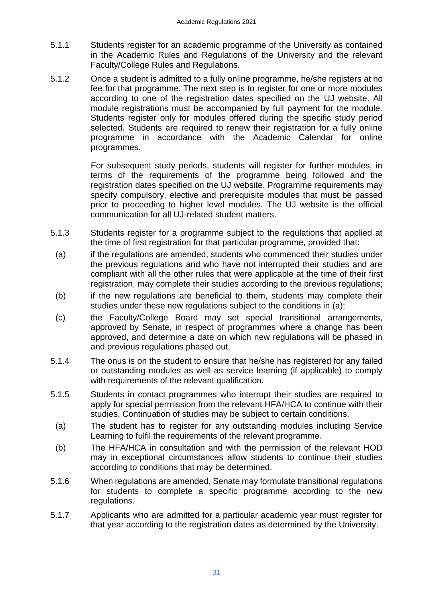- 5.1.1 Students register for an academic programme of the University as contained in the Academic Rules and Regulations of the University and the relevant Faculty/College Rules and Regulations.
- 5.1.2 Once a student is admitted to a fully online programme, he/she registers at no fee for that programme. The next step is to register for one or more modules according to one of the registration dates specified on the UJ website. All module registrations must be accompanied by full payment for the module. Students register only for modules offered during the specific study period selected. Students are required to renew their registration for a fully online programme in accordance with the Academic Calendar for online programmes.

For subsequent study periods, students will register for further modules, in terms of the requirements of the programme being followed and the registration dates specified on the UJ website. Programme requirements may specify compulsory, elective and prerequisite modules that must be passed prior to proceeding to higher level modules. The UJ website is the official communication for all UJ-related student matters.

- 5.1.3 Students register for a programme subject to the regulations that applied at the time of first registration for that particular programme, provided that:
	- (a) if the regulations are amended, students who commenced their studies under the previous regulations and who have not interrupted their studies and are compliant with all the other rules that were applicable at the time of their first registration, may complete their studies according to the previous regulations;
	- (b) if the new regulations are beneficial to them, students may complete their studies under these new regulations subject to the conditions in (a);
- (c) the Faculty/College Board may set special transitional arrangements, approved by Senate, in respect of programmes where a change has been approved, and determine a date on which new regulations will be phased in and previous regulations phased out.
- 5.1.4 The onus is on the student to ensure that he/she has registered for any failed or outstanding modules as well as service learning (if applicable) to comply with requirements of the relevant qualification.
- 5.1.5 Students in contact programmes who interrupt their studies are required to apply for special permission from the relevant HFA/HCA to continue with their studies. Continuation of studies may be subject to certain conditions.
	- (a) The student has to register for any outstanding modules including Service Learning to fulfil the requirements of the relevant programme.
	- (b) The HFA/HCA in consultation and with the permission of the relevant HOD may in exceptional circumstances allow students to continue their studies according to conditions that may be determined.
- 5.1.6 When regulations are amended, Senate may formulate transitional regulations for students to complete a specific programme according to the new regulations.
- 5.1.7 Applicants who are admitted for a particular academic year must register for that year according to the registration dates as determined by the University.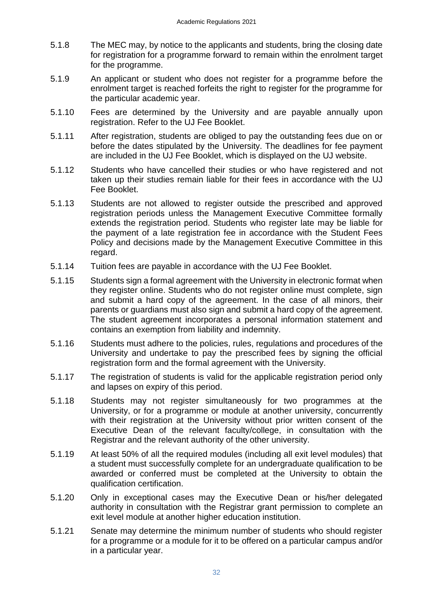- 5.1.8 The MEC may, by notice to the applicants and students, bring the closing date for registration for a programme forward to remain within the enrolment target for the programme.
- 5.1.9 An applicant or student who does not register for a programme before the enrolment target is reached forfeits the right to register for the programme for the particular academic year.
- 5.1.10 Fees are determined by the University and are payable annually upon registration. Refer to the UJ Fee Booklet.
- 5.1.11 After registration, students are obliged to pay the outstanding fees due on or before the dates stipulated by the University. The deadlines for fee payment are included in the UJ Fee Booklet, which is displayed on the UJ website.
- 5.1.12 Students who have cancelled their studies or who have registered and not taken up their studies remain liable for their fees in accordance with the UJ Fee Booklet.
- 5.1.13 Students are not allowed to register outside the prescribed and approved registration periods unless the Management Executive Committee formally extends the registration period. Students who register late may be liable for the payment of a late registration fee in accordance with the Student Fees Policy and decisions made by the Management Executive Committee in this regard.
- 5.1.14 Tuition fees are payable in accordance with the UJ Fee Booklet.
- 5.1.15 Students sign a formal agreement with the University in electronic format when they register online. Students who do not register online must complete, sign and submit a hard copy of the agreement. In the case of all minors, their parents or guardians must also sign and submit a hard copy of the agreement. The student agreement incorporates a personal information statement and contains an exemption from liability and indemnity.
- 5.1.16 Students must adhere to the policies, rules, regulations and procedures of the University and undertake to pay the prescribed fees by signing the official registration form and the formal agreement with the University.
- 5.1.17 The registration of students is valid for the applicable registration period only and lapses on expiry of this period.
- 5.1.18 Students may not register simultaneously for two programmes at the University, or for a programme or module at another university, concurrently with their registration at the University without prior written consent of the Executive Dean of the relevant faculty/college, in consultation with the Registrar and the relevant authority of the other university.
- 5.1.19 At least 50% of all the required modules (including all exit level modules) that a student must successfully complete for an undergraduate qualification to be awarded or conferred must be completed at the University to obtain the qualification certification.
- 5.1.20 Only in exceptional cases may the Executive Dean or his/her delegated authority in consultation with the Registrar grant permission to complete an exit level module at another higher education institution.
- 5.1.21 Senate may determine the minimum number of students who should register for a programme or a module for it to be offered on a particular campus and/or in a particular year.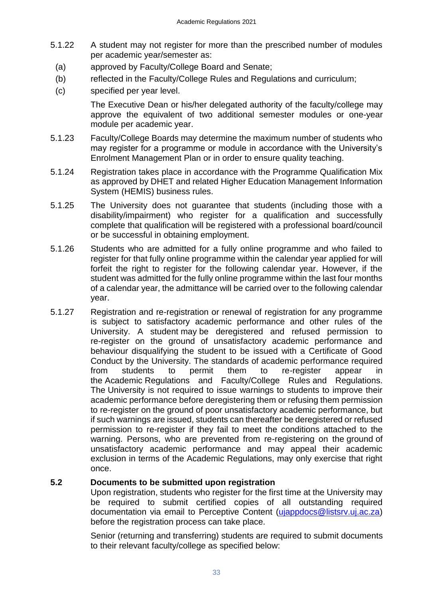- 5.1.22 A student may not register for more than the prescribed number of modules per academic year/semester as:
	- (a) approved by Faculty/College Board and Senate;
	- (b) reflected in the Faculty/College Rules and Regulations and curriculum;
	- (c) specified per year level.

The Executive Dean or his/her delegated authority of the faculty/college may approve the equivalent of two additional semester modules or one-year module per academic year.

- 5.1.23 Faculty/College Boards may determine the maximum number of students who may register for a programme or module in accordance with the University's Enrolment Management Plan or in order to ensure quality teaching.
- 5.1.24 Registration takes place in accordance with the Programme Qualification Mix as approved by DHET and related Higher Education Management Information System (HEMIS) business rules.
- 5.1.25 The University does not guarantee that students (including those with a disability/impairment) who register for a qualification and successfully complete that qualification will be registered with a professional board/council or be successful in obtaining employment.
- 5.1.26 Students who are admitted for a fully online programme and who failed to register for that fully online programme within the calendar year applied for will forfeit the right to register for the following calendar year. However, if the student was admitted for the fully online programme within the last four months of a calendar year, the admittance will be carried over to the following calendar year.
- 5.1.27 Registration and re-registration or renewal of registration for any programme is subject to satisfactory academic performance and other rules of the University. A student may be deregistered and refused permission to re-register on the ground of unsatisfactory academic performance and behaviour disqualifying the student to be issued with a Certificate of Good Conduct by the University. The standards of academic performance required from students to permit them to re-register appear in the Academic Regulations and Faculty/College Rules and Regulations. The University is not required to issue warnings to students to improve their academic performance before deregistering them or refusing them permission to re-register on the ground of poor unsatisfactory academic performance, but if such warnings are issued, students can thereafter be deregistered or refused permission to re-register if they fail to meet the conditions attached to the warning. Persons, who are prevented from re-registering on the ground of unsatisfactory academic performance and may appeal their academic exclusion in terms of the Academic Regulations, may only exercise that right once.

## **5.2 Documents to be submitted upon registration**

<span id="page-32-0"></span>Upon registration, students who register for the first time at the University may be required to submit certified copies of all outstanding required documentation via email to Perceptive Content [\(ujappdocs@listsrv.uj.ac.za\)](mailto:ujappdocs@listsrv.uj.ac.za) before the registration process can take place.

Senior (returning and transferring) students are required to submit documents to their relevant faculty/college as specified below: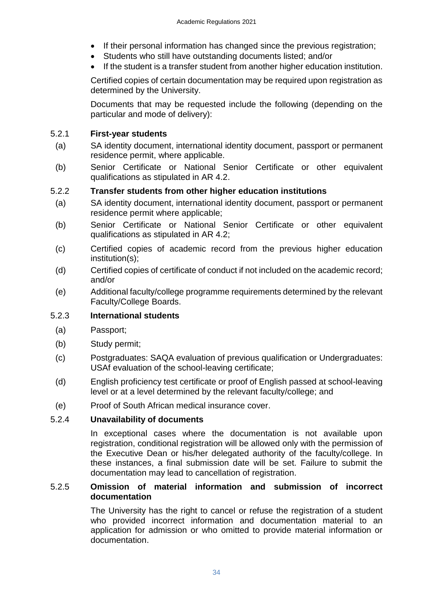- If their personal information has changed since the previous registration;
- Students who still have outstanding documents listed; and/or
- If the student is a transfer student from another higher education institution.

Certified copies of certain documentation may be required upon registration as determined by the University.

Documents that may be requested include the following (depending on the particular and mode of delivery):

## <span id="page-33-0"></span>5.2.1 **First-year students**

- (a) SA identity document, international identity document, passport or permanent residence permit, where applicable.
- (b) Senior Certificate or National Senior Certificate or other equivalent qualifications as stipulated in AR 4.2.

## <span id="page-33-1"></span>5.2.2 **Transfer students from other higher education institutions**

- (a) SA identity document, international identity document, passport or permanent residence permit where applicable;
- (b) Senior Certificate or National Senior Certificate or other equivalent qualifications as stipulated in AR 4.2;
- (c) Certified copies of academic record from the previous higher education institution(s);
- (d) Certified copies of certificate of conduct if not included on the academic record; and/or
- (e) Additional faculty/college programme requirements determined by the relevant Faculty/College Boards.

## 5.2.3 **International students**

- (a) Passport;
- (b) Study permit;
- (c) Postgraduates: SAQA evaluation of previous qualification or Undergraduates: USAf evaluation of the school-leaving certificate;
- (d) English proficiency test certificate or proof of English passed at school-leaving level or at a level determined by the relevant faculty/college; and
- (e) Proof of South African medical insurance cover.

## 5.2.4 **Unavailability of documents**

<span id="page-33-2"></span>In exceptional cases where the documentation is not available upon registration, conditional registration will be allowed only with the permission of the Executive Dean or his/her delegated authority of the faculty/college. In these instances, a final submission date will be set. Failure to submit the documentation may lead to cancellation of registration.

## 5.2.5 **Omission of material information and submission of incorrect documentation**

<span id="page-33-3"></span>The University has the right to cancel or refuse the registration of a student who provided incorrect information and documentation material to an application for admission or who omitted to provide material information or documentation.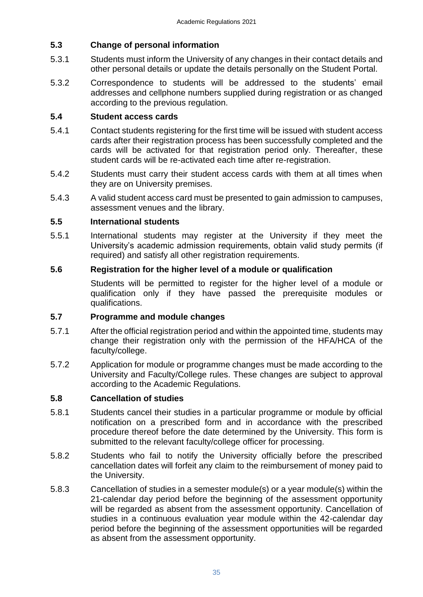## <span id="page-34-1"></span>**5.3 Change of personal information**

- 5.3.1 Students must inform the University of any changes in their contact details and other personal details or update the details personally on the Student Portal.
- 5.3.2 Correspondence to students will be addressed to the students' email addresses and cellphone numbers supplied during registration or as changed according to the previous regulation.

## <span id="page-34-2"></span>**5.4 Student access cards**

- 5.4.1 Contact students registering for the first time will be issued with student access cards after their registration process has been successfully completed and the cards will be activated for that registration period only. Thereafter, these student cards will be re-activated each time after re-registration.
- 5.4.2 Students must carry their student access cards with them at all times when they are on University premises.
- 5.4.3 A valid student access card must be presented to gain admission to campuses, assessment venues and the library.

## <span id="page-34-0"></span>**5.5 International students**

5.5.1 International students may register at the University if they meet the University's academic admission requirements, obtain valid study permits (if required) and satisfy all other registration requirements.

## **5.6 Registration for the higher level of a module or qualification**

<span id="page-34-4"></span><span id="page-34-3"></span>Students will be permitted to register for the higher level of a module or qualification only if they have passed the prerequisite modules or qualifications.

## **5.7 Programme and module changes**

- 5.7.1 After the official registration period and within the appointed time, students may change their registration only with the permission of the HFA/HCA of the faculty/college.
- 5.7.2 Application for module or programme changes must be made according to the University and Faculty/College rules. These changes are subject to approval according to the Academic Regulations.

## <span id="page-34-5"></span>**5.8 Cancellation of studies**

- 5.8.1 Students cancel their studies in a particular programme or module by official notification on a prescribed form and in accordance with the prescribed procedure thereof before the date determined by the University. This form is submitted to the relevant faculty/college officer for processing.
- 5.8.2 Students who fail to notify the University officially before the prescribed cancellation dates will forfeit any claim to the reimbursement of money paid to the University.
- 5.8.3 Cancellation of studies in a semester module(s) or a year module(s) within the 21-calendar day period before the beginning of the assessment opportunity will be regarded as absent from the assessment opportunity. Cancellation of studies in a continuous evaluation year module within the 42-calendar day period before the beginning of the assessment opportunities will be regarded as absent from the assessment opportunity.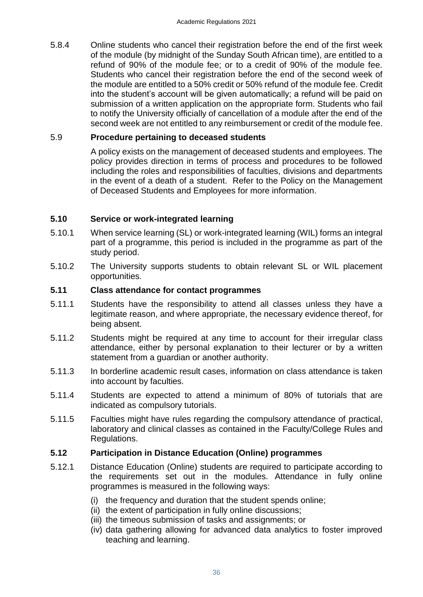5.8.4 Online students who cancel their registration before the end of the first week of the module (by midnight of the Sunday South African time), are entitled to a refund of 90% of the module fee; or to a credit of 90% of the module fee. Students who cancel their registration before the end of the second week of the module are entitled to a 50% credit or 50% refund of the module fee. Credit into the student's account will be given automatically; a refund will be paid on submission of a written application on the appropriate form. Students who fail to notify the University officially of cancellation of a module after the end of the second week are not entitled to any reimbursement or credit of the module fee.

## 5.9 **Procedure pertaining to deceased students**

<span id="page-35-0"></span>A policy exists on the management of deceased students and employees. The policy provides direction in terms of process and procedures to be followed including the roles and responsibilities of faculties, divisions and departments in the event of a death of a student. Refer to the Policy on the Management of Deceased Students and Employees for more information.

## <span id="page-35-1"></span>**5.10 Service or work-integrated learning**

- 5.10.1 When service learning (SL) or work-integrated learning (WIL) forms an integral part of a programme, this period is included in the programme as part of the study period.
- 5.10.2 The University supports students to obtain relevant SL or WIL placement opportunities.

## <span id="page-35-2"></span>**5.11 Class attendance for contact programmes**

- 5.11.1 Students have the responsibility to attend all classes unless they have a legitimate reason, and where appropriate, the necessary evidence thereof, for being absent.
- 5.11.2 Students might be required at any time to account for their irregular class attendance, either by personal explanation to their lecturer or by a written statement from a guardian or another authority.
- 5.11.3 In borderline academic result cases, information on class attendance is taken into account by faculties.
- 5.11.4 Students are expected to attend a minimum of 80% of tutorials that are indicated as compulsory tutorials.
- 5.11.5 Faculties might have rules regarding the compulsory attendance of practical, laboratory and clinical classes as contained in the Faculty/College Rules and Regulations.

## <span id="page-35-3"></span>**5.12 Participation in Distance Education (Online) programmes**

- 5.12.1 Distance Education (Online) students are required to participate according to the requirements set out in the modules. Attendance in fully online programmes is measured in the following ways:
	- (i) the frequency and duration that the student spends online;
	- (ii) the extent of participation in fully online discussions;
	- (iii) the timeous submission of tasks and assignments; or
	- (iv) data gathering allowing for advanced data analytics to foster improved teaching and learning.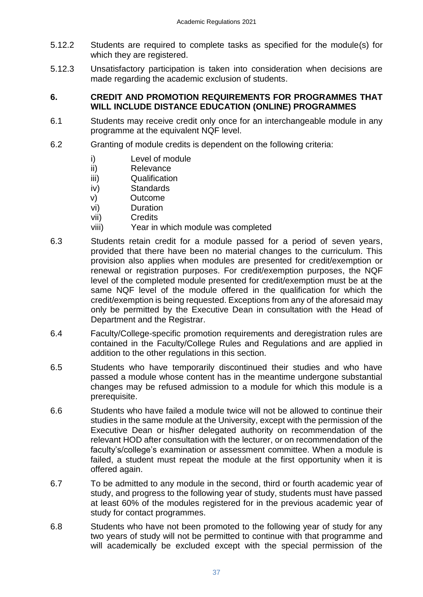- 5.12.2 Students are required to complete tasks as specified for the module(s) for which they are registered.
- 5.12.3 Unsatisfactory participation is taken into consideration when decisions are made regarding the academic exclusion of students.

## <span id="page-36-0"></span>**6. CREDIT AND PROMOTION REQUIREMENTS FOR PROGRAMMES THAT WILL INCLUDE DISTANCE EDUCATION (ONLINE) PROGRAMMES**

- 6.1 Students may receive credit only once for an interchangeable module in any programme at the equivalent NQF level.
- 6.2 Granting of module credits is dependent on the following criteria:
	- i) Level of module
	- ii) Relevance
	- iii) Qualification
	- iv) Standards
	- v) Outcome
	- vi) Duration
	- vii) Credits
	- viii) Year in which module was completed
- 6.3 Students retain credit for a module passed for a period of seven years, provided that there have been no material changes to the curriculum. This provision also applies when modules are presented for credit/exemption or renewal or registration purposes. For credit/exemption purposes, the NQF level of the completed module presented for credit/exemption must be at the same NQF level of the module offered in the qualification for which the credit/exemption is being requested. Exceptions from any of the aforesaid may only be permitted by the Executive Dean in consultation with the Head of Department and the Registrar.
- 6.4 Faculty/College-specific promotion requirements and deregistration rules are contained in the Faculty/College Rules and Regulations and are applied in addition to the other regulations in this section.
- 6.5 Students who have temporarily discontinued their studies and who have passed a module whose content has in the meantime undergone substantial changes may be refused admission to a module for which this module is a prerequisite.
- 6.6 Students who have failed a module twice will not be allowed to continue their studies in the same module at the University, except with the permission of the Executive Dean or his**/**her delegated authority on recommendation of the relevant HOD after consultation with the lecturer, or on recommendation of the faculty's/college's examination or assessment committee. When a module is failed, a student must repeat the module at the first opportunity when it is offered again.
- 6.7 To be admitted to any module in the second, third or fourth academic year of study, and progress to the following year of study, students must have passed at least 60% of the modules registered for in the previous academic year of study for contact programmes.
- 6.8 Students who have not been promoted to the following year of study for any two years of study will not be permitted to continue with that programme and will academically be excluded except with the special permission of the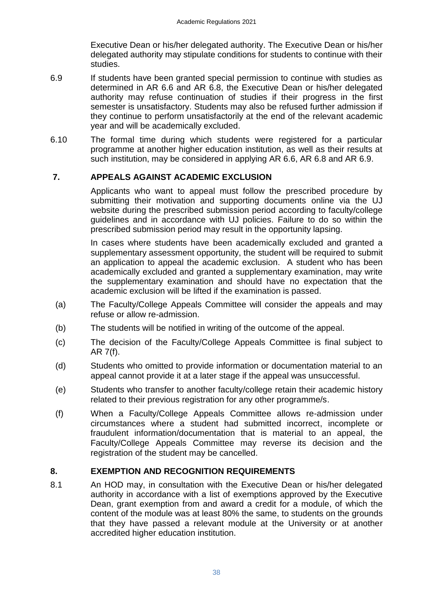Executive Dean or his/her delegated authority. The Executive Dean or his/her delegated authority may stipulate conditions for students to continue with their studies.

- 6.9 If students have been granted special permission to continue with studies as determined in AR 6.6 and AR 6.8, the Executive Dean or his/her delegated authority may refuse continuation of studies if their progress in the first semester is unsatisfactory. Students may also be refused further admission if they continue to perform unsatisfactorily at the end of the relevant academic year and will be academically excluded.
- 6.10 The formal time during which students were registered for a particular programme at another higher education institution, as well as their results at such institution, may be considered in applying AR 6.6, AR 6.8 and AR 6.9.

## **7. APPEALS AGAINST ACADEMIC EXCLUSION**

<span id="page-37-0"></span>Applicants who want to appeal must follow the prescribed procedure by submitting their motivation and supporting documents online via the UJ website during the prescribed submission period according to faculty/college guidelines and in accordance with UJ policies. Failure to do so within the prescribed submission period may result in the opportunity lapsing.

In cases where students have been academically excluded and granted a supplementary assessment opportunity, the student will be required to submit an application to appeal the academic exclusion. A student who has been academically excluded and granted a supplementary examination, may write the supplementary examination and should have no expectation that the academic exclusion will be lifted if the examination is passed.

- (a) The Faculty/College Appeals Committee will consider the appeals and may refuse or allow re-admission.
- (b) The students will be notified in writing of the outcome of the appeal.
- (c) The decision of the Faculty/College Appeals Committee is final subject to AR 7(f).
- (d) Students who omitted to provide information or documentation material to an appeal cannot provide it at a later stage if the appeal was unsuccessful.
- (e) Students who transfer to another faculty/college retain their academic history related to their previous registration for any other programme/s.
- (f) When a Faculty/College Appeals Committee allows re-admission under circumstances where a student had submitted incorrect, incomplete or fraudulent information/documentation that is material to an appeal, the Faculty/College Appeals Committee may reverse its decision and the registration of the student may be cancelled.

## <span id="page-37-1"></span>**8. EXEMPTION AND RECOGNITION REQUIREMENTS**

8.1 An HOD may, in consultation with the Executive Dean or his/her delegated authority in accordance with a list of exemptions approved by the Executive Dean, grant exemption from and award a credit for a module, of which the content of the module was at least 80% the same, to students on the grounds that they have passed a relevant module at the University or at another accredited higher education institution.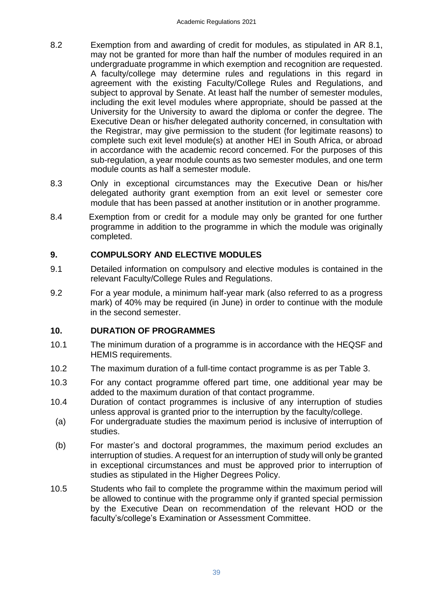- 8.2 Exemption from and awarding of credit for modules, as stipulated in AR 8.1, may not be granted for more than half the number of modules required in an undergraduate programme in which exemption and recognition are requested. A faculty/college may determine rules and regulations in this regard in agreement with the existing Faculty/College Rules and Regulations, and subject to approval by Senate. At least half the number of semester modules, including the exit level modules where appropriate, should be passed at the University for the University to award the diploma or confer the degree. The Executive Dean or his/her delegated authority concerned, in consultation with the Registrar, may give permission to the student (for legitimate reasons) to complete such exit level module(s) at another HEI in South Africa, or abroad in accordance with the academic record concerned. For the purposes of this sub-regulation, a year module counts as two semester modules, and one term module counts as half a semester module.
- 8.3 Only in exceptional circumstances may the Executive Dean or his/her delegated authority grant exemption from an exit level or semester core module that has been passed at another institution or in another programme.
- 8.4 Exemption from or credit for a module may only be granted for one further programme in addition to the programme in which the module was originally completed.

## <span id="page-38-0"></span>**9. COMPULSORY AND ELECTIVE MODULES**

- 9.1 Detailed information on compulsory and elective modules is contained in the relevant Faculty/College Rules and Regulations.
- 9.2 For a year module, a minimum half-year mark (also referred to as a progress mark) of 40% may be required (in June) in order to continue with the module in the second semester.

## <span id="page-38-1"></span>**10. DURATION OF PROGRAMMES**

- 10.1 The minimum duration of a programme is in accordance with the HEQSF and HEMIS requirements.
- 10.2 The maximum duration of a full-time contact programme is as per Table 3.
- 10.3 For any contact programme offered part time, one additional year may be added to the maximum duration of that contact programme.
- 10.4Duration of contact programmes is inclusive of any interruption of studies unless approval is granted prior to the interruption by the faculty/college.
- (a) For undergraduate studies the maximum period is inclusive of interruption of studies.
- (b) For master's and doctoral programmes, the maximum period excludes an interruption of studies. A request for an interruption of study will only be granted in exceptional circumstances and must be approved prior to interruption of studies as stipulated in the Higher Degrees Policy.
- 10.5 Students who fail to complete the programme within the maximum period will be allowed to continue with the programme only if granted special permission by the Executive Dean on recommendation of the relevant HOD or the faculty's/college's Examination or Assessment Committee.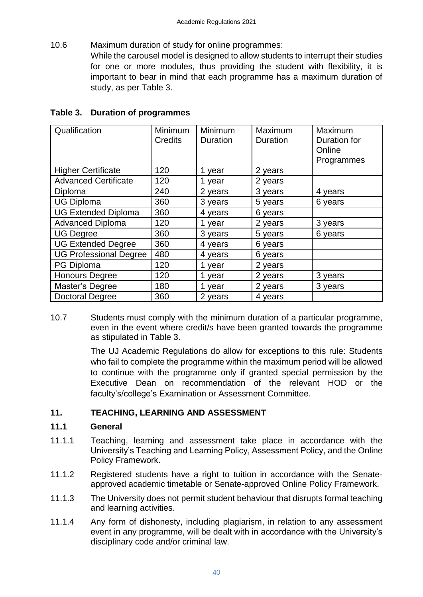10.6 Maximum duration of study for online programmes: While the carousel model is designed to allow students to interrupt their studies for one or more modules, thus providing the student with flexibility, it is important to bear in mind that each programme has a maximum duration of study, as per Table 3.

| Qualification                 | <b>Minimum</b><br>Credits | Minimum<br>Duration | Maximum<br><b>Duration</b> | Maximum<br>Duration for<br>Online<br>Programmes |
|-------------------------------|---------------------------|---------------------|----------------------------|-------------------------------------------------|
| <b>Higher Certificate</b>     | 120                       | 1 year              | 2 years                    |                                                 |
| <b>Advanced Certificate</b>   | 120                       | 1 year              | 2 years                    |                                                 |
| Diploma                       | 240                       | 2 years             | 3 years                    | 4 years                                         |
| <b>UG Diploma</b>             | 360                       | 3 years             | 5 years                    | 6 years                                         |
| <b>UG Extended Diploma</b>    | 360                       | 4 years             | 6 years                    |                                                 |
| <b>Advanced Diploma</b>       | 120                       | 1 year              | 2 years                    | 3 years                                         |
| <b>UG Degree</b>              | 360                       | 3 years             | 5 years                    | 6 years                                         |
| <b>UG Extended Degree</b>     | 360                       | 4 years             | 6 years                    |                                                 |
| <b>UG Professional Degree</b> | 480                       | 4 years             | 6 years                    |                                                 |
| PG Diploma                    | 120                       | 1 year              | 2 years                    |                                                 |
| <b>Honours Degree</b>         | 120                       | 1 year              | 2 years                    | 3 years                                         |
| Master's Degree               | 180                       | 1 year              | 2 years                    | 3 years                                         |
| <b>Doctoral Degree</b>        | 360                       | 2 years             | 4 years                    |                                                 |

## <span id="page-39-0"></span>**Table 3. Duration of programmes**

10.7 Students must comply with the minimum duration of a particular programme, even in the event where credit/s have been granted towards the programme as stipulated in Table 3.

> The UJ Academic Regulations do allow for exceptions to this rule: Students who fail to complete the programme within the maximum period will be allowed to continue with the programme only if granted special permission by the Executive Dean on recommendation of the relevant HOD or the faculty's/college's Examination or Assessment Committee.

## <span id="page-39-1"></span>**11. TEACHING, LEARNING AND ASSESSMENT**

## <span id="page-39-2"></span>**11.1 General**

- 11.1.1 Teaching, learning and assessment take place in accordance with the University's Teaching and Learning Policy, Assessment Policy, and the Online Policy Framework.
- 11.1.2 Registered students have a right to tuition in accordance with the Senateapproved academic timetable or Senate-approved Online Policy Framework.
- 11.1.3 The University does not permit student behaviour that disrupts formal teaching and learning activities.
- 11.1.4 Any form of dishonesty, including plagiarism, in relation to any assessment event in any programme, will be dealt with in accordance with the University's disciplinary code and/or criminal law.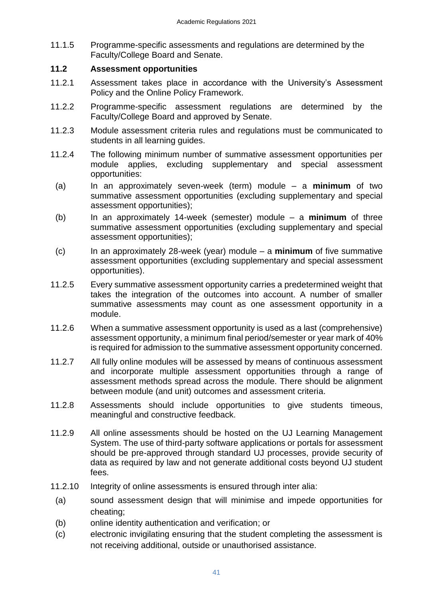11.1.5 Programme-specific assessments and regulations are determined by the Faculty/College Board and Senate.

## <span id="page-40-0"></span>**11.2 Assessment opportunities**

- 11.2.1 Assessment takes place in accordance with the University's Assessment Policy and the Online Policy Framework.
- 11.2.2 Programme-specific assessment regulations are determined by the Faculty/College Board and approved by Senate.
- 11.2.3 Module assessment criteria rules and regulations must be communicated to students in all learning guides.
- 11.2.4 The following minimum number of summative assessment opportunities per module applies, excluding supplementary and special assessment opportunities:
- (a) In an approximately seven-week (term) module a **minimum** of two summative assessment opportunities (excluding supplementary and special assessment opportunities);
- (b) In an approximately 14-week (semester) module a **minimum** of three summative assessment opportunities (excluding supplementary and special assessment opportunities);
- (c) In an approximately 28-week (year) module a **minimum** of five summative assessment opportunities (excluding supplementary and special assessment opportunities).
- 11.2.5 Every summative assessment opportunity carries a predetermined weight that takes the integration of the outcomes into account. A number of smaller summative assessments may count as one assessment opportunity in a module.
- 11.2.6 When a summative assessment opportunity is used as a last (comprehensive) assessment opportunity, a minimum final period/semester or year mark of 40% is required for admission to the summative assessment opportunity concerned.
- 11.2.7 All fully online modules will be assessed by means of continuous assessment and incorporate multiple assessment opportunities through a range of assessment methods spread across the module. There should be alignment between module (and unit) outcomes and assessment criteria.
- 11.2.8 Assessments should include opportunities to give students timeous, meaningful and constructive feedback.
- 11.2.9 All online assessments should be hosted on the UJ Learning Management System. The use of third-party software applications or portals for assessment should be pre-approved through standard UJ processes, provide security of data as required by law and not generate additional costs beyond UJ student fees.
- 11.2.10 Integrity of online assessments is ensured through inter alia:
	- (a) sound assessment design that will minimise and impede opportunities for cheating;
	- (b) online identity authentication and verification; or
	- (c) electronic invigilating ensuring that the student completing the assessment is not receiving additional, outside or unauthorised assistance.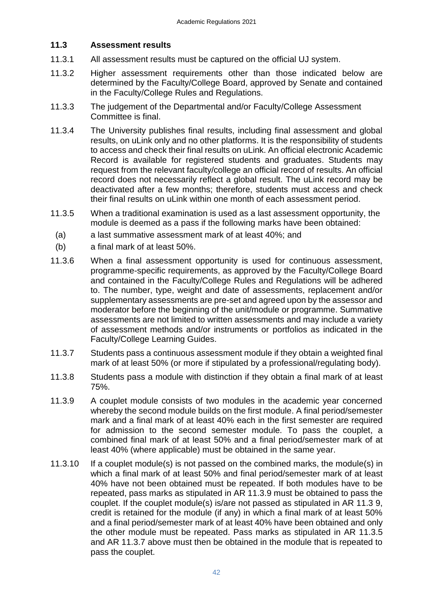## <span id="page-41-0"></span>**11.3 Assessment results**

- 11.3.1 All assessment results must be captured on the official UJ system.
- 11.3.2 Higher assessment requirements other than those indicated below are determined by the Faculty/College Board, approved by Senate and contained in the Faculty/College Rules and Regulations.
- 11.3.3 The judgement of the Departmental and/or Faculty/College Assessment Committee is final.
- 11.3.4 The University publishes final results, including final assessment and global results, on uLink only and no other platforms. It is the responsibility of students to access and check their final results on uLink. An official electronic Academic Record is available for registered students and graduates. Students may request from the relevant faculty/college an official record of results. An official record does not necessarily reflect a global result. The uLink record may be deactivated after a few months; therefore, students must access and check their final results on uLink within one month of each assessment period.
- 11.3.5 When a traditional examination is used as a last assessment opportunity, the module is deemed as a pass if the following marks have been obtained:
	- (a) a last summative assessment mark of at least 40%; and
	- (b) a final mark of at least 50%.
- 11.3.6 When a final assessment opportunity is used for continuous assessment, programme-specific requirements, as approved by the Faculty/College Board and contained in the Faculty/College Rules and Regulations will be adhered to. The number, type, weight and date of assessments, replacement and/or supplementary assessments are pre-set and agreed upon by the assessor and moderator before the beginning of the unit/module or programme. Summative assessments are not limited to written assessments and may include a variety of assessment methods and/or instruments or portfolios as indicated in the Faculty/College Learning Guides.
- 11.3.7 Students pass a continuous assessment module if they obtain a weighted final mark of at least 50% (or more if stipulated by a professional/regulating body).
- 11.3.8 Students pass a module with distinction if they obtain a final mark of at least 75%.
- 11.3.9 A couplet module consists of two modules in the academic year concerned whereby the second module builds on the first module. A final period/semester mark and a final mark of at least 40% each in the first semester are required for admission to the second semester module. To pass the couplet, a combined final mark of at least 50% and a final period/semester mark of at least 40% (where applicable) must be obtained in the same year.
- 11.3.10 If a couplet module(s) is not passed on the combined marks, the module(s) in which a final mark of at least 50% and final period/semester mark of at least 40% have not been obtained must be repeated. If both modules have to be repeated, pass marks as stipulated in AR 11.3.9 must be obtained to pass the couplet. If the couplet module(s) is/are not passed as stipulated in AR 11.3 9, credit is retained for the module (if any) in which a final mark of at least 50% and a final period/semester mark of at least 40% have been obtained and only the other module must be repeated. Pass marks as stipulated in AR 11.3.5 and AR 11.3.7 above must then be obtained in the module that is repeated to pass the couplet.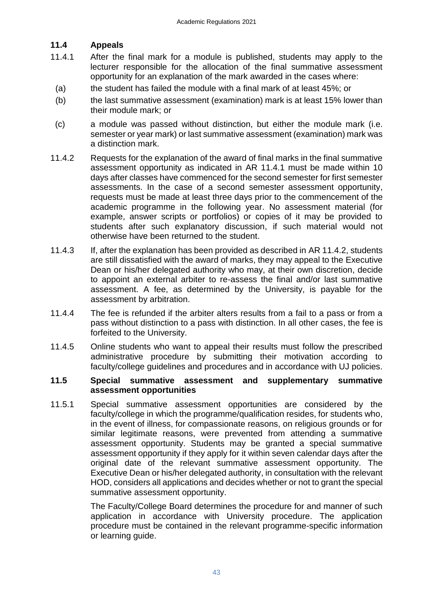## <span id="page-42-0"></span>**11.4 Appeals**

- 11.4.1 After the final mark for a module is published, students may apply to the lecturer responsible for the allocation of the final summative assessment opportunity for an explanation of the mark awarded in the cases where:
- (a) the student has failed the module with a final mark of at least 45%; or
- (b) the last summative assessment (examination) mark is at least 15% lower than their module mark; or
- (c) a module was passed without distinction, but either the module mark (i.e. semester or year mark) or last summative assessment (examination) mark was a distinction mark.
- 11.4.2 Requests for the explanation of the award of final marks in the final summative assessment opportunity as indicated in AR 11.4.1 must be made within 10 days after classes have commenced for the second semester for first semester assessments. In the case of a second semester assessment opportunity, requests must be made at least three days prior to the commencement of the academic programme in the following year. No assessment material (for example, answer scripts or portfolios) or copies of it may be provided to students after such explanatory discussion, if such material would not otherwise have been returned to the student.
- 11.4.3 If, after the explanation has been provided as described in AR 11.4.2, students are still dissatisfied with the award of marks, they may appeal to the Executive Dean or his/her delegated authority who may, at their own discretion, decide to appoint an external arbiter to re-assess the final and/or last summative assessment. A fee, as determined by the University, is payable for the assessment by arbitration.
- 11.4.4 The fee is refunded if the arbiter alters results from a fail to a pass or from a pass without distinction to a pass with distinction. In all other cases, the fee is forfeited to the University.
- 11.4.5 Online students who want to appeal their results must follow the prescribed administrative procedure by submitting their motivation according to faculty/college guidelines and procedures and in accordance with UJ policies.

## <span id="page-42-1"></span>**11.5 Special summative assessment and supplementary summative assessment opportunities**

11.5.1 Special summative assessment opportunities are considered by the faculty/college in which the programme/qualification resides, for students who, in the event of illness, for compassionate reasons, on religious grounds or for similar legitimate reasons, were prevented from attending a summative assessment opportunity. Students may be granted a special summative assessment opportunity if they apply for it within seven calendar days after the original date of the relevant summative assessment opportunity. The Executive Dean or his/her delegated authority, in consultation with the relevant HOD, considers all applications and decides whether or not to grant the special summative assessment opportunity.

> The Faculty/College Board determines the procedure for and manner of such application in accordance with University procedure. The application procedure must be contained in the relevant programme-specific information or learning guide.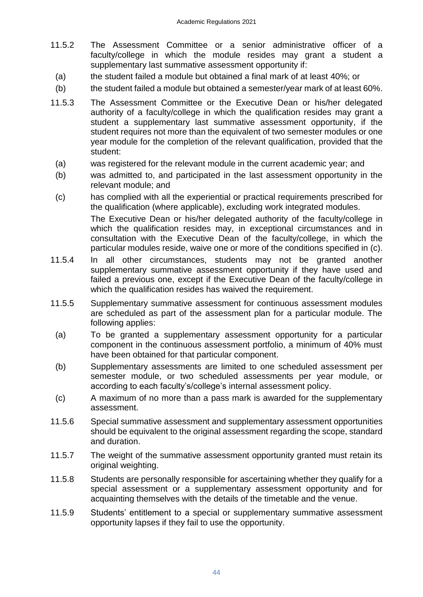- 11.5.2 The Assessment Committee or a senior administrative officer of a faculty/college in which the module resides may grant a student a supplementary last summative assessment opportunity if:
	- (a) the student failed a module but obtained a final mark of at least 40%; or
- (b) the student failed a module but obtained a semester/year mark of at least 60%.
- 11.5.3 The Assessment Committee or the Executive Dean or his/her delegated authority of a faculty/college in which the qualification resides may grant a student a supplementary last summative assessment opportunity, if the student requires not more than the equivalent of two semester modules or one year module for the completion of the relevant qualification, provided that the student:
- (a) was registered for the relevant module in the current academic year; and
- (b) was admitted to, and participated in the last assessment opportunity in the relevant module; and
- (c) has complied with all the experiential or practical requirements prescribed for the qualification (where applicable), excluding work integrated modules. The Executive Dean or his/her delegated authority of the faculty/college in which the qualification resides may, in exceptional circumstances and in consultation with the Executive Dean of the faculty/college, in which the particular modules reside, waive one or more of the conditions specified in (c).
- 11.5.4 In all other circumstances, students may not be granted another supplementary summative assessment opportunity if they have used and failed a previous one, except if the Executive Dean of the faculty/college in which the qualification resides has waived the requirement.
- 11.5.5 Supplementary summative assessment for continuous assessment modules are scheduled as part of the assessment plan for a particular module. The following applies:
- (a) To be granted a supplementary assessment opportunity for a particular component in the continuous assessment portfolio, a minimum of 40% must have been obtained for that particular component.
- (b) Supplementary assessments are limited to one scheduled assessment per semester module, or two scheduled assessments per year module, or according to each faculty's/college's internal assessment policy.
- (c) A maximum of no more than a pass mark is awarded for the supplementary assessment.
- 11.5.6 Special summative assessment and supplementary assessment opportunities should be equivalent to the original assessment regarding the scope, standard and duration.
- 11.5.7 The weight of the summative assessment opportunity granted must retain its original weighting.
- 11.5.8 Students are personally responsible for ascertaining whether they qualify for a special assessment or a supplementary assessment opportunity and for acquainting themselves with the details of the timetable and the venue.
- 11.5.9 Students' entitlement to a special or supplementary summative assessment opportunity lapses if they fail to use the opportunity.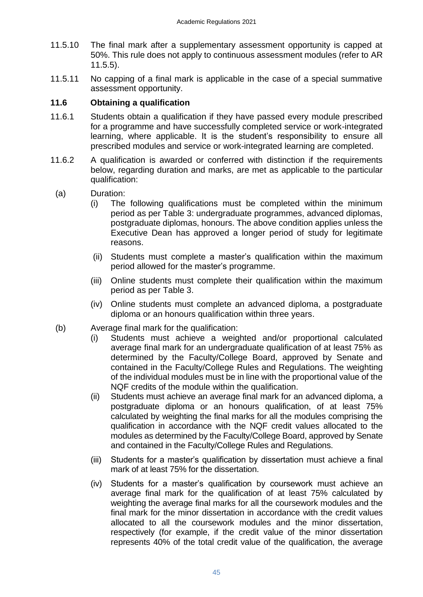- 11.5.10 The final mark after a supplementary assessment opportunity is capped at 50%. This rule does not apply to continuous assessment modules (refer to AR 11.5.5).
- 11.5.11 No capping of a final mark is applicable in the case of a special summative assessment opportunity.

## <span id="page-44-0"></span>**11.6 Obtaining a qualification**

- 11.6.1 Students obtain a qualification if they have passed every module prescribed for a programme and have successfully completed service or work-integrated learning, where applicable. It is the student's responsibility to ensure all prescribed modules and service or work-integrated learning are completed.
- 11.6.2 A qualification is awarded or conferred with distinction if the requirements below, regarding duration and marks, are met as applicable to the particular qualification:
	- (a) Duration:
		- (i) The following qualifications must be completed within the minimum period as per Table 3: undergraduate programmes, advanced diplomas, postgraduate diplomas, honours. The above condition applies unless the Executive Dean has approved a longer period of study for legitimate reasons.
		- (ii) Students must complete a master's qualification within the maximum period allowed for the master's programme.
		- (iii) Online students must complete their qualification within the maximum period as per Table 3.
		- (iv) Online students must complete an advanced diploma, a postgraduate diploma or an honours qualification within three years.
	- (b) Average final mark for the qualification:
		- (i) Students must achieve a weighted and/or proportional calculated average final mark for an undergraduate qualification of at least 75% as determined by the Faculty/College Board, approved by Senate and contained in the Faculty/College Rules and Regulations. The weighting of the individual modules must be in line with the proportional value of the NQF credits of the module within the qualification.
		- (ii) Students must achieve an average final mark for an advanced diploma, a postgraduate diploma or an honours qualification, of at least 75% calculated by weighting the final marks for all the modules comprising the qualification in accordance with the NQF credit values allocated to the modules as determined by the Faculty/College Board, approved by Senate and contained in the Faculty/College Rules and Regulations.
		- (iii) Students for a master's qualification by dissertation must achieve a final mark of at least 75% for the dissertation.
		- (iv) Students for a master's qualification by coursework must achieve an average final mark for the qualification of at least 75% calculated by weighting the average final marks for all the coursework modules and the final mark for the minor dissertation in accordance with the credit values allocated to all the coursework modules and the minor dissertation, respectively (for example, if the credit value of the minor dissertation represents 40% of the total credit value of the qualification, the average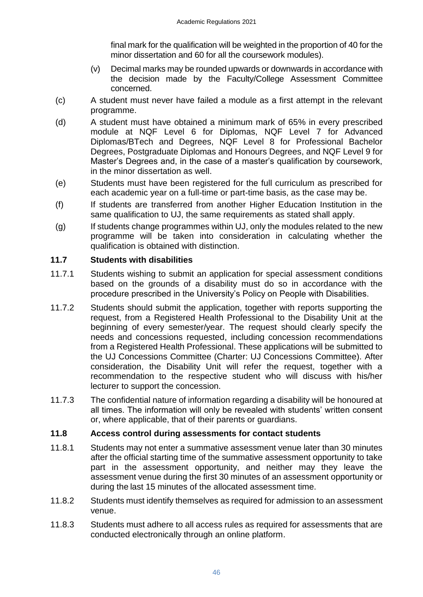final mark for the qualification will be weighted in the proportion of 40 for the minor dissertation and 60 for all the coursework modules).

- (v) Decimal marks may be rounded upwards or downwards in accordance with the decision made by the Faculty/College Assessment Committee concerned.
- (c) A student must never have failed a module as a first attempt in the relevant programme.
- (d) A student must have obtained a minimum mark of 65% in every prescribed module at NQF Level 6 for Diplomas, NQF Level 7 for Advanced Diplomas/BTech and Degrees, NQF Level 8 for Professional Bachelor Degrees, Postgraduate Diplomas and Honours Degrees, and NQF Level 9 for Master's Degrees and, in the case of a master's qualification by coursework, in the minor dissertation as well.
- (e) Students must have been registered for the full curriculum as prescribed for each academic year on a full-time or part-time basis, as the case may be.
- (f) If students are transferred from another Higher Education Institution in the same qualification to UJ, the same requirements as stated shall apply.
- (g) If students change programmes within UJ, only the modules related to the new programme will be taken into consideration in calculating whether the qualification is obtained with distinction.

## <span id="page-45-0"></span>**11.7 Students with disabilities**

- 11.7.1 Students wishing to submit an application for special assessment conditions based on the grounds of a disability must do so in accordance with the procedure prescribed in the University's Policy on People with Disabilities.
- 11.7.2 Students should submit the application, together with reports supporting the request, from a Registered Health Professional to the Disability Unit at the beginning of every semester/year. The request should clearly specify the needs and concessions requested, including concession recommendations from a Registered Health Professional. These applications will be submitted to the UJ Concessions Committee (Charter: UJ Concessions Committee). After consideration, the Disability Unit will refer the request, together with a recommendation to the respective student who will discuss with his/her lecturer to support the concession.
- 11.7.3 The confidential nature of information regarding a disability will be honoured at all times. The information will only be revealed with students' written consent or, where applicable, that of their parents or guardians.

## <span id="page-45-1"></span>**11.8 Access control during assessments for contact students**

- 11.8.1 Students may not enter a summative assessment venue later than 30 minutes after the official starting time of the summative assessment opportunity to take part in the assessment opportunity, and neither may they leave the assessment venue during the first 30 minutes of an assessment opportunity or during the last 15 minutes of the allocated assessment time.
- 11.8.2 Students must identify themselves as required for admission to an assessment venue.
- 11.8.3 Students must adhere to all access rules as required for assessments that are conducted electronically through an online platform.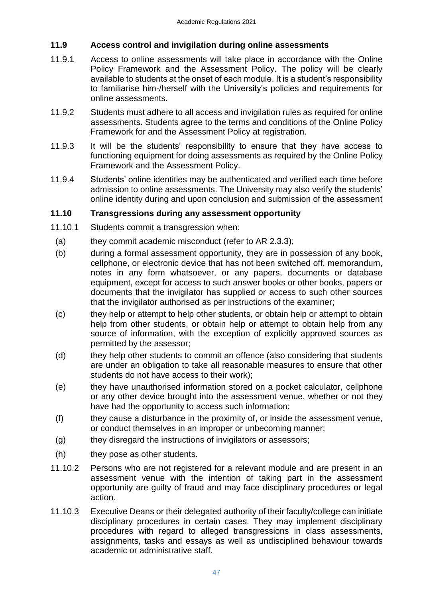## <span id="page-46-0"></span>**11.9 Access control and invigilation during online assessments**

- 11.9.1 Access to online assessments will take place in accordance with the Online Policy Framework and the Assessment Policy. The policy will be clearly available to students at the onset of each module. It is a student's responsibility to familiarise him-/herself with the University's policies and requirements for online assessments.
- 11.9.2 Students must adhere to all access and invigilation rules as required for online assessments. Students agree to the terms and conditions of the Online Policy Framework for and the Assessment Policy at registration.
- 11.9.3 It will be the students' responsibility to ensure that they have access to functioning equipment for doing assessments as required by the Online Policy Framework and the Assessment Policy.
- 11.9.4 Students' online identities may be authenticated and verified each time before admission to online assessments. The University may also verify the students' online identity during and upon conclusion and submission of the assessment

## <span id="page-46-1"></span>**11.10 Transgressions during any assessment opportunity**

- 11.10.1 Students commit a transgression when:
	- (a) they commit academic misconduct (refer to AR 2.3.3);
	- (b) during a formal assessment opportunity, they are in possession of any book, cellphone, or electronic device that has not been switched off, memorandum, notes in any form whatsoever, or any papers, documents or database equipment, except for access to such answer books or other books, papers or documents that the invigilator has supplied or access to such other sources that the invigilator authorised as per instructions of the examiner;
	- (c) they help or attempt to help other students, or obtain help or attempt to obtain help from other students, or obtain help or attempt to obtain help from any source of information, with the exception of explicitly approved sources as permitted by the assessor;
	- (d) they help other students to commit an offence (also considering that students are under an obligation to take all reasonable measures to ensure that other students do not have access to their work);
	- (e) they have unauthorised information stored on a pocket calculator, cellphone or any other device brought into the assessment venue, whether or not they have had the opportunity to access such information;
	- (f) they cause a disturbance in the proximity of, or inside the assessment venue, or conduct themselves in an improper or unbecoming manner;
	- (g) they disregard the instructions of invigilators or assessors;
	- (h) they pose as other students.
- 11.10.2 Persons who are not registered for a relevant module and are present in an assessment venue with the intention of taking part in the assessment opportunity are guilty of fraud and may face disciplinary procedures or legal action.
- 11.10.3 Executive Deans or their delegated authority of their faculty/college can initiate disciplinary procedures in certain cases. They may implement disciplinary procedures with regard to alleged transgressions in class assessments, assignments, tasks and essays as well as undisciplined behaviour towards academic or administrative staff.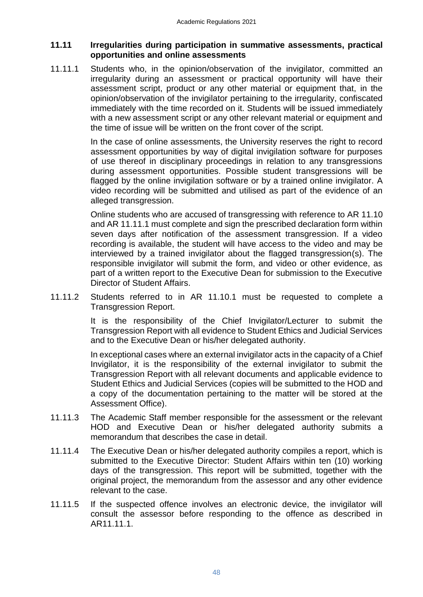## <span id="page-47-0"></span>**11.11 Irregularities during participation in summative assessments, practical opportunities and online assessments**

11.11.1 Students who, in the opinion/observation of the invigilator, committed an irregularity during an assessment or practical opportunity will have their assessment script, product or any other material or equipment that, in the opinion/observation of the invigilator pertaining to the irregularity, confiscated immediately with the time recorded on it. Students will be issued immediately with a new assessment script or any other relevant material or equipment and the time of issue will be written on the front cover of the script.

> In the case of online assessments, the University reserves the right to record assessment opportunities by way of digital invigilation software for purposes of use thereof in disciplinary proceedings in relation to any transgressions during assessment opportunities. Possible student transgressions will be flagged by the online invigilation software or by a trained online invigilator. A video recording will be submitted and utilised as part of the evidence of an alleged transgression.

> Online students who are accused of transgressing with reference to AR 11.10 and AR 11.11.1 must complete and sign the prescribed declaration form within seven days after notification of the assessment transgression. If a video recording is available, the student will have access to the video and may be interviewed by a trained invigilator about the flagged transgression(s). The responsible invigilator will submit the form, and video or other evidence, as part of a written report to the Executive Dean for submission to the Executive Director of Student Affairs.

11.11.2 Students referred to in AR 11.10.1 must be requested to complete a Transgression Report.

> It is the responsibility of the Chief Invigilator/Lecturer to submit the Transgression Report with all evidence to Student Ethics and Judicial Services and to the Executive Dean or his/her delegated authority.

> In exceptional cases where an external invigilator acts in the capacity of a Chief Invigilator, it is the responsibility of the external invigilator to submit the Transgression Report with all relevant documents and applicable evidence to Student Ethics and Judicial Services (copies will be submitted to the HOD and a copy of the documentation pertaining to the matter will be stored at the Assessment Office).

- 11.11.3 The Academic Staff member responsible for the assessment or the relevant HOD and Executive Dean or his/her delegated authority submits a memorandum that describes the case in detail.
- 11.11.4 The Executive Dean or his/her delegated authority compiles a report, which is submitted to the Executive Director: Student Affairs within ten (10) working days of the transgression. This report will be submitted, together with the original project, the memorandum from the assessor and any other evidence relevant to the case.
- 11.11.5 If the suspected offence involves an electronic device, the invigilator will consult the assessor before responding to the offence as described in AR11.11.1.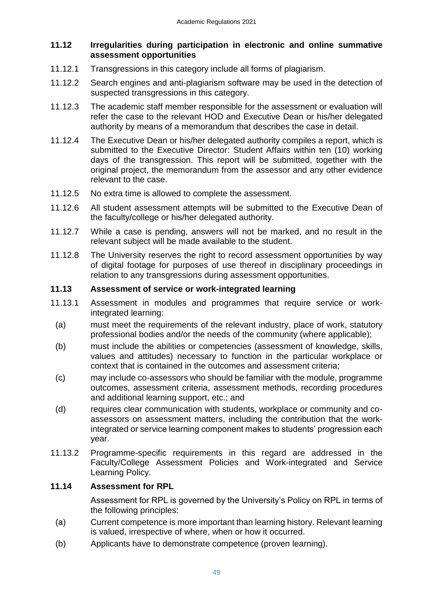## <span id="page-48-0"></span>**11.12 Irregularities during participation in electronic and online summative assessment opportunities**

- 11.12.1 Transgressions in this category include all forms of plagiarism.
- 11.12.2 Search engines and anti-plagiarism software may be used in the detection of suspected transgressions in this category.
- 11.12.3 The academic staff member responsible for the assessment or evaluation will refer the case to the relevant HOD and Executive Dean or his/her delegated authority by means of a memorandum that describes the case in detail.
- 11.12.4 The Executive Dean or his/her delegated authority compiles a report, which is submitted to the Executive Director: Student Affairs within ten (10) working days of the transgression. This report will be submitted, together with the original project, the memorandum from the assessor and any other evidence relevant to the case.
- 11.12.5 No extra time is allowed to complete the assessment.
- 11.12.6 All student assessment attempts will be submitted to the Executive Dean of the faculty/college or his/her delegated authority.
- 11.12.7 While a case is pending, answers will not be marked, and no result in the relevant subject will be made available to the student.
- 11.12.8 The University reserves the right to record assessment opportunities by way of digital footage for purposes of use thereof in disciplinary proceedings in relation to any transgressions during assessment opportunities.

## <span id="page-48-1"></span>**11.13 Assessment of service or work-integrated learning**

- 11.13.1 Assessment in modules and programmes that require service or workintegrated learning:
- (a) must meet the requirements of the relevant industry, place of work, statutory professional bodies and/or the needs of the community (where applicable);
- (b) must include the abilities or competencies (assessment of knowledge, skills, values and attitudes) necessary to function in the particular workplace or context that is contained in the outcomes and assessment criteria;
- (c) may include co-assessors who should be familiar with the module, programme outcomes, assessment criteria, assessment methods, recording procedures and additional learning support, etc.; and
- (d) requires clear communication with students, workplace or community and coassessors on assessment matters, including the contribution that the workintegrated or service learning component makes to students' progression each year.
- 11.13.2 Programme-specific requirements in this regard are addressed in the Faculty/College Assessment Policies and Work-integrated and Service Learning Policy.

## **11.14 Assessment for RPL**

<span id="page-48-2"></span>Assessment for RPL is governed by the University's Policy on RPL in terms of the following principles:

- (a) Current competence is more important than learning history. Relevant learning is valued, irrespective of where, when or how it occurred.
- (b) Applicants have to demonstrate competence (proven learning).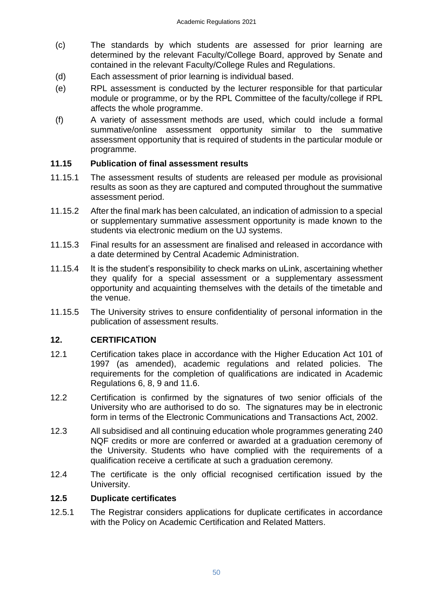- (c) The standards by which students are assessed for prior learning are determined by the relevant Faculty/College Board, approved by Senate and contained in the relevant Faculty/College Rules and Regulations.
- (d) Each assessment of prior learning is individual based.
- (e) RPL assessment is conducted by the lecturer responsible for that particular module or programme, or by the RPL Committee of the faculty/college if RPL affects the whole programme.
- (f) A variety of assessment methods are used, which could include a formal summative/online assessment opportunity similar to the summative assessment opportunity that is required of students in the particular module or programme.

## <span id="page-49-0"></span>**11.15 Publication of final assessment results**

- 11.15.1 The assessment results of students are released per module as provisional results as soon as they are captured and computed throughout the summative assessment period.
- 11.15.2 After the final mark has been calculated, an indication of admission to a special or supplementary summative assessment opportunity is made known to the students via electronic medium on the UJ systems.
- 11.15.3 Final results for an assessment are finalised and released in accordance with a date determined by Central Academic Administration.
- 11.15.4 It is the student's responsibility to check marks on uLink, ascertaining whether they qualify for a special assessment or a supplementary assessment opportunity and acquainting themselves with the details of the timetable and the venue.
- 11.15.5 The University strives to ensure confidentiality of personal information in the publication of assessment results.

## <span id="page-49-1"></span>**12. CERTIFICATION**

- 12.1 Certification takes place in accordance with the Higher Education Act 101 of 1997 (as amended), academic regulations and related policies. The requirements for the completion of qualifications are indicated in Academic Regulations 6, 8, 9 and 11.6.
- 12.2 Certification is confirmed by the signatures of two senior officials of the University who are authorised to do so. The signatures may be in electronic form in terms of the Electronic Communications and Transactions Act, 2002.
- 12.3 All subsidised and all continuing education whole programmes generating 240 NQF credits or more are conferred or awarded at a graduation ceremony of the University. Students who have complied with the requirements of a qualification receive a certificate at such a graduation ceremony*.*
- 12.4 The certificate is the only official recognised certification issued by the University.

## **12.5 Duplicate certificates**

12.5.1 The Registrar considers applications for duplicate certificates in accordance with the Policy on Academic Certification and Related Matters.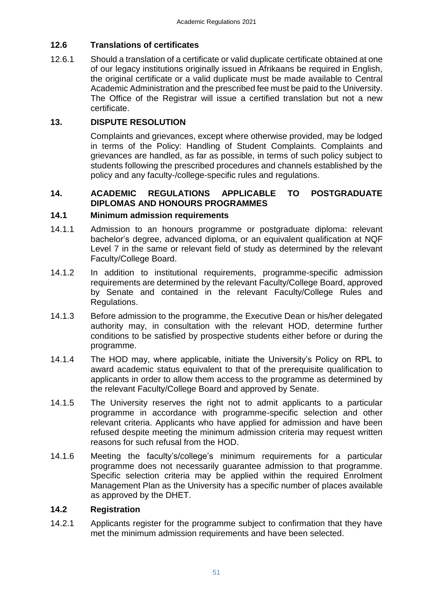## **12.6 Translations of certificates**

12.6.1 Should a translation of a certificate or valid duplicate certificate obtained at one of our legacy institutions originally issued in Afrikaans be required in English, the original certificate or a valid duplicate must be made available to Central Academic Administration and the prescribed fee must be paid to the University. The Office of the Registrar will issue a certified translation but not a new certificate.

## **13. DISPUTE RESOLUTION**

<span id="page-50-0"></span>Complaints and grievances, except where otherwise provided, may be lodged in terms of the Policy: Handling of Student Complaints. Complaints and grievances are handled, as far as possible, in terms of such policy subject to students following the prescribed procedures and channels established by the policy and any faculty-/college-specific rules and regulations.

## <span id="page-50-1"></span>**14. ACADEMIC REGULATIONS APPLICABLE TO POSTGRADUATE DIPLOMAS AND HONOURS PROGRAMMES**

## <span id="page-50-2"></span>**14.1 Minimum admission requirements**

- 14.1.1 Admission to an honours programme or postgraduate diploma: relevant bachelor's degree, advanced diploma, or an equivalent qualification at NQF Level 7 in the same or relevant field of study as determined by the relevant Faculty/College Board.
- 14.1.2 In addition to institutional requirements, programme-specific admission requirements are determined by the relevant Faculty/College Board, approved by Senate and contained in the relevant Faculty/College Rules and Regulations.
- 14.1.3 Before admission to the programme, the Executive Dean or his/her delegated authority may, in consultation with the relevant HOD, determine further conditions to be satisfied by prospective students either before or during the programme.
- 14.1.4 The HOD may, where applicable, initiate the University's Policy on RPL to award academic status equivalent to that of the prerequisite qualification to applicants in order to allow them access to the programme as determined by the relevant Faculty/College Board and approved by Senate.
- 14.1.5 The University reserves the right not to admit applicants to a particular programme in accordance with programme-specific selection and other relevant criteria. Applicants who have applied for admission and have been refused despite meeting the minimum admission criteria may request written reasons for such refusal from the HOD.
- 14.1.6 Meeting the faculty's/college's minimum requirements for a particular programme does not necessarily guarantee admission to that programme. Specific selection criteria may be applied within the required Enrolment Management Plan as the University has a specific number of places available as approved by the DHET.

## <span id="page-50-3"></span>**14.2 Registration**

14.2.1 Applicants register for the programme subject to confirmation that they have met the minimum admission requirements and have been selected.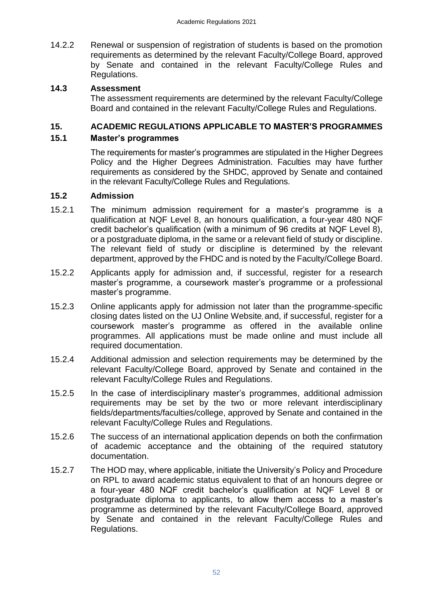14.2.2 Renewal or suspension of registration of students is based on the promotion requirements as determined by the relevant Faculty/College Board, approved by Senate and contained in the relevant Faculty/College Rules and Regulations.

## **14.3 Assessment**

<span id="page-51-1"></span><span id="page-51-0"></span>The assessment requirements are determined by the relevant Faculty/College Board and contained in the relevant Faculty/College Rules and Regulations.

## **15. ACADEMIC REGULATIONS APPLICABLE TO MASTER'S PROGRAMMES**

## **15.1 Master's programmes**

<span id="page-51-2"></span>The requirements for master's programmes are stipulated in the Higher Degrees Policy and the Higher Degrees Administration. Faculties may have further requirements as considered by the SHDC, approved by Senate and contained in the relevant Faculty/College Rules and Regulations.

## <span id="page-51-3"></span>**15.2 Admission**

- 15.2.1 The minimum admission requirement for a master's programme is a qualification at NQF Level 8, an honours qualification, a four-year 480 NQF credit bachelor's qualification (with a minimum of 96 credits at NQF Level 8), or a postgraduate diploma, in the same or a relevant field of study or discipline. The relevant field of study or discipline is determined by the relevant department, approved by the FHDC and is noted by the Faculty/College Board.
- 15.2.2 Applicants apply for admission and, if successful, register for a research master's programme, a coursework master's programme or a professional master's programme.
- 15.2.3 Online applicants apply for admission not later than the programme-specific closing dates listed on the UJ Online Website, and, if successful, register for a coursework master's programme as offered in the available online programmes. All applications must be made online and must include all required documentation.
- 15.2.4 Additional admission and selection requirements may be determined by the relevant Faculty/College Board, approved by Senate and contained in the relevant Faculty/College Rules and Regulations.
- 15.2.5 In the case of interdisciplinary master's programmes, additional admission requirements may be set by the two or more relevant interdisciplinary fields/departments/faculties/college, approved by Senate and contained in the relevant Faculty/College Rules and Regulations.
- 15.2.6 The success of an international application depends on both the confirmation of academic acceptance and the obtaining of the required statutory documentation.
- 15.2.7 The HOD may, where applicable, initiate the University's Policy and Procedure on RPL to award academic status equivalent to that of an honours degree or a four-year 480 NQF credit bachelor's qualification at NQF Level 8 or postgraduate diploma to applicants, to allow them access to a master's programme as determined by the relevant Faculty/College Board, approved by Senate and contained in the relevant Faculty/College Rules and Regulations.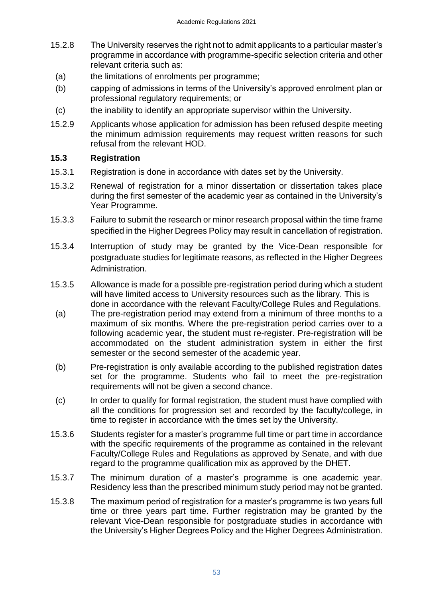- 15.2.8 The University reserves the right not to admit applicants to a particular master's programme in accordance with programme-specific selection criteria and other relevant criteria such as:
	- (a) the limitations of enrolments per programme;
	- (b) capping of admissions in terms of the University's approved enrolment plan or professional regulatory requirements; or
- (c) the inability to identify an appropriate supervisor within the University.
- 15.2.9 Applicants whose application for admission has been refused despite meeting the minimum admission requirements may request written reasons for such refusal from the relevant HOD.

## <span id="page-52-0"></span>**15.3 Registration**

- 15.3.1 Registration is done in accordance with dates set by the University.
- 15.3.2 Renewal of registration for a minor dissertation or dissertation takes place during the first semester of the academic year as contained in the University's Year Programme.
- 15.3.3 Failure to submit the research or minor research proposal within the time frame specified in the Higher Degrees Policy may result in cancellation of registration.
- 15.3.4 Interruption of study may be granted by the Vice-Dean responsible for postgraduate studies for legitimate reasons, as reflected in the Higher Degrees Administration.
- 15.3.5 Allowance is made for a possible pre-registration period during which a student will have limited access to University resources such as the library. This is done in accordance with the relevant Faculty/College Rules and Regulations.
	- (a) The pre-registration period may extend from a minimum of three months to a maximum of six months. Where the pre-registration period carries over to a following academic year, the student must re-register. Pre-registration will be accommodated on the student administration system in either the first semester or the second semester of the academic year.
- (b) Pre-registration is only available according to the published registration dates set for the programme. Students who fail to meet the pre-registration requirements will not be given a second chance.
- (c) In order to qualify for formal registration, the student must have complied with all the conditions for progression set and recorded by the faculty/college, in time to register in accordance with the times set by the University.
- 15.3.6 Students register for a master's programme full time or part time in accordance with the specific requirements of the programme as contained in the relevant Faculty/College Rules and Regulations as approved by Senate, and with due regard to the programme qualification mix as approved by the DHET.
- 15.3.7 The minimum duration of a master's programme is one academic year. Residency less than the prescribed minimum study period may not be granted.
- 15.3.8 The maximum period of registration for a master's programme is two years full time or three years part time. Further registration may be granted by the relevant Vice-Dean responsible for postgraduate studies in accordance with the University's Higher Degrees Policy and the Higher Degrees Administration.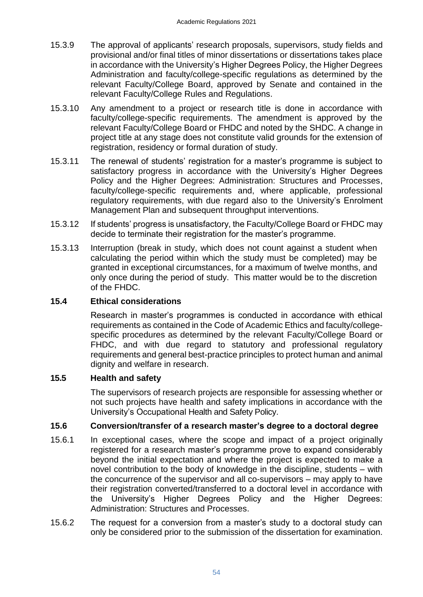- 15.3.9 The approval of applicants' research proposals, supervisors, study fields and provisional and/or final titles of minor dissertations or dissertations takes place in accordance with the University's Higher Degrees Policy, the Higher Degrees Administration and faculty/college-specific regulations as determined by the relevant Faculty/College Board, approved by Senate and contained in the relevant Faculty/College Rules and Regulations.
- 15.3.10 Any amendment to a project or research title is done in accordance with faculty/college-specific requirements. The amendment is approved by the relevant Faculty/College Board or FHDC and noted by the SHDC. A change in project title at any stage does not constitute valid grounds for the extension of registration, residency or formal duration of study.
- 15.3.11 The renewal of students' registration for a master's programme is subject to satisfactory progress in accordance with the University's Higher Degrees Policy and the Higher Degrees: Administration: Structures and Processes, faculty/college-specific requirements and, where applicable, professional regulatory requirements, with due regard also to the University's Enrolment Management Plan and subsequent throughput interventions.
- 15.3.12 If students' progress is unsatisfactory, the Faculty/College Board or FHDC may decide to terminate their registration for the master's programme.
- 15.3.13 Interruption (break in study, which does not count against a student when calculating the period within which the study must be completed) may be granted in exceptional circumstances, for a maximum of twelve months, and only once during the period of study. This matter would be to the discretion of the FHDC.

## <span id="page-53-0"></span>**15.4 Ethical considerations**

Research in master's programmes is conducted in accordance with ethical requirements as contained in the Code of Academic Ethics and faculty/collegespecific procedures as determined by the relevant Faculty/College Board or FHDC, and with due regard to statutory and professional regulatory requirements and general best-practice principles to protect human and animal dignity and welfare in research.

## <span id="page-53-1"></span>**15.5 Health and safety**

<span id="page-53-2"></span>The supervisors of research projects are responsible for assessing whether or not such projects have health and safety implications in accordance with the University's Occupational Health and Safety Policy.

## **15.6 Conversion/transfer of a research master's degree to a doctoral degree**

- 15.6.1 In exceptional cases, where the scope and impact of a project originally registered for a research master's programme prove to expand considerably beyond the initial expectation and where the project is expected to make a novel contribution to the body of knowledge in the discipline, students – with the concurrence of the supervisor and all co-supervisors – may apply to have their registration converted/transferred to a doctoral level in accordance with the University's Higher Degrees Policy and the Higher Degrees: Administration: Structures and Processes.
- 15.6.2 The request for a conversion from a master's study to a doctoral study can only be considered prior to the submission of the dissertation for examination.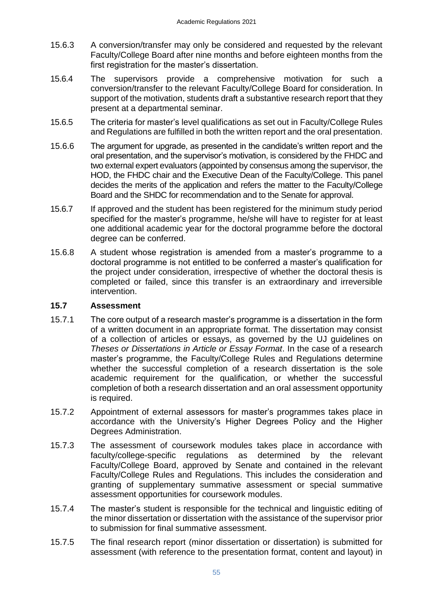- 15.6.3 A conversion/transfer may only be considered and requested by the relevant Faculty/College Board after nine months and before eighteen months from the first registration for the master's dissertation.
- 15.6.4 The supervisors provide a comprehensive motivation for such a conversion/transfer to the relevant Faculty/College Board for consideration. In support of the motivation, students draft a substantive research report that they present at a departmental seminar.
- 15.6.5 The criteria for master's level qualifications as set out in Faculty/College Rules and Regulations are fulfilled in both the written report and the oral presentation.
- 15.6.6 The argument for upgrade, as presented in the candidate's written report and the oral presentation, and the supervisor's motivation, is considered by the FHDC and two external expert evaluators (appointed by consensus among the supervisor, the HOD, the FHDC chair and the Executive Dean of the Faculty/College. This panel decides the merits of the application and refers the matter to the Faculty/College Board and the SHDC for recommendation and to the Senate for approval.
- 15.6.7 If approved and the student has been registered for the minimum study period specified for the master's programme, he/she will have to register for at least one additional academic year for the doctoral programme before the doctoral degree can be conferred.
- 15.6.8 A student whose registration is amended from a master's programme to a doctoral programme is not entitled to be conferred a master's qualification for the project under consideration, irrespective of whether the doctoral thesis is completed or failed, since this transfer is an extraordinary and irreversible intervention.

## <span id="page-54-0"></span>**15.7 Assessment**

- 15.7.1 The core output of a research master's programme is a dissertation in the form of a written document in an appropriate format. The dissertation may consist of a collection of articles or essays, as governed by the UJ guidelines on *Theses or Dissertations in Article or Essay Format*. In the case of a research master's programme, the Faculty/College Rules and Regulations determine whether the successful completion of a research dissertation is the sole academic requirement for the qualification, or whether the successful completion of both a research dissertation and an oral assessment opportunity is required.
- 15.7.2 Appointment of external assessors for master's programmes takes place in accordance with the University's Higher Degrees Policy and the Higher Degrees Administration.
- 15.7.3 The assessment of coursework modules takes place in accordance with faculty/college-specific regulations as determined by the relevant Faculty/College Board, approved by Senate and contained in the relevant Faculty/College Rules and Regulations. This includes the consideration and granting of supplementary summative assessment or special summative assessment opportunities for coursework modules.
- 15.7.4 The master's student is responsible for the technical and linguistic editing of the minor dissertation or dissertation with the assistance of the supervisor prior to submission for final summative assessment.
- 15.7.5 The final research report (minor dissertation or dissertation) is submitted for assessment (with reference to the presentation format, content and layout) in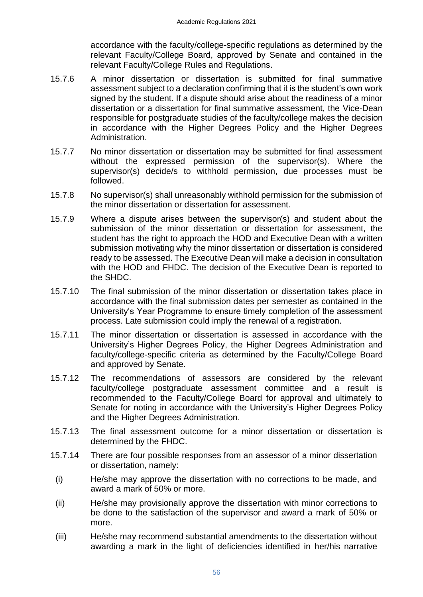accordance with the faculty/college-specific regulations as determined by the relevant Faculty/College Board, approved by Senate and contained in the relevant Faculty/College Rules and Regulations.

- 15.7.6 A minor dissertation or dissertation is submitted for final summative assessment subject to a declaration confirming that it is the student's own work signed by the student. If a dispute should arise about the readiness of a minor dissertation or a dissertation for final summative assessment, the Vice-Dean responsible for postgraduate studies of the faculty/college makes the decision in accordance with the Higher Degrees Policy and the Higher Degrees Administration.
- 15.7.7 No minor dissertation or dissertation may be submitted for final assessment without the expressed permission of the supervisor(s). Where the supervisor(s) decide/s to withhold permission, due processes must be followed.
- 15.7.8 No supervisor(s) shall unreasonably withhold permission for the submission of the minor dissertation or dissertation for assessment.
- 15.7.9 Where a dispute arises between the supervisor(s) and student about the submission of the minor dissertation or dissertation for assessment, the student has the right to approach the HOD and Executive Dean with a written submission motivating why the minor dissertation or dissertation is considered ready to be assessed. The Executive Dean will make a decision in consultation with the HOD and FHDC. The decision of the Executive Dean is reported to the SHDC.
- 15.7.10 The final submission of the minor dissertation or dissertation takes place in accordance with the final submission dates per semester as contained in the University's Year Programme to ensure timely completion of the assessment process. Late submission could imply the renewal of a registration.
- 15.7.11 The minor dissertation or dissertation is assessed in accordance with the University's Higher Degrees Policy, the Higher Degrees Administration and faculty/college-specific criteria as determined by the Faculty/College Board and approved by Senate.
- 15.7.12 The recommendations of assessors are considered by the relevant faculty/college postgraduate assessment committee and a result is recommended to the Faculty/College Board for approval and ultimately to Senate for noting in accordance with the University's Higher Degrees Policy and the Higher Degrees Administration.
- 15.7.13 The final assessment outcome for a minor dissertation or dissertation is determined by the FHDC.
- 15.7.14 There are four possible responses from an assessor of a minor dissertation or dissertation, namely:
- (i) He/she may approve the dissertation with no corrections to be made, and award a mark of 50% or more.
- (ii) He/she may provisionally approve the dissertation with minor corrections to be done to the satisfaction of the supervisor and award a mark of 50% or more.
- (iii) He/she may recommend substantial amendments to the dissertation without awarding a mark in the light of deficiencies identified in her/his narrative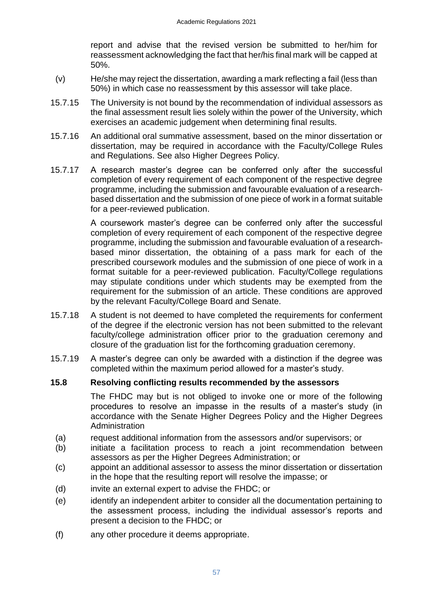report and advise that the revised version be submitted to her/him for reassessment acknowledging the fact that her/his final mark will be capped at 50%.

- (v) He/she may reject the dissertation, awarding a mark reflecting a fail (less than 50%) in which case no reassessment by this assessor will take place.
- 15.7.15 The University is not bound by the recommendation of individual assessors as the final assessment result lies solely within the power of the University, which exercises an academic judgement when determining final results.
- 15.7.16 An additional oral summative assessment, based on the minor dissertation or dissertation, may be required in accordance with the Faculty/College Rules and Regulations. See also Higher Degrees Policy.
- 15.7.17 A research master's degree can be conferred only after the successful completion of every requirement of each component of the respective degree programme, including the submission and favourable evaluation of a researchbased dissertation and the submission of one piece of work in a format suitable for a peer-reviewed publication.

A coursework master's degree can be conferred only after the successful completion of every requirement of each component of the respective degree programme, including the submission and favourable evaluation of a researchbased minor dissertation, the obtaining of a pass mark for each of the prescribed coursework modules and the submission of one piece of work in a format suitable for a peer-reviewed publication. Faculty/College regulations may stipulate conditions under which students may be exempted from the requirement for the submission of an article. These conditions are approved by the relevant Faculty/College Board and Senate.

- 15.7.18 A student is not deemed to have completed the requirements for conferment of the degree if the electronic version has not been submitted to the relevant faculty/college administration officer prior to the graduation ceremony and closure of the graduation list for the forthcoming graduation ceremony.
- 15.7.19 A master's degree can only be awarded with a distinction if the degree was completed within the maximum period allowed for a master's study.

## **15.8 Resolving conflicting results recommended by the assessors**

<span id="page-56-0"></span>The FHDC may but is not obliged to invoke one or more of the following procedures to resolve an impasse in the results of a master's study (in accordance with the Senate Higher Degrees Policy and the Higher Degrees Administration

- (a) request additional information from the assessors and/or supervisors; or
- (b) initiate a facilitation process to reach a joint recommendation between assessors as per the Higher Degrees Administration; or
- (c) appoint an additional assessor to assess the minor dissertation or dissertation in the hope that the resulting report will resolve the impasse; or
- (d) invite an external expert to advise the FHDC; or
- (e) identify an independent arbiter to consider all the documentation pertaining to the assessment process, including the individual assessor's reports and present a decision to the FHDC; or
- (f) any other procedure it deems appropriate.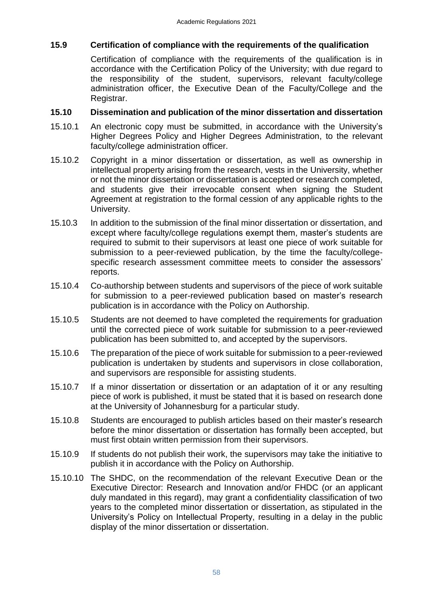## <span id="page-57-0"></span>**15.9 Certification of compliance with the requirements of the qualification**

Certification of compliance with the requirements of the qualification is in accordance with the Certification Policy of the University; with due regard to the responsibility of the student, supervisors, relevant faculty/college administration officer, the Executive Dean of the Faculty/College and the Registrar.

## <span id="page-57-1"></span>**15.10 Dissemination and publication of the minor dissertation and dissertation**

- 15.10.1 An electronic copy must be submitted, in accordance with the University's Higher Degrees Policy and Higher Degrees Administration, to the relevant faculty/college administration officer.
- 15.10.2 Copyright in a minor dissertation or dissertation, as well as ownership in intellectual property arising from the research, vests in the University, whether or not the minor dissertation or dissertation is accepted or research completed, and students give their irrevocable consent when signing the Student Agreement at registration to the formal cession of any applicable rights to the University.
- 15.10.3 In addition to the submission of the final minor dissertation or dissertation, and except where faculty/college regulations exempt them, master's students are required to submit to their supervisors at least one piece of work suitable for submission to a peer-reviewed publication, by the time the faculty/collegespecific research assessment committee meets to consider the assessors' reports.
- 15.10.4 Co-authorship between students and supervisors of the piece of work suitable for submission to a peer-reviewed publication based on master's research publication is in accordance with the Policy on Authorship.
- 15.10.5 Students are not deemed to have completed the requirements for graduation until the corrected piece of work suitable for submission to a peer-reviewed publication has been submitted to, and accepted by the supervisors.
- 15.10.6 The preparation of the piece of work suitable for submission to a peer-reviewed publication is undertaken by students and supervisors in close collaboration, and supervisors are responsible for assisting students.
- 15.10.7 If a minor dissertation or dissertation or an adaptation of it or any resulting piece of work is published, it must be stated that it is based on research done at the University of Johannesburg for a particular study.
- 15.10.8 Students are encouraged to publish articles based on their master's research before the minor dissertation or dissertation has formally been accepted, but must first obtain written permission from their supervisors.
- 15.10.9 If students do not publish their work, the supervisors may take the initiative to publish it in accordance with the Policy on Authorship.
- 15.10.10 The SHDC, on the recommendation of the relevant Executive Dean or the Executive Director: Research and Innovation and/or FHDC (or an applicant duly mandated in this regard), may grant a confidentiality classification of two years to the completed minor dissertation or dissertation, as stipulated in the University's Policy on Intellectual Property, resulting in a delay in the public display of the minor dissertation or dissertation.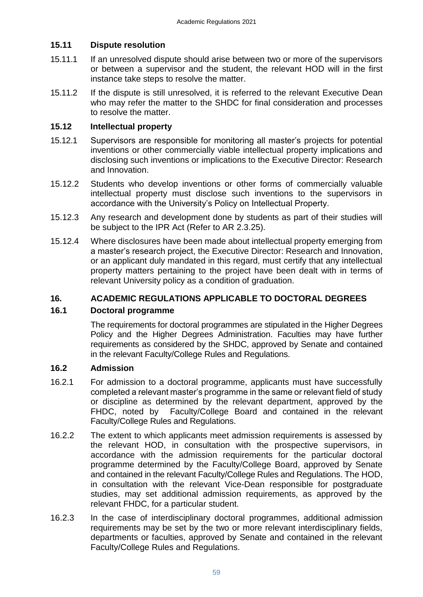## <span id="page-58-0"></span>**15.11 Dispute resolution**

- 15.11.1 If an unresolved dispute should arise between two or more of the supervisors or between a supervisor and the student, the relevant HOD will in the first instance take steps to resolve the matter.
- 15.11.2 If the dispute is still unresolved, it is referred to the relevant Executive Dean who may refer the matter to the SHDC for final consideration and processes to resolve the matter.

## <span id="page-58-1"></span>**15.12 Intellectual property**

- 15.12.1 Supervisors are responsible for monitoring all master's projects for potential inventions or other commercially viable intellectual property implications and disclosing such inventions or implications to the Executive Director: Research and Innovation.
- 15.12.2 Students who develop inventions or other forms of commercially valuable intellectual property must disclose such inventions to the supervisors in accordance with the University's Policy on Intellectual Property.
- 15.12.3 Any research and development done by students as part of their studies will be subject to the IPR Act (Refer to AR 2.3.25).
- 15.12.4 Where disclosures have been made about intellectual property emerging from a master's research project, the Executive Director: Research and Innovation, or an applicant duly mandated in this regard, must certify that any intellectual property matters pertaining to the project have been dealt with in terms of relevant University policy as a condition of graduation.

## **16. ACADEMIC REGULATIONS APPLICABLE TO DOCTORAL DEGREES**

## **16.1 Doctoral programme**

<span id="page-58-3"></span><span id="page-58-2"></span>The requirements for doctoral programmes are stipulated in the Higher Degrees Policy and the Higher Degrees Administration. Faculties may have further requirements as considered by the SHDC, approved by Senate and contained in the relevant Faculty/College Rules and Regulations.

## <span id="page-58-4"></span>**16.2 Admission**

- 16.2.1 For admission to a doctoral programme, applicants must have successfully completed a relevant master's programme in the same or relevant field of study or discipline as determined by the relevant department, approved by the FHDC, noted by Faculty/College Board and contained in the relevant Faculty/College Rules and Regulations.
- 16.2.2 The extent to which applicants meet admission requirements is assessed by the relevant HOD, in consultation with the prospective supervisors, in accordance with the admission requirements for the particular doctoral programme determined by the Faculty/College Board, approved by Senate and contained in the relevant Faculty/College Rules and Regulations. The HOD, in consultation with the relevant Vice-Dean responsible for postgraduate studies, may set additional admission requirements, as approved by the relevant FHDC, for a particular student.
- 16.2.3 In the case of interdisciplinary doctoral programmes, additional admission requirements may be set by the two or more relevant interdisciplinary fields, departments or faculties, approved by Senate and contained in the relevant Faculty/College Rules and Regulations.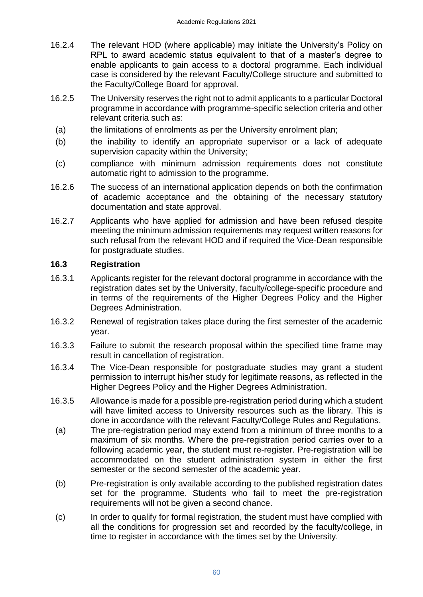- 16.2.4 The relevant HOD (where applicable) may initiate the University's Policy on RPL to award academic status equivalent to that of a master's degree to enable applicants to gain access to a doctoral programme. Each individual case is considered by the relevant Faculty/College structure and submitted to the Faculty/College Board for approval.
- 16.2.5 The University reserves the right not to admit applicants to a particular Doctoral programme in accordance with programme-specific selection criteria and other relevant criteria such as:
	- (a) the limitations of enrolments as per the University enrolment plan;
- (b) the inability to identify an appropriate supervisor or a lack of adequate supervision capacity within the University;
- (c) compliance with minimum admission requirements does not constitute automatic right to admission to the programme.
- 16.2.6 The success of an international application depends on both the confirmation of academic acceptance and the obtaining of the necessary statutory documentation and state approval.
- 16.2.7 Applicants who have applied for admission and have been refused despite meeting the minimum admission requirements may request written reasons for such refusal from the relevant HOD and if required the Vice-Dean responsible for postgraduate studies.

## <span id="page-59-0"></span>**16.3 Registration**

- 16.3.1 Applicants register for the relevant doctoral programme in accordance with the registration dates set by the University, faculty/college-specific procedure and in terms of the requirements of the Higher Degrees Policy and the Higher Degrees Administration.
- 16.3.2 Renewal of registration takes place during the first semester of the academic year.
- 16.3.3 Failure to submit the research proposal within the specified time frame may result in cancellation of registration.
- 16.3.4 The Vice-Dean responsible for postgraduate studies may grant a student permission to interrupt his/her study for legitimate reasons, as reflected in the Higher Degrees Policy and the Higher Degrees Administration.
- 16.3.5 Allowance is made for a possible pre-registration period during which a student will have limited access to University resources such as the library. This is done in accordance with the relevant Faculty/College Rules and Regulations.
	- (a) The pre-registration period may extend from a minimum of three months to a maximum of six months. Where the pre-registration period carries over to a following academic year, the student must re-register. Pre-registration will be accommodated on the student administration system in either the first semester or the second semester of the academic year.
	- (b) Pre-registration is only available according to the published registration dates set for the programme. Students who fail to meet the pre-registration requirements will not be given a second chance.
	- (c) In order to qualify for formal registration, the student must have complied with all the conditions for progression set and recorded by the faculty/college, in time to register in accordance with the times set by the University.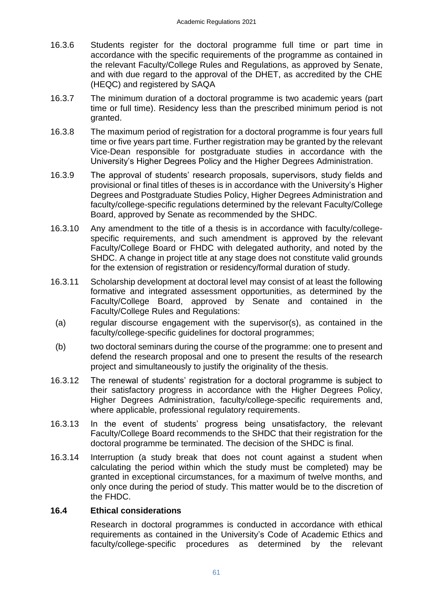- 16.3.6 Students register for the doctoral programme full time or part time in accordance with the specific requirements of the programme as contained in the relevant Faculty/College Rules and Regulations, as approved by Senate, and with due regard to the approval of the DHET, as accredited by the CHE (HEQC) and registered by SAQA
- 16.3.7 The minimum duration of a doctoral programme is two academic years (part time or full time). Residency less than the prescribed minimum period is not granted.
- 16.3.8 The maximum period of registration for a doctoral programme is four years full time or five years part time. Further registration may be granted by the relevant Vice-Dean responsible for postgraduate studies in accordance with the University's Higher Degrees Policy and the Higher Degrees Administration.
- 16.3.9 The approval of students' research proposals, supervisors, study fields and provisional or final titles of theses is in accordance with the University's Higher Degrees and Postgraduate Studies Policy, Higher Degrees Administration and faculty/college-specific regulations determined by the relevant Faculty/College Board, approved by Senate as recommended by the SHDC.
- 16.3.10 Any amendment to the title of a thesis is in accordance with faculty/collegespecific requirements, and such amendment is approved by the relevant Faculty/College Board or FHDC with delegated authority, and noted by the SHDC. A change in project title at any stage does not constitute valid grounds for the extension of registration or residency/formal duration of study.
- 16.3.11 Scholarship development at doctoral level may consist of at least the following formative and integrated assessment opportunities, as determined by the Faculty/College Board, approved by Senate and contained in the Faculty/College Rules and Regulations:
- (a) regular discourse engagement with the supervisor(s), as contained in the faculty/college-specific guidelines for doctoral programmes;
- (b) two doctoral seminars during the course of the programme: one to present and defend the research proposal and one to present the results of the research project and simultaneously to justify the originality of the thesis.
- 16.3.12 The renewal of students' registration for a doctoral programme is subject to their satisfactory progress in accordance with the Higher Degrees Policy, Higher Degrees Administration, faculty/college-specific requirements and, where applicable, professional regulatory requirements.
- 16.3.13 In the event of students' progress being unsatisfactory, the relevant Faculty/College Board recommends to the SHDC that their registration for the doctoral programme be terminated. The decision of the SHDC is final.
- 16.3.14 Interruption (a study break that does not count against a student when calculating the period within which the study must be completed) may be granted in exceptional circumstances, for a maximum of twelve months, and only once during the period of study. This matter would be to the discretion of the FHDC.

## <span id="page-60-0"></span>**16.4 Ethical considerations**

Research in doctoral programmes is conducted in accordance with ethical requirements as contained in the University's Code of Academic Ethics and faculty/college-specific procedures as determined by the relevant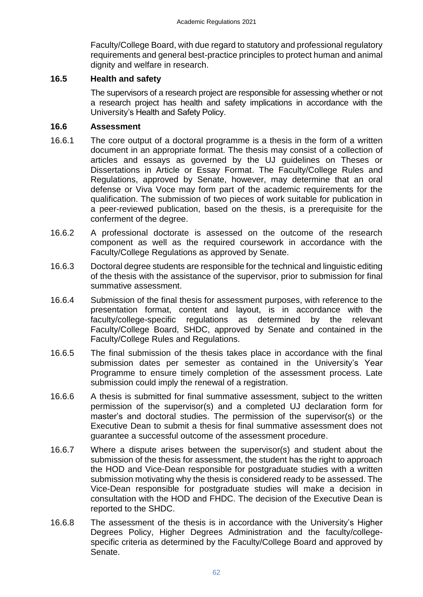Faculty/College Board, with due regard to statutory and professional regulatory requirements and general best-practice principles to protect human and animal dignity and welfare in research.

## **16.5 Health and safety**

<span id="page-61-1"></span><span id="page-61-0"></span>The supervisors of a research project are responsible for assessing whether or not a research project has health and safety implications in accordance with the University's Health and Safety Policy.

#### **16.6 Assessment**

- 16.6.1 The core output of a doctoral programme is a thesis in the form of a written document in an appropriate format. The thesis may consist of a collection of articles and essays as governed by the UJ guidelines on Theses or Dissertations in Article or Essay Format. The Faculty/College Rules and Regulations, approved by Senate, however, may determine that an oral defense or Viva Voce may form part of the academic requirements for the qualification. The submission of two pieces of work suitable for publication in a peer-reviewed publication, based on the thesis, is a prerequisite for the conferment of the degree.
- 16.6.2 A professional doctorate is assessed on the outcome of the research component as well as the required coursework in accordance with the Faculty/College Regulations as approved by Senate.
- 16.6.3 Doctoral degree students are responsible for the technical and linguistic editing of the thesis with the assistance of the supervisor, prior to submission for final summative assessment.
- 16.6.4 Submission of the final thesis for assessment purposes, with reference to the presentation format, content and layout, is in accordance with the faculty/college-specific regulations as determined by the relevant Faculty/College Board, SHDC, approved by Senate and contained in the Faculty/College Rules and Regulations.
- 16.6.5 The final submission of the thesis takes place in accordance with the final submission dates per semester as contained in the University's Year Programme to ensure timely completion of the assessment process. Late submission could imply the renewal of a registration.
- 16.6.6 A thesis is submitted for final summative assessment, subject to the written permission of the supervisor(s) and a completed UJ declaration form for master's and doctoral studies. The permission of the supervisor(s) or the Executive Dean to submit a thesis for final summative assessment does not guarantee a successful outcome of the assessment procedure.
- 16.6.7 Where a dispute arises between the supervisor(s) and student about the submission of the thesis for assessment, the student has the right to approach the HOD and Vice-Dean responsible for postgraduate studies with a written submission motivating why the thesis is considered ready to be assessed. The Vice-Dean responsible for postgraduate studies will make a decision in consultation with the HOD and FHDC. The decision of the Executive Dean is reported to the SHDC.
- 16.6.8 The assessment of the thesis is in accordance with the University's Higher Degrees Policy, Higher Degrees Administration and the faculty/collegespecific criteria as determined by the Faculty/College Board and approved by Senate.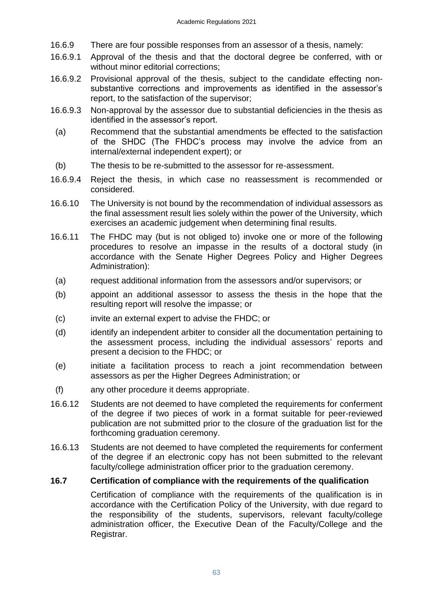- 16.6.9 There are four possible responses from an assessor of a thesis, namely:
- 16.6.9.1 Approval of the thesis and that the doctoral degree be conferred, with or without minor editorial corrections:
- 16.6.9.2 Provisional approval of the thesis, subject to the candidate effecting nonsubstantive corrections and improvements as identified in the assessor's report, to the satisfaction of the supervisor;
- 16.6.9.3 Non-approval by the assessor due to substantial deficiencies in the thesis as identified in the assessor's report.
- (a) Recommend that the substantial amendments be effected to the satisfaction of the SHDC (The FHDC's process may involve the advice from an internal/external independent expert); or
- (b) The thesis to be re-submitted to the assessor for re-assessment.
- 16.6.9.4 Reject the thesis, in which case no reassessment is recommended or considered.
- 16.6.10 The University is not bound by the recommendation of individual assessors as the final assessment result lies solely within the power of the University, which exercises an academic judgement when determining final results.
- 16.6.11 The FHDC may (but is not obliged to) invoke one or more of the following procedures to resolve an impasse in the results of a doctoral study (in accordance with the Senate Higher Degrees Policy and Higher Degrees Administration):
- (a) request additional information from the assessors and/or supervisors; or
- (b) appoint an additional assessor to assess the thesis in the hope that the resulting report will resolve the impasse; or
- (c) invite an external expert to advise the FHDC; or
- (d) identify an independent arbiter to consider all the documentation pertaining to the assessment process, including the individual assessors' reports and present a decision to the FHDC; or
- (e) initiate a facilitation process to reach a joint recommendation between assessors as per the Higher Degrees Administration; or
- (f) any other procedure it deems appropriate.
- 16.6.12 Students are not deemed to have completed the requirements for conferment of the degree if two pieces of work in a format suitable for peer-reviewed publication are not submitted prior to the closure of the graduation list for the forthcoming graduation ceremony.
- 16.6.13 Students are not deemed to have completed the requirements for conferment of the degree if an electronic copy has not been submitted to the relevant faculty/college administration officer prior to the graduation ceremony.

## **16.7 Certification of compliance with the requirements of the qualification**

<span id="page-62-0"></span>Certification of compliance with the requirements of the qualification is in accordance with the Certification Policy of the University, with due regard to the responsibility of the students, supervisors, relevant faculty/college administration officer, the Executive Dean of the Faculty/College and the Registrar.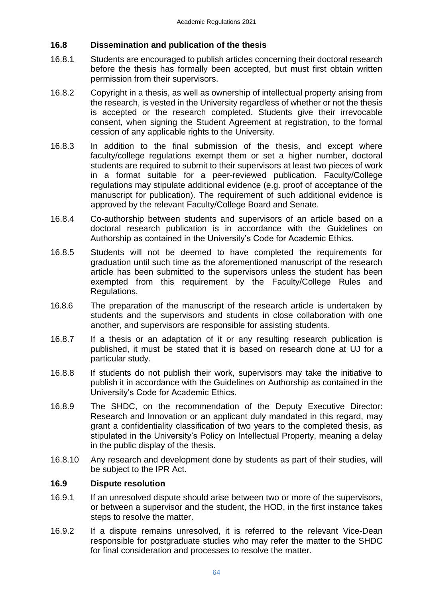## <span id="page-63-0"></span>**16.8 Dissemination and publication of the thesis**

- 16.8.1 Students are encouraged to publish articles concerning their doctoral research before the thesis has formally been accepted, but must first obtain written permission from their supervisors.
- 16.8.2 Copyright in a thesis, as well as ownership of intellectual property arising from the research, is vested in the University regardless of whether or not the thesis is accepted or the research completed. Students give their irrevocable consent, when signing the Student Agreement at registration, to the formal cession of any applicable rights to the University.
- 16.8.3 In addition to the final submission of the thesis, and except where faculty/college regulations exempt them or set a higher number, doctoral students are required to submit to their supervisors at least two pieces of work in a format suitable for a peer-reviewed publication. Faculty/College regulations may stipulate additional evidence (e.g. proof of acceptance of the manuscript for publication). The requirement of such additional evidence is approved by the relevant Faculty/College Board and Senate.
- 16.8.4 Co-authorship between students and supervisors of an article based on a doctoral research publication is in accordance with the Guidelines on Authorship as contained in the University's Code for Academic Ethics.
- 16.8.5 Students will not be deemed to have completed the requirements for graduation until such time as the aforementioned manuscript of the research article has been submitted to the supervisors unless the student has been exempted from this requirement by the Faculty/College Rules and Regulations.
- 16.8.6 The preparation of the manuscript of the research article is undertaken by students and the supervisors and students in close collaboration with one another, and supervisors are responsible for assisting students.
- 16.8.7 If a thesis or an adaptation of it or any resulting research publication is published, it must be stated that it is based on research done at UJ for a particular study.
- 16.8.8 If students do not publish their work, supervisors may take the initiative to publish it in accordance with the Guidelines on Authorship as contained in the University's Code for Academic Ethics.
- 16.8.9 The SHDC, on the recommendation of the Deputy Executive Director: Research and Innovation or an applicant duly mandated in this regard, may grant a confidentiality classification of two years to the completed thesis, as stipulated in the University's Policy on Intellectual Property, meaning a delay in the public display of the thesis.
- 16.8.10 Any research and development done by students as part of their studies, will be subject to the IPR Act.

## <span id="page-63-1"></span>**16.9 Dispute resolution**

- 16.9.1 If an unresolved dispute should arise between two or more of the supervisors, or between a supervisor and the student, the HOD, in the first instance takes steps to resolve the matter.
- 16.9.2 If a dispute remains unresolved, it is referred to the relevant Vice-Dean responsible for postgraduate studies who may refer the matter to the SHDC for final consideration and processes to resolve the matter.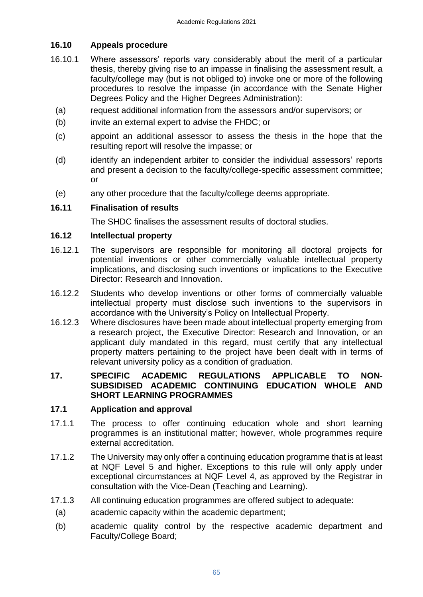## <span id="page-64-0"></span>**16.10 Appeals procedure**

- 16.10.1 Where assessors' reports vary considerably about the merit of a particular thesis, thereby giving rise to an impasse in finalising the assessment result, a faculty/college may (but is not obliged to) invoke one or more of the following procedures to resolve the impasse (in accordance with the Senate Higher Degrees Policy and the Higher Degrees Administration):
	- (a) request additional information from the assessors and/or supervisors; or
	- (b) invite an external expert to advise the FHDC; or
	- (c) appoint an additional assessor to assess the thesis in the hope that the resulting report will resolve the impasse; or
	- (d) identify an independent arbiter to consider the individual assessors' reports and present a decision to the faculty/college-specific assessment committee; or
	- (e) any other procedure that the faculty/college deems appropriate.

## <span id="page-64-1"></span>**16.11 Finalisation of results**

<span id="page-64-2"></span>The SHDC finalises the assessment results of doctoral studies.

## **16.12 Intellectual property**

- 16.12.1 The supervisors are responsible for monitoring all doctoral projects for potential inventions or other commercially valuable intellectual property implications, and disclosing such inventions or implications to the Executive Director: Research and Innovation.
- 16.12.2 Students who develop inventions or other forms of commercially valuable intellectual property must disclose such inventions to the supervisors in accordance with the University's Policy on Intellectual Property.
- 16.12.3 Where disclosures have been made about intellectual property emerging from a research project, the Executive Director: Research and Innovation, or an applicant duly mandated in this regard, must certify that any intellectual property matters pertaining to the project have been dealt with in terms of relevant university policy as a condition of graduation.

## <span id="page-64-3"></span>**17. SPECIFIC ACADEMIC REGULATIONS APPLICABLE TO NON-SUBSIDISED ACADEMIC CONTINUING EDUCATION WHOLE AND SHORT LEARNING PROGRAMMES**

## <span id="page-64-4"></span>**17.1 Application and approval**

- 17.1.1 The process to offer continuing education whole and short learning programmes is an institutional matter; however, whole programmes require external accreditation.
- 17.1.2 The University may only offer a continuing education programme that is at least at NQF Level 5 and higher. Exceptions to this rule will only apply under exceptional circumstances at NQF Level 4, as approved by the Registrar in consultation with the Vice-Dean (Teaching and Learning).
- 17.1.3 All continuing education programmes are offered subject to adequate:
- (a) academic capacity within the academic department;
- (b) academic quality control by the respective academic department and Faculty/College Board;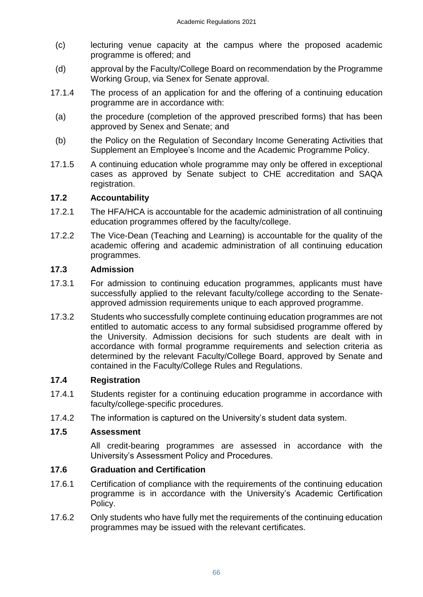- (c) lecturing venue capacity at the campus where the proposed academic programme is offered; and
- (d) approval by the Faculty/College Board on recommendation by the Programme Working Group, via Senex for Senate approval.
- 17.1.4 The process of an application for and the offering of a continuing education programme are in accordance with:
- (a) the procedure (completion of the approved prescribed forms) that has been approved by Senex and Senate; and
- (b) the Policy on the Regulation of Secondary Income Generating Activities that Supplement an Employee's Income and the Academic Programme Policy.
- 17.1.5 A continuing education whole programme may only be offered in exceptional cases as approved by Senate subject to CHE accreditation and SAQA registration.

## <span id="page-65-0"></span>**17.2 Accountability**

- 17.2.1 The HFA/HCA is accountable for the academic administration of all continuing education programmes offered by the faculty/college.
- 17.2.2 The Vice-Dean (Teaching and Learning) is accountable for the quality of the academic offering and academic administration of all continuing education programmes.

## <span id="page-65-1"></span>**17.3 Admission**

- 17.3.1 For admission to continuing education programmes, applicants must have successfully applied to the relevant faculty/college according to the Senateapproved admission requirements unique to each approved programme.
- 17.3.2 Students who successfully complete continuing education programmes are not entitled to automatic access to any formal subsidised programme offered by the University. Admission decisions for such students are dealt with in accordance with formal programme requirements and selection criteria as determined by the relevant Faculty/College Board, approved by Senate and contained in the Faculty/College Rules and Regulations.

## <span id="page-65-2"></span>**17.4 Registration**

- 17.4.1 Students register for a continuing education programme in accordance with faculty/college-specific procedures.
- 17.4.2 The information is captured on the University's student data system.

## **17.5 Assessment**

<span id="page-65-3"></span>All credit-bearing programmes are assessed in accordance with the University's Assessment Policy and Procedures.

## <span id="page-65-4"></span>**17.6 Graduation and Certification**

- 17.6.1 Certification of compliance with the requirements of the continuing education programme is in accordance with the University's Academic Certification Policy.
- 17.6.2 Only students who have fully met the requirements of the continuing education programmes may be issued with the relevant certificates.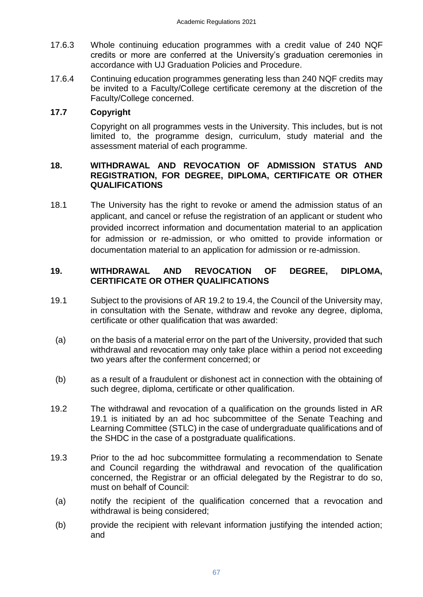- 17.6.3 Whole continuing education programmes with a credit value of 240 NQF credits or more are conferred at the University's graduation ceremonies in accordance with UJ Graduation Policies and Procedure.
- 17.6.4 Continuing education programmes generating less than 240 NQF credits may be invited to a Faculty/College certificate ceremony at the discretion of the Faculty/College concerned.

## **17.7 Copyright**

<span id="page-66-0"></span>Copyright on all programmes vests in the University. This includes, but is not limited to, the programme design, curriculum, study material and the assessment material of each programme.

## **18. WITHDRAWAL AND REVOCATION OF ADMISSION STATUS AND REGISTRATION, FOR DEGREE, DIPLOMA, CERTIFICATE OR OTHER QUALIFICATIONS**

18.1 The University has the right to revoke or amend the admission status of an applicant, and cancel or refuse the registration of an applicant or student who provided incorrect information and documentation material to an application for admission or re-admission, or who omitted to provide information or documentation material to an application for admission or re-admission.

## <span id="page-66-1"></span>**19. WITHDRAWAL AND REVOCATION OF DEGREE, DIPLOMA, CERTIFICATE OR OTHER QUALIFICATIONS**

- 19.1 Subject to the provisions of AR 19.2 to 19.4, the Council of the University may, in consultation with the Senate, withdraw and revoke any degree, diploma, certificate or other qualification that was awarded:
- (a) on the basis of a material error on the part of the University, provided that such withdrawal and revocation may only take place within a period not exceeding two years after the conferment concerned; or
- (b) as a result of a fraudulent or dishonest act in connection with the obtaining of such degree, diploma, certificate or other qualification.
- 19.2 The withdrawal and revocation of a qualification on the grounds listed in AR 19.1 is initiated by an ad hoc subcommittee of the Senate Teaching and Learning Committee (STLC) in the case of undergraduate qualifications and of the SHDC in the case of a postgraduate qualifications.
- 19.3 Prior to the ad hoc subcommittee formulating a recommendation to Senate and Council regarding the withdrawal and revocation of the qualification concerned, the Registrar or an official delegated by the Registrar to do so, must on behalf of Council:
- (a) notify the recipient of the qualification concerned that a revocation and withdrawal is being considered;
- (b) provide the recipient with relevant information justifying the intended action; and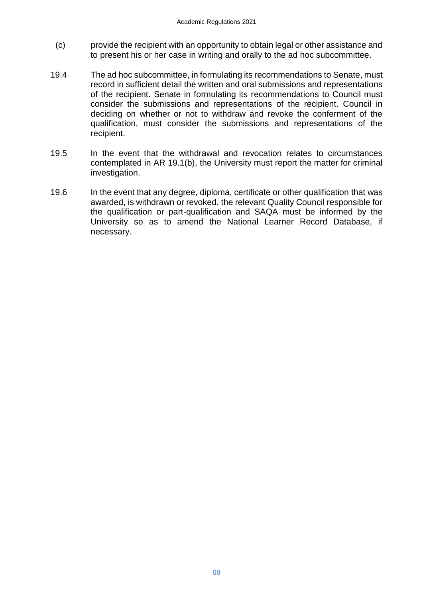- (c) provide the recipient with an opportunity to obtain legal or other assistance and to present his or her case in writing and orally to the ad hoc subcommittee.
- 19.4 The ad hoc subcommittee, in formulating its recommendations to Senate, must record in sufficient detail the written and oral submissions and representations of the recipient. Senate in formulating its recommendations to Council must consider the submissions and representations of the recipient. Council in deciding on whether or not to withdraw and revoke the conferment of the qualification, must consider the submissions and representations of the recipient.
- 19.5 In the event that the withdrawal and revocation relates to circumstances contemplated in AR 19.1(b), the University must report the matter for criminal investigation.
- 19.6 In the event that any degree, diploma, certificate or other qualification that was awarded, is withdrawn or revoked, the relevant Quality Council responsible for the qualification or part-qualification and SAQA must be informed by the University so as to amend the National Learner Record Database, if necessary.